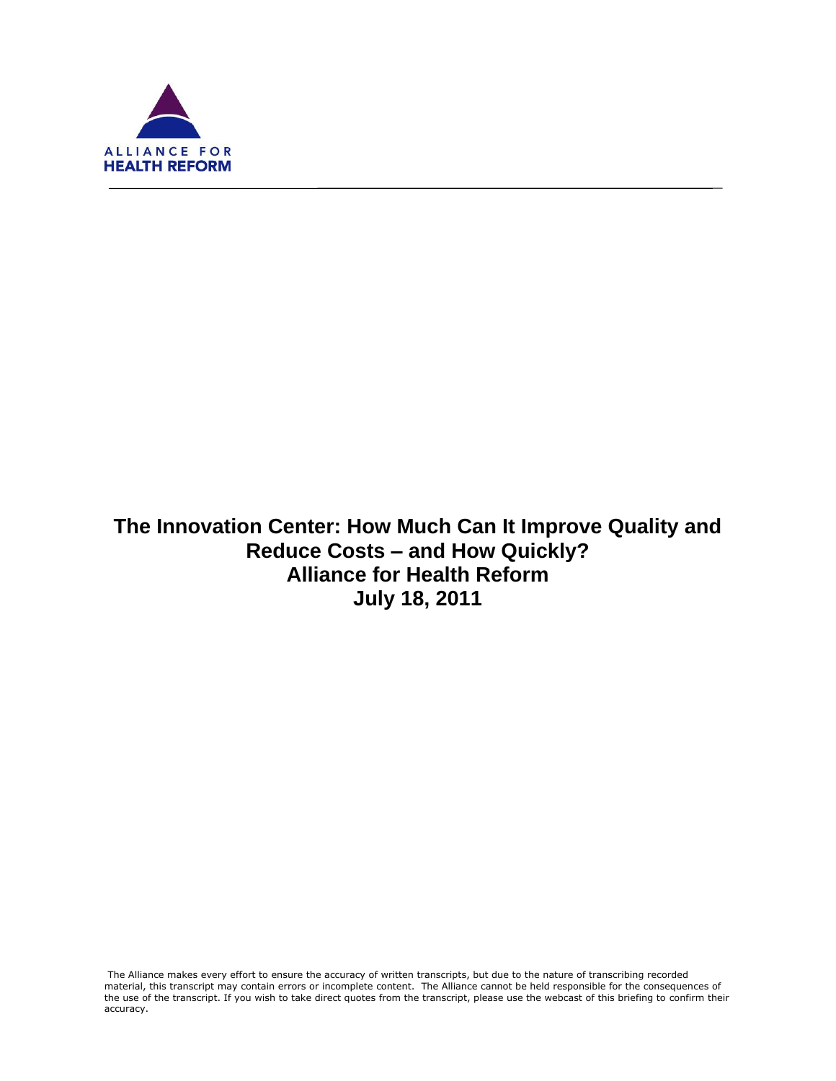

f

# **The Innovation Center: How Much Can It Improve Quality and Reduce Costs – and How Quickly? Alliance for Health Reform July 18, 2011**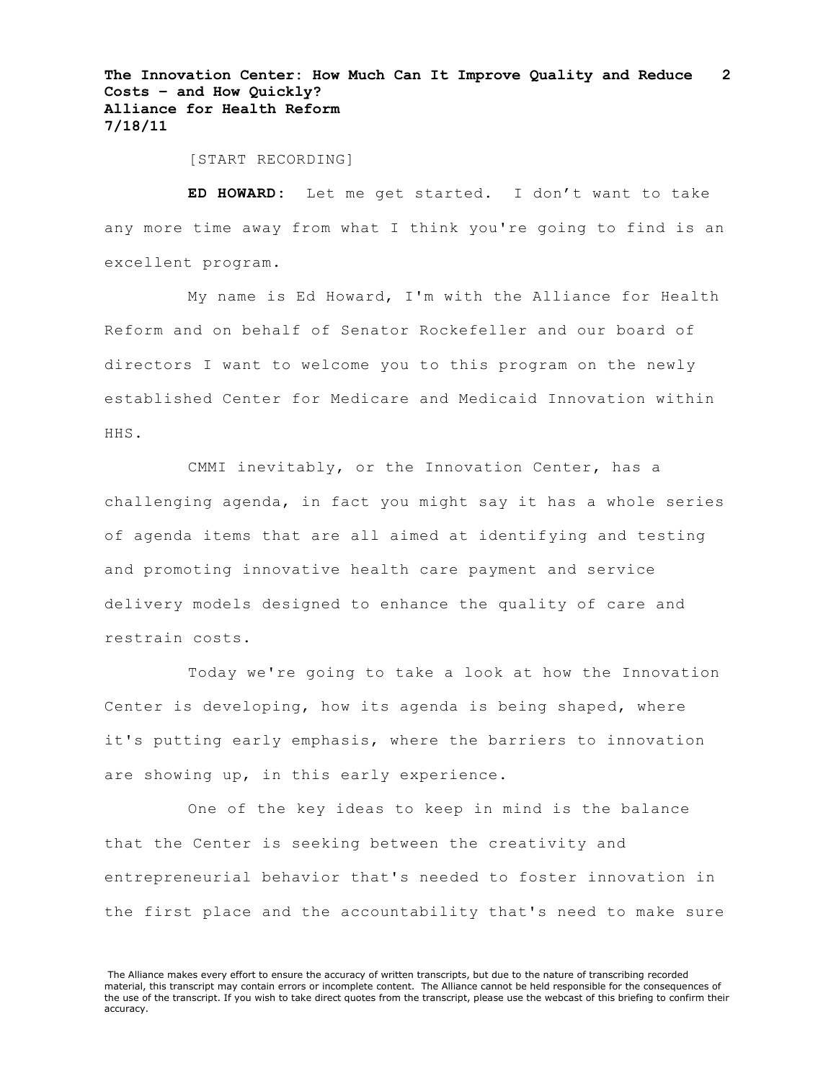[START RECORDING]

**ED HOWARD:** Let me get started. I don't want to take any more time away from what I think you're going to find is an excellent program.

My name is Ed Howard, I'm with the Alliance for Health Reform and on behalf of Senator Rockefeller and our board of directors I want to welcome you to this program on the newly established Center for Medicare and Medicaid Innovation within HHS.

CMMI inevitably, or the Innovation Center, has a challenging agenda, in fact you might say it has a whole series of agenda items that are all aimed at identifying and testing and promoting innovative health care payment and service delivery models designed to enhance the quality of care and restrain costs.

Today we're going to take a look at how the Innovation Center is developing, how its agenda is being shaped, where it's putting early emphasis, where the barriers to innovation are showing up, in this early experience.

One of the key ideas to keep in mind is the balance that the Center is seeking between the creativity and entrepreneurial behavior that's needed to foster innovation in the first place and the accountability that's need to make sure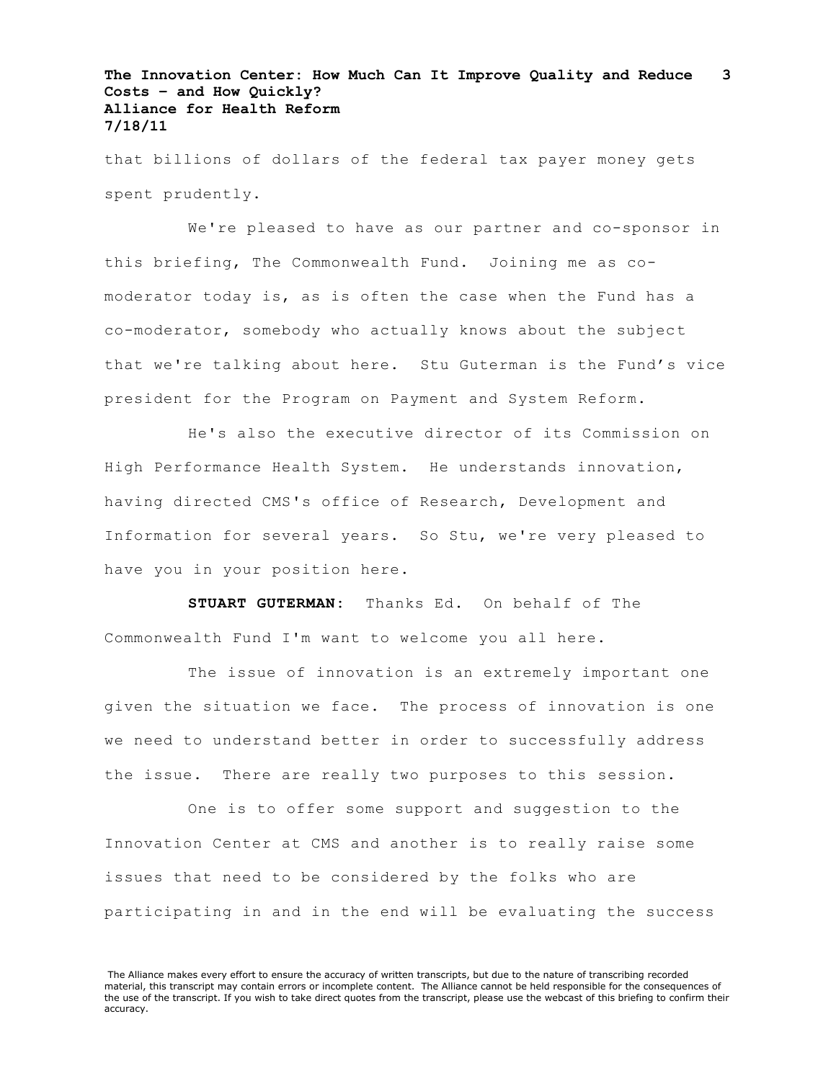that billions of dollars of the federal tax payer money gets spent prudently.

We're pleased to have as our partner and co-sponsor in this briefing, The Commonwealth Fund. Joining me as comoderator today is, as is often the case when the Fund has a co-moderator, somebody who actually knows about the subject that we're talking about here. Stu Guterman is the Fund's vice president for the Program on Payment and System Reform.

He's also the executive director of its Commission on High Performance Health System. He understands innovation, having directed CMS's office of Research, Development and Information for several years. So Stu, we're very pleased to have you in your position here.

**STUART GUTERMAN:** Thanks Ed. On behalf of The Commonwealth Fund I'm want to welcome you all here.

The issue of innovation is an extremely important one given the situation we face. The process of innovation is one we need to understand better in order to successfully address the issue. There are really two purposes to this session.

One is to offer some support and suggestion to the Innovation Center at CMS and another is to really raise some issues that need to be considered by the folks who are participating in and in the end will be evaluating the success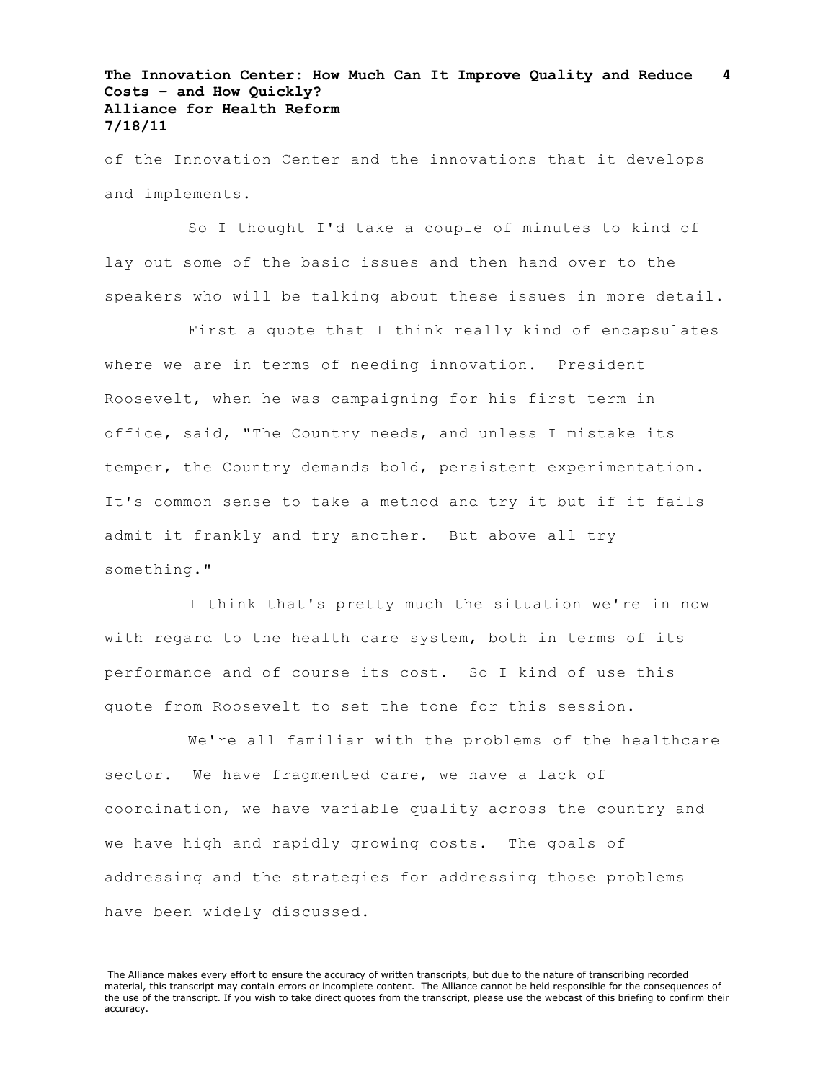of the Innovation Center and the innovations that it develops and implements.

So I thought I'd take a couple of minutes to kind of lay out some of the basic issues and then hand over to the speakers who will be talking about these issues in more detail.

First a quote that I think really kind of encapsulates where we are in terms of needing innovation. President Roosevelt, when he was campaigning for his first term in office, said, "The Country needs, and unless I mistake its temper, the Country demands bold, persistent experimentation. It's common sense to take a method and try it but if it fails admit it frankly and try another. But above all try something."

I think that's pretty much the situation we're in now with regard to the health care system, both in terms of its performance and of course its cost. So I kind of use this quote from Roosevelt to set the tone for this session.

We're all familiar with the problems of the healthcare sector. We have fragmented care, we have a lack of coordination, we have variable quality across the country and we have high and rapidly growing costs. The goals of addressing and the strategies for addressing those problems have been widely discussed.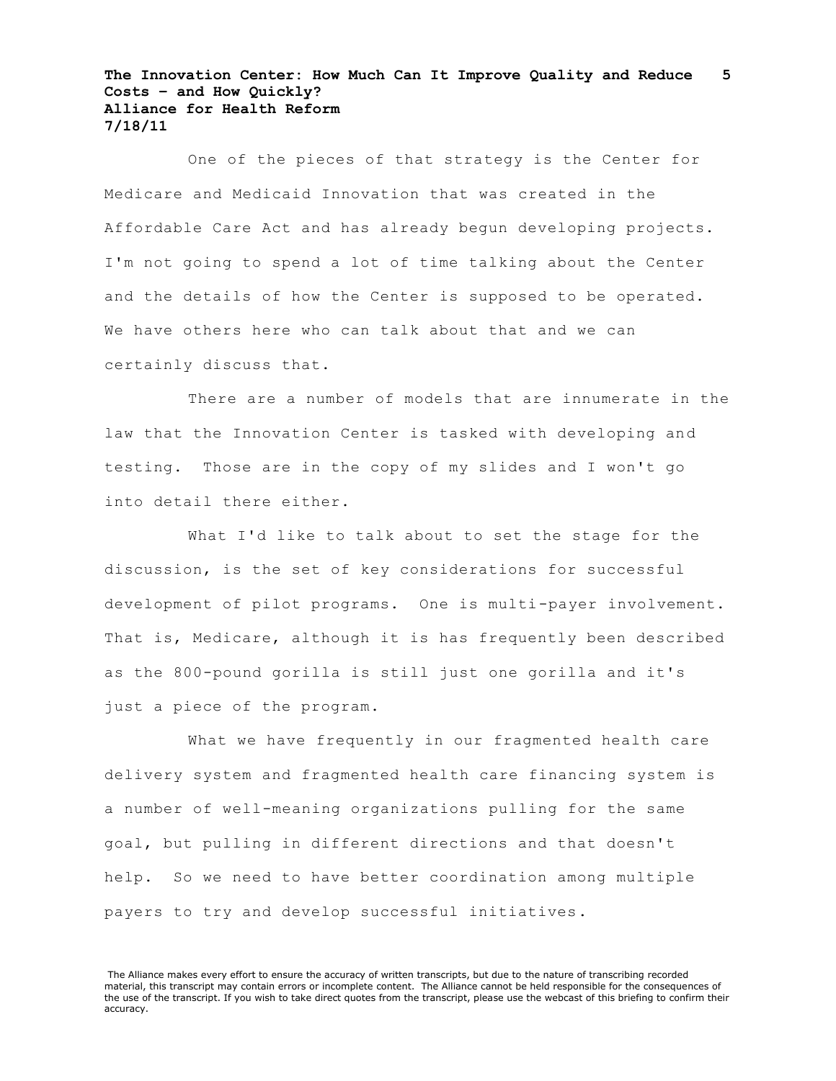One of the pieces of that strategy is the Center for Medicare and Medicaid Innovation that was created in the Affordable Care Act and has already begun developing projects. I'm not going to spend a lot of time talking about the Center and the details of how the Center is supposed to be operated. We have others here who can talk about that and we can certainly discuss that.

There are a number of models that are innumerate in the law that the Innovation Center is tasked with developing and testing. Those are in the copy of my slides and I won't go into detail there either.

What I'd like to talk about to set the stage for the discussion, is the set of key considerations for successful development of pilot programs. One is multi-payer involvement. That is, Medicare, although it is has frequently been described as the 800-pound gorilla is still just one gorilla and it's just a piece of the program.

What we have frequently in our fragmented health care delivery system and fragmented health care financing system is a number of well-meaning organizations pulling for the same goal, but pulling in different directions and that doesn't help. So we need to have better coordination among multiple payers to try and develop successful initiatives.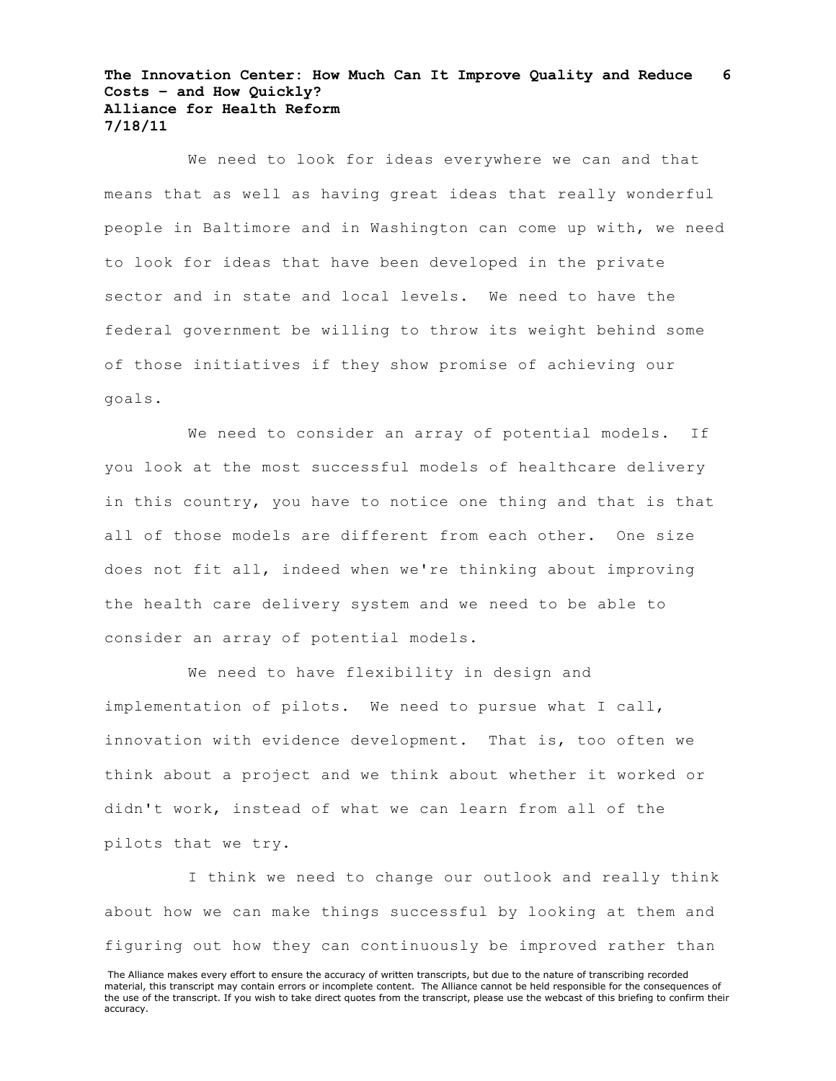We need to look for ideas everywhere we can and that means that as well as having great ideas that really wonderful people in Baltimore and in Washington can come up with, we need to look for ideas that have been developed in the private sector and in state and local levels. We need to have the federal government be willing to throw its weight behind some of those initiatives if they show promise of achieving our goals.

We need to consider an array of potential models. If you look at the most successful models of healthcare delivery in this country, you have to notice one thing and that is that all of those models are different from each other. One size does not fit all, indeed when we're thinking about improving the health care delivery system and we need to be able to consider an array of potential models.

We need to have flexibility in design and implementation of pilots. We need to pursue what I call, innovation with evidence development. That is, too often we think about a project and we think about whether it worked or didn't work, instead of what we can learn from all of the pilots that we try.

I think we need to change our outlook and really think about how we can make things successful by looking at them and figuring out how they can continuously be improved rather than

The Alliance makes every effort to ensure the accuracy of written transcripts, but due to the nature of transcribing recorded material, this transcript may contain errors or incomplete content. The Alliance cannot be held responsible for the consequences of the use of the transcript. If you wish to take direct quotes from the transcript, please use the webcast of this briefing to confirm their accuracy.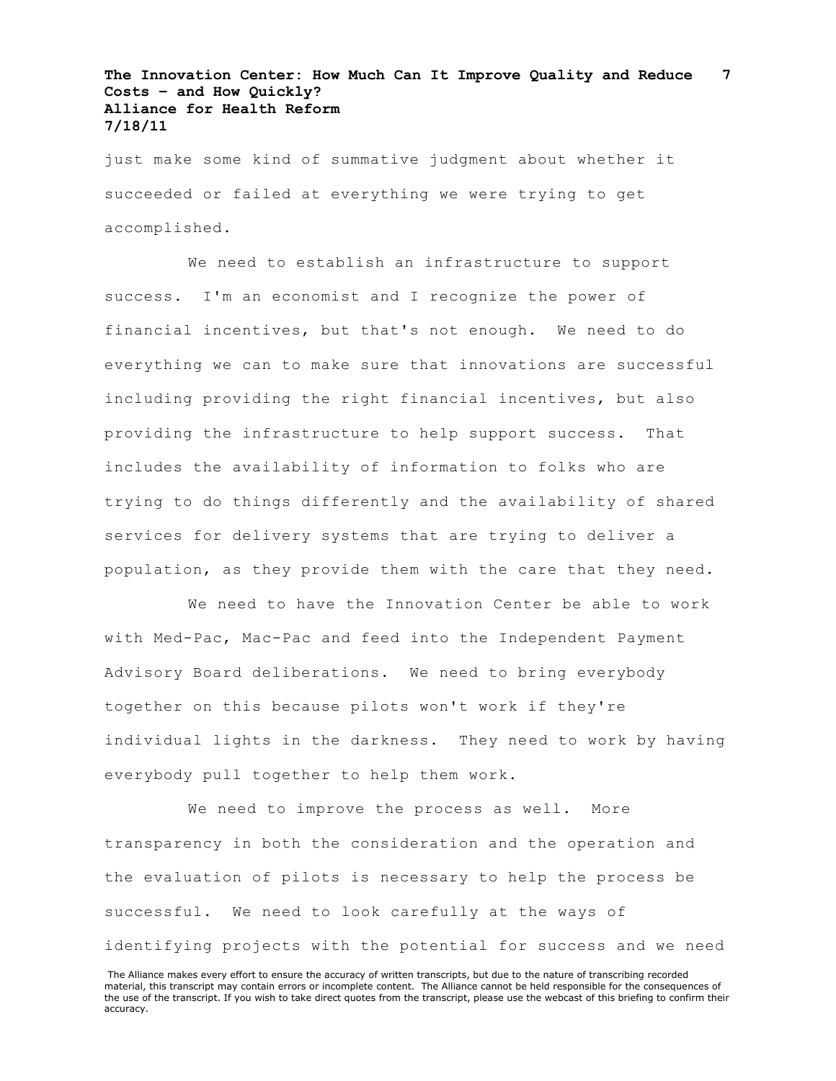just make some kind of summative judgment about whether it succeeded or failed at everything we were trying to get accomplished.

We need to establish an infrastructure to support success. I'm an economist and I recognize the power of financial incentives, but that's not enough. We need to do everything we can to make sure that innovations are successful including providing the right financial incentives, but also providing the infrastructure to help support success. That includes the availability of information to folks who are trying to do things differently and the availability of shared services for delivery systems that are trying to deliver a population, as they provide them with the care that they need.

We need to have the Innovation Center be able to work with Med-Pac, Mac-Pac and feed into the Independent Payment Advisory Board deliberations. We need to bring everybody together on this because pilots won't work if they're individual lights in the darkness. They need to work by having everybody pull together to help them work.

We need to improve the process as well. More transparency in both the consideration and the operation and the evaluation of pilots is necessary to help the process be successful. We need to look carefully at the ways of identifying projects with the potential for success and we need

The Alliance makes every effort to ensure the accuracy of written transcripts, but due to the nature of transcribing recorded material, this transcript may contain errors or incomplete content. The Alliance cannot be held responsible for the consequences of the use of the transcript. If you wish to take direct quotes from the transcript, please use the webcast of this briefing to confirm their accuracy.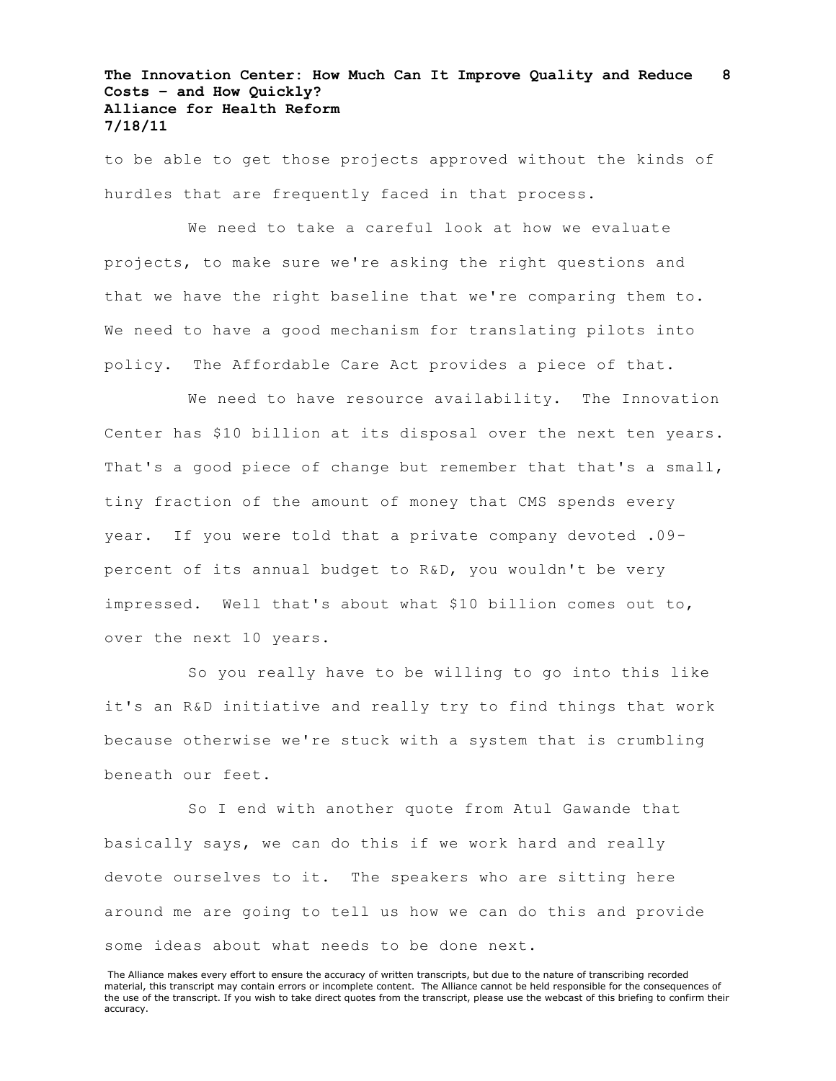to be able to get those projects approved without the kinds of hurdles that are frequently faced in that process.

We need to take a careful look at how we evaluate projects, to make sure we're asking the right questions and that we have the right baseline that we're comparing them to. We need to have a good mechanism for translating pilots into policy. The Affordable Care Act provides a piece of that.

We need to have resource availability. The Innovation Center has \$10 billion at its disposal over the next ten years. That's a good piece of change but remember that that's a small, tiny fraction of the amount of money that CMS spends every year. If you were told that a private company devoted .09 percent of its annual budget to R&D, you wouldn't be very impressed. Well that's about what \$10 billion comes out to, over the next 10 years.

So you really have to be willing to go into this like it's an R&D initiative and really try to find things that work because otherwise we're stuck with a system that is crumbling beneath our feet.

So I end with another quote from Atul Gawande that basically says, we can do this if we work hard and really devote ourselves to it. The speakers who are sitting here around me are going to tell us how we can do this and provide some ideas about what needs to be done next.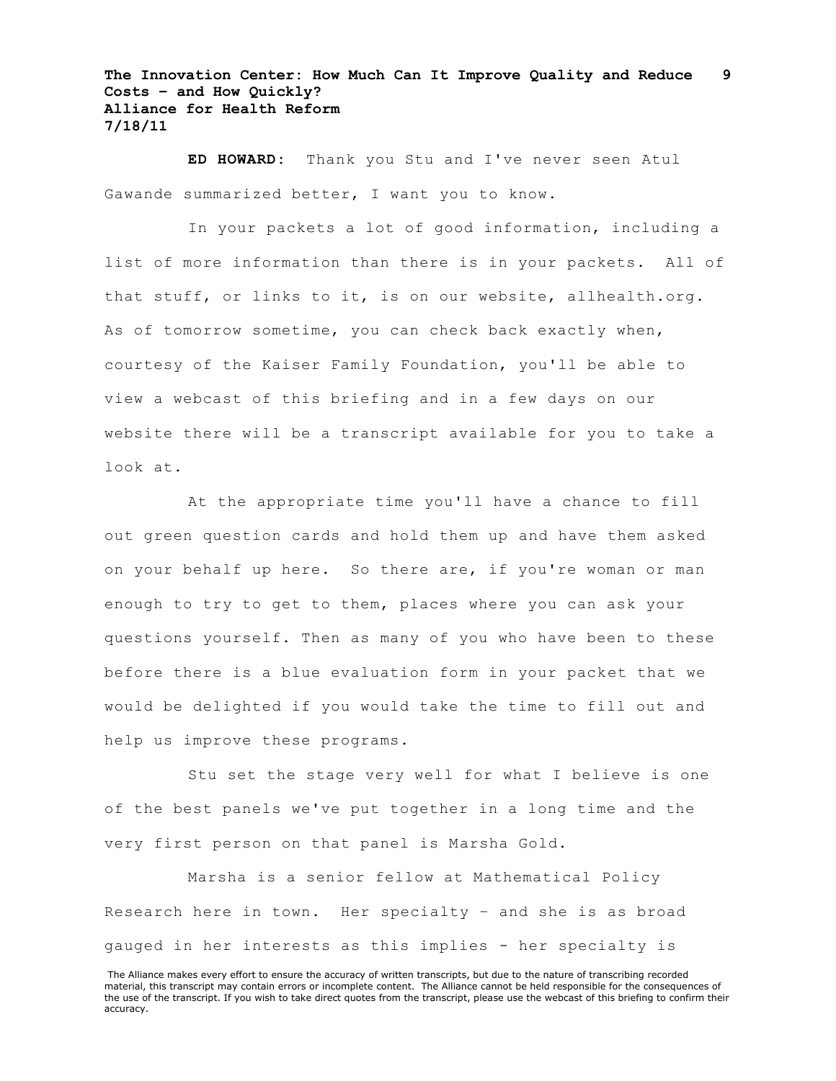**ED HOWARD:** Thank you Stu and I've never seen Atul Gawande summarized better, I want you to know.

In your packets a lot of good information, including a list of more information than there is in your packets. All of that stuff, or links to it, is on our website, allhealth.org. As of tomorrow sometime, you can check back exactly when, courtesy of the Kaiser Family Foundation, you'll be able to view a webcast of this briefing and in a few days on our website there will be a transcript available for you to take a look at.

At the appropriate time you'll have a chance to fill out green question cards and hold them up and have them asked on your behalf up here. So there are, if you're woman or man enough to try to get to them, places where you can ask your questions yourself. Then as many of you who have been to these before there is a blue evaluation form in your packet that we would be delighted if you would take the time to fill out and help us improve these programs.

Stu set the stage very well for what I believe is one of the best panels we've put together in a long time and the very first person on that panel is Marsha Gold.

Marsha is a senior fellow at Mathematical Policy Research here in town. Her specialty – and she is as broad gauged in her interests as this implies - her specialty is

The Alliance makes every effort to ensure the accuracy of written transcripts, but due to the nature of transcribing recorded material, this transcript may contain errors or incomplete content. The Alliance cannot be held responsible for the consequences of the use of the transcript. If you wish to take direct quotes from the transcript, please use the webcast of this briefing to confirm their accuracy.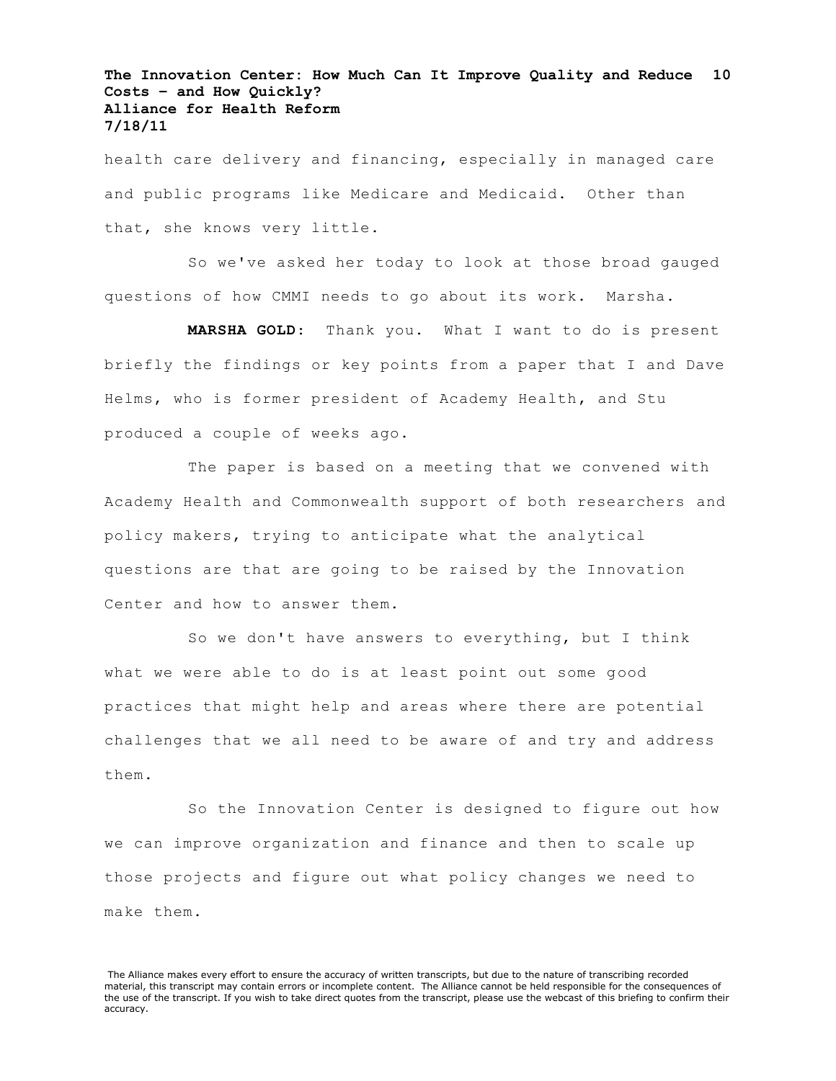health care delivery and financing, especially in managed care and public programs like Medicare and Medicaid. Other than that, she knows very little.

So we've asked her today to look at those broad gauged questions of how CMMI needs to go about its work. Marsha.

**MARSHA GOLD**: Thank you. What I want to do is present briefly the findings or key points from a paper that I and Dave Helms, who is former president of Academy Health, and Stu produced a couple of weeks ago.

The paper is based on a meeting that we convened with Academy Health and Commonwealth support of both researchers and policy makers, trying to anticipate what the analytical questions are that are going to be raised by the Innovation Center and how to answer them.

So we don't have answers to everything, but I think what we were able to do is at least point out some good practices that might help and areas where there are potential challenges that we all need to be aware of and try and address them.

So the Innovation Center is designed to figure out how we can improve organization and finance and then to scale up those projects and figure out what policy changes we need to make them.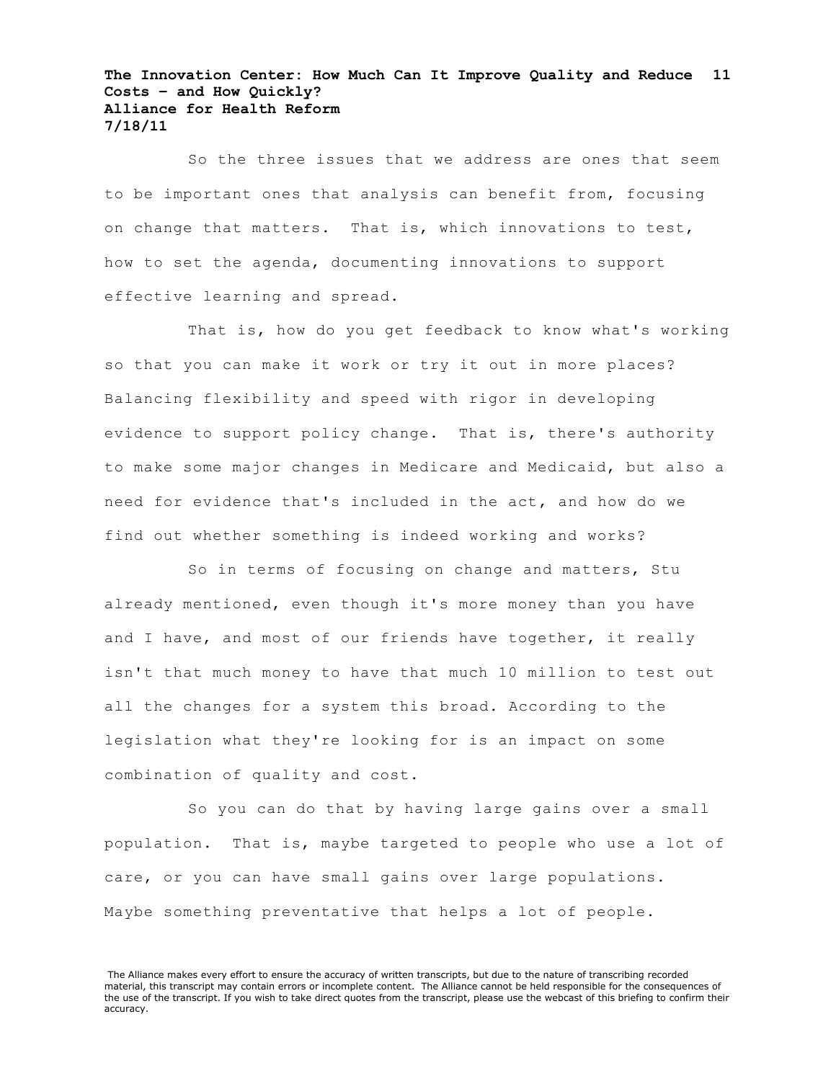So the three issues that we address are ones that seem to be important ones that analysis can benefit from, focusing on change that matters. That is, which innovations to test, how to set the agenda, documenting innovations to support effective learning and spread.

That is, how do you get feedback to know what's working so that you can make it work or try it out in more places? Balancing flexibility and speed with rigor in developing evidence to support policy change. That is, there's authority to make some major changes in Medicare and Medicaid, but also a need for evidence that's included in the act, and how do we find out whether something is indeed working and works?

So in terms of focusing on change and matters, Stu already mentioned, even though it's more money than you have and I have, and most of our friends have together, it really isn't that much money to have that much 10 million to test out all the changes for a system this broad. According to the legislation what they're looking for is an impact on some combination of quality and cost.

So you can do that by having large gains over a small population. That is, maybe targeted to people who use a lot of care, or you can have small gains over large populations. Maybe something preventative that helps a lot of people.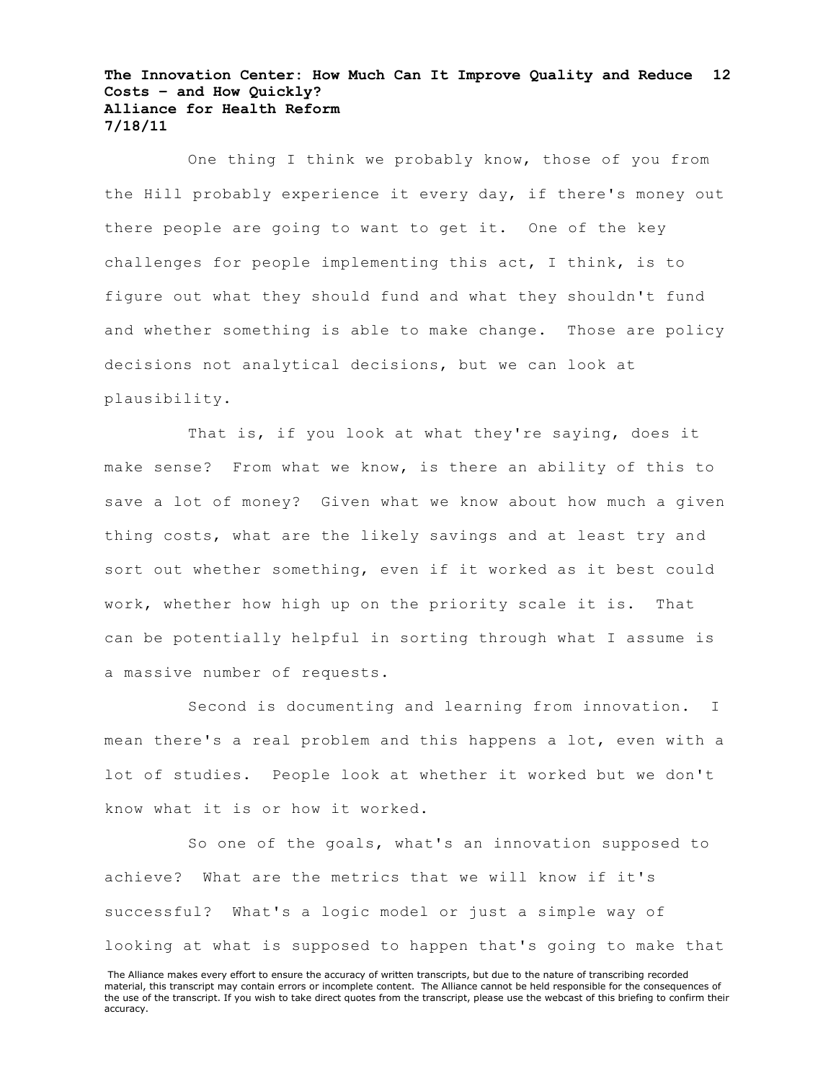One thing I think we probably know, those of you from the Hill probably experience it every day, if there's money out there people are going to want to get it. One of the key challenges for people implementing this act, I think, is to figure out what they should fund and what they shouldn't fund and whether something is able to make change. Those are policy decisions not analytical decisions, but we can look at plausibility.

That is, if you look at what they're saying, does it make sense? From what we know, is there an ability of this to save a lot of money? Given what we know about how much a given thing costs, what are the likely savings and at least try and sort out whether something, even if it worked as it best could work, whether how high up on the priority scale it is. That can be potentially helpful in sorting through what I assume is a massive number of requests.

Second is documenting and learning from innovation. I mean there's a real problem and this happens a lot, even with a lot of studies. People look at whether it worked but we don't know what it is or how it worked.

So one of the goals, what's an innovation supposed to achieve? What are the metrics that we will know if it's successful? What's a logic model or just a simple way of looking at what is supposed to happen that's going to make that

The Alliance makes every effort to ensure the accuracy of written transcripts, but due to the nature of transcribing recorded material, this transcript may contain errors or incomplete content. The Alliance cannot be held responsible for the consequences of the use of the transcript. If you wish to take direct quotes from the transcript, please use the webcast of this briefing to confirm their accuracy.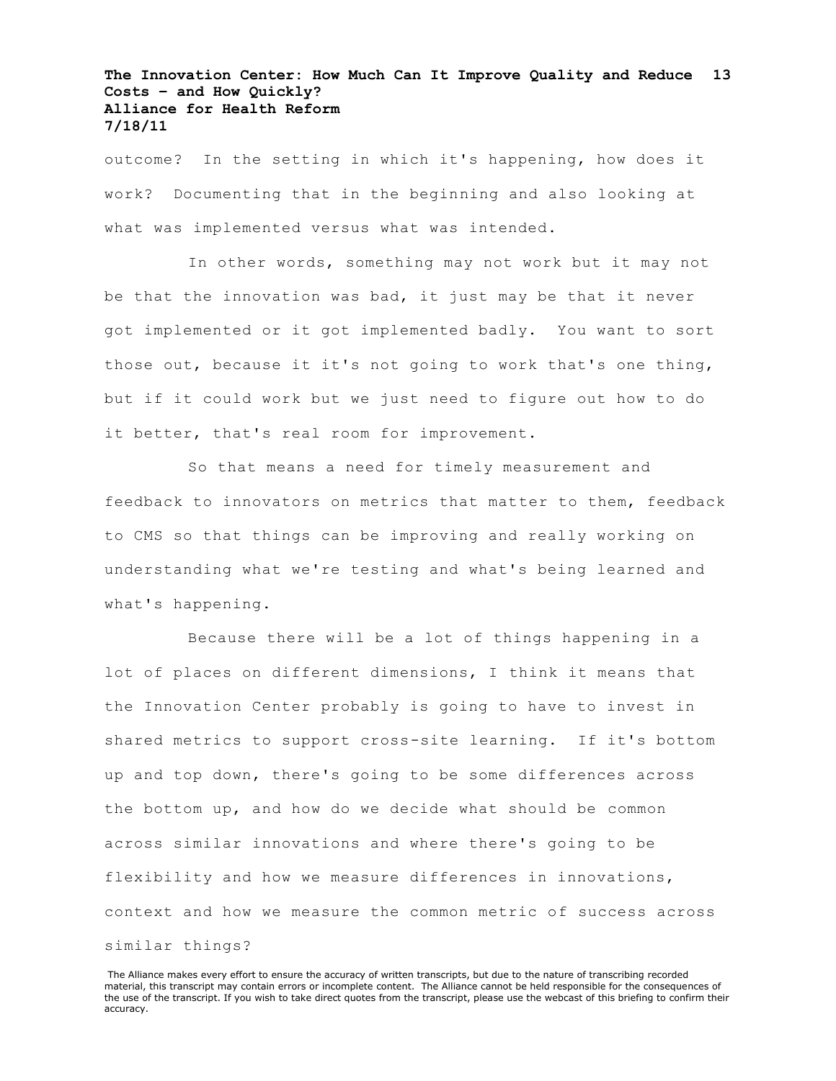outcome? In the setting in which it's happening, how does it work? Documenting that in the beginning and also looking at what was implemented versus what was intended.

In other words, something may not work but it may not be that the innovation was bad, it just may be that it never got implemented or it got implemented badly. You want to sort those out, because it it's not going to work that's one thing, but if it could work but we just need to figure out how to do it better, that's real room for improvement.

So that means a need for timely measurement and feedback to innovators on metrics that matter to them, feedback to CMS so that things can be improving and really working on understanding what we're testing and what's being learned and what's happening.

Because there will be a lot of things happening in a lot of places on different dimensions, I think it means that the Innovation Center probably is going to have to invest in shared metrics to support cross-site learning. If it's bottom up and top down, there's going to be some differences across the bottom up, and how do we decide what should be common across similar innovations and where there's going to be flexibility and how we measure differences in innovations, context and how we measure the common metric of success across similar things?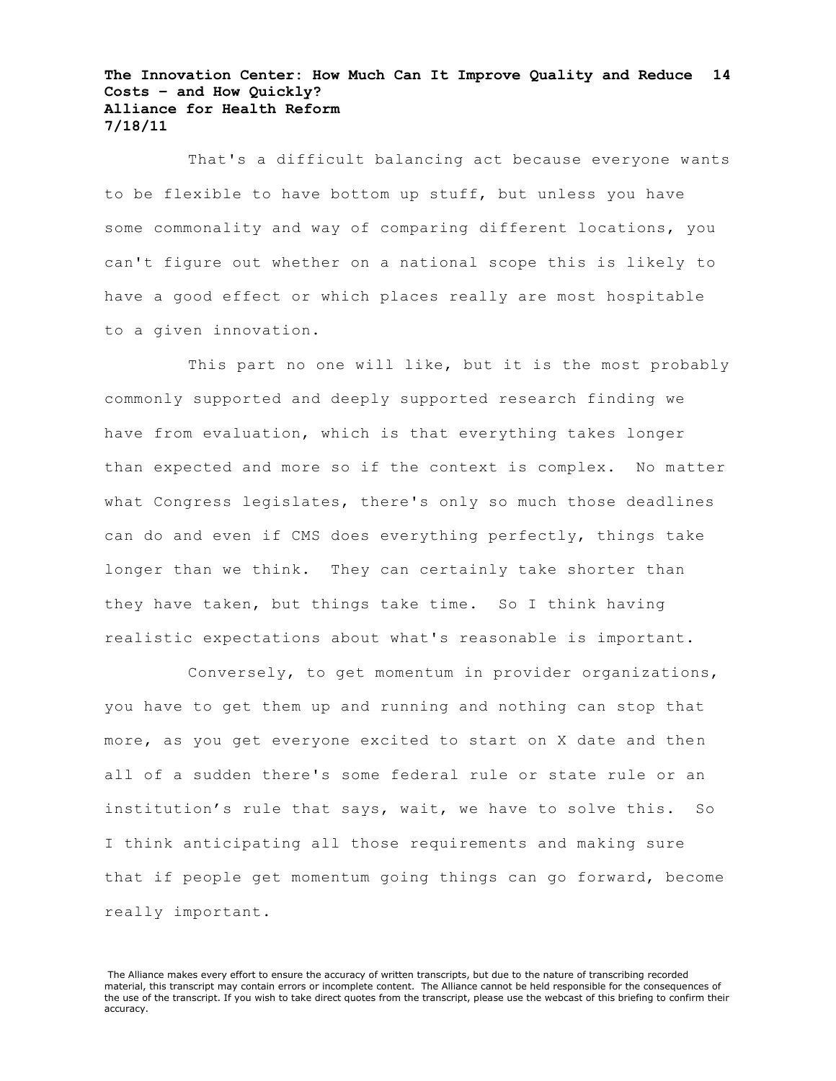That's a difficult balancing act because everyone wants to be flexible to have bottom up stuff, but unless you have some commonality and way of comparing different locations, you can't figure out whether on a national scope this is likely to have a good effect or which places really are most hospitable to a given innovation.

This part no one will like, but it is the most probably commonly supported and deeply supported research finding we have from evaluation, which is that everything takes longer than expected and more so if the context is complex. No matter what Congress legislates, there's only so much those deadlines can do and even if CMS does everything perfectly, things take longer than we think. They can certainly take shorter than they have taken, but things take time. So I think having realistic expectations about what's reasonable is important.

Conversely, to get momentum in provider organizations, you have to get them up and running and nothing can stop that more, as you get everyone excited to start on X date and then all of a sudden there's some federal rule or state rule or an institution's rule that says, wait, we have to solve this. So I think anticipating all those requirements and making sure that if people get momentum going things can go forward, become really important.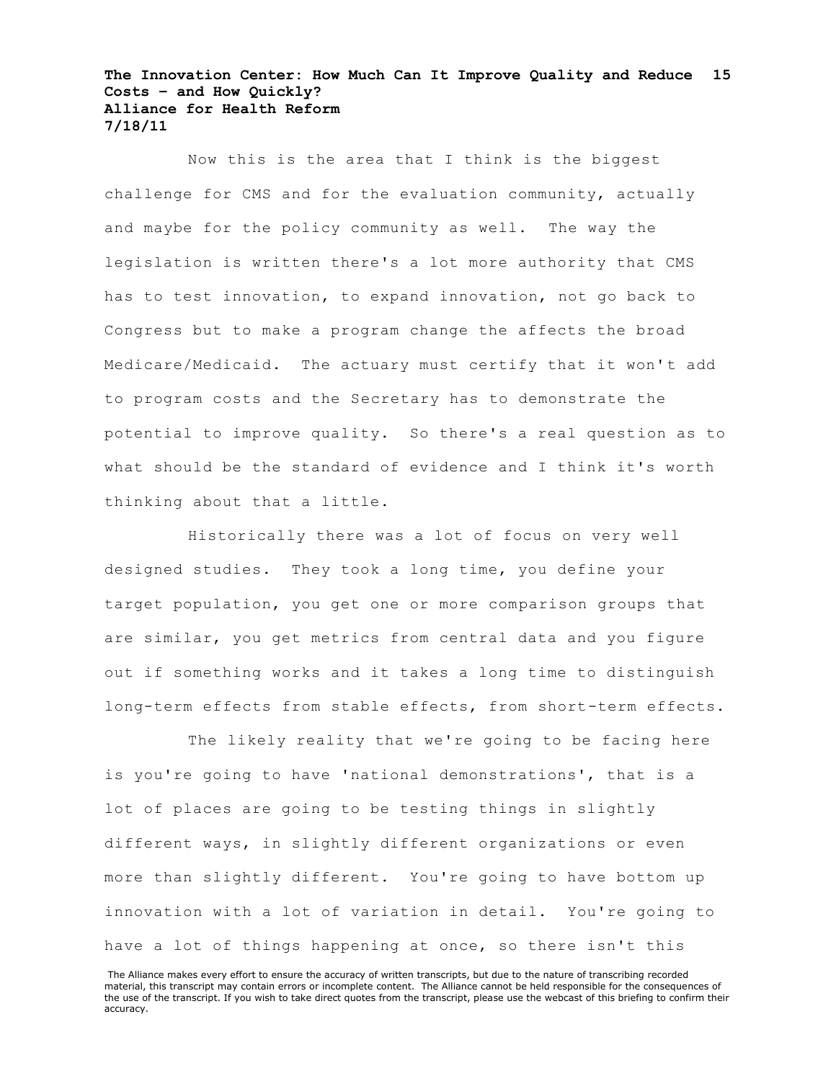Now this is the area that I think is the biggest challenge for CMS and for the evaluation community, actually and maybe for the policy community as well. The way the legislation is written there's a lot more authority that CMS has to test innovation, to expand innovation, not go back to Congress but to make a program change the affects the broad Medicare/Medicaid. The actuary must certify that it won't add to program costs and the Secretary has to demonstrate the potential to improve quality. So there's a real question as to what should be the standard of evidence and I think it's worth thinking about that a little.

Historically there was a lot of focus on very well designed studies. They took a long time, you define your target population, you get one or more comparison groups that are similar, you get metrics from central data and you figure out if something works and it takes a long time to distinguish long-term effects from stable effects, from short-term effects.

The likely reality that we're going to be facing here is you're going to have 'national demonstrations', that is a lot of places are going to be testing things in slightly different ways, in slightly different organizations or even more than slightly different. You're going to have bottom up innovation with a lot of variation in detail. You're going to have a lot of things happening at once, so there isn't this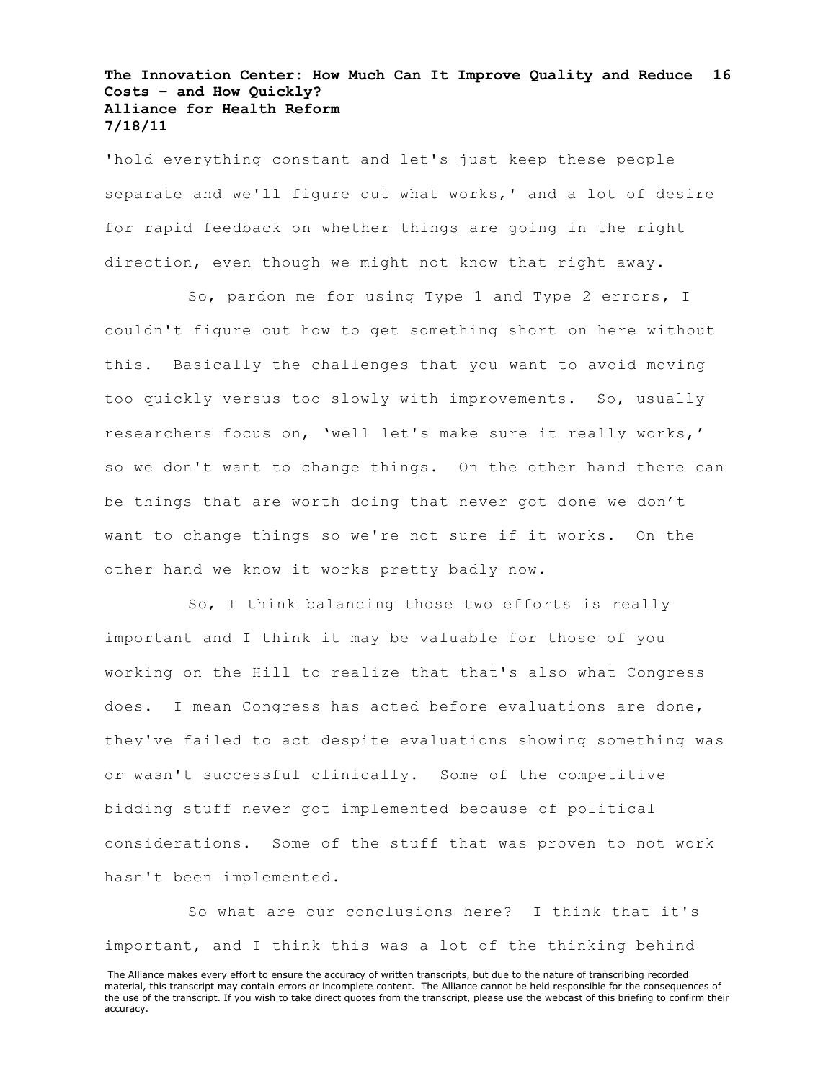'hold everything constant and let's just keep these people separate and we'll figure out what works,' and a lot of desire for rapid feedback on whether things are going in the right direction, even though we might not know that right away.

So, pardon me for using Type 1 and Type 2 errors, I couldn't figure out how to get something short on here without this. Basically the challenges that you want to avoid moving too quickly versus too slowly with improvements. So, usually researchers focus on, 'well let's make sure it really works,' so we don't want to change things. On the other hand there can be things that are worth doing that never got done we don't want to change things so we're not sure if it works. On the other hand we know it works pretty badly now.

So, I think balancing those two efforts is really important and I think it may be valuable for those of you working on the Hill to realize that that's also what Congress does. I mean Congress has acted before evaluations are done, they've failed to act despite evaluations showing something was or wasn't successful clinically. Some of the competitive bidding stuff never got implemented because of political considerations. Some of the stuff that was proven to not work hasn't been implemented.

So what are our conclusions here? I think that it's important, and I think this was a lot of the thinking behind

The Alliance makes every effort to ensure the accuracy of written transcripts, but due to the nature of transcribing recorded material, this transcript may contain errors or incomplete content. The Alliance cannot be held responsible for the consequences of the use of the transcript. If you wish to take direct quotes from the transcript, please use the webcast of this briefing to confirm their accuracy.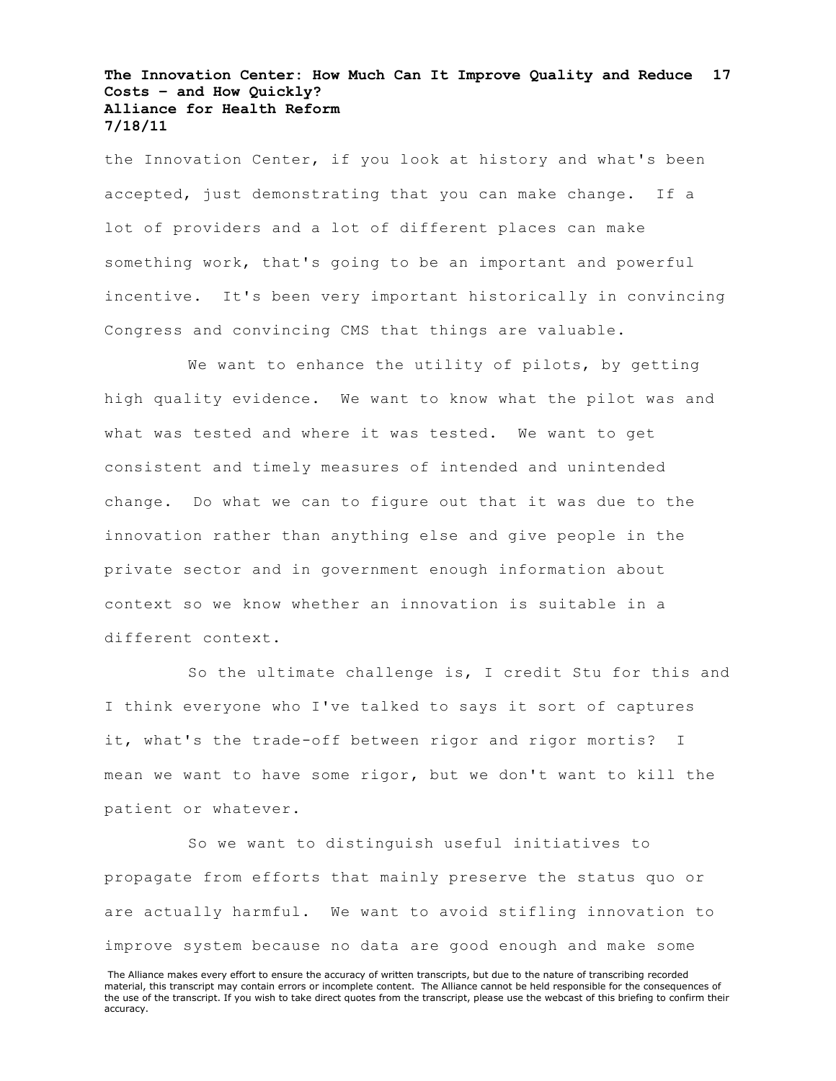the Innovation Center, if you look at history and what's been accepted, just demonstrating that you can make change. If a lot of providers and a lot of different places can make something work, that's going to be an important and powerful incentive. It's been very important historically in convincing Congress and convincing CMS that things are valuable.

We want to enhance the utility of pilots, by getting high quality evidence. We want to know what the pilot was and what was tested and where it was tested. We want to get consistent and timely measures of intended and unintended change. Do what we can to figure out that it was due to the innovation rather than anything else and give people in the private sector and in government enough information about context so we know whether an innovation is suitable in a different context.

So the ultimate challenge is, I credit Stu for this and I think everyone who I've talked to says it sort of captures it, what's the trade-off between rigor and rigor mortis? I mean we want to have some rigor, but we don't want to kill the patient or whatever.

So we want to distinguish useful initiatives to propagate from efforts that mainly preserve the status quo or are actually harmful. We want to avoid stifling innovation to improve system because no data are good enough and make some

The Alliance makes every effort to ensure the accuracy of written transcripts, but due to the nature of transcribing recorded material, this transcript may contain errors or incomplete content. The Alliance cannot be held responsible for the consequences of the use of the transcript. If you wish to take direct quotes from the transcript, please use the webcast of this briefing to confirm their accuracy.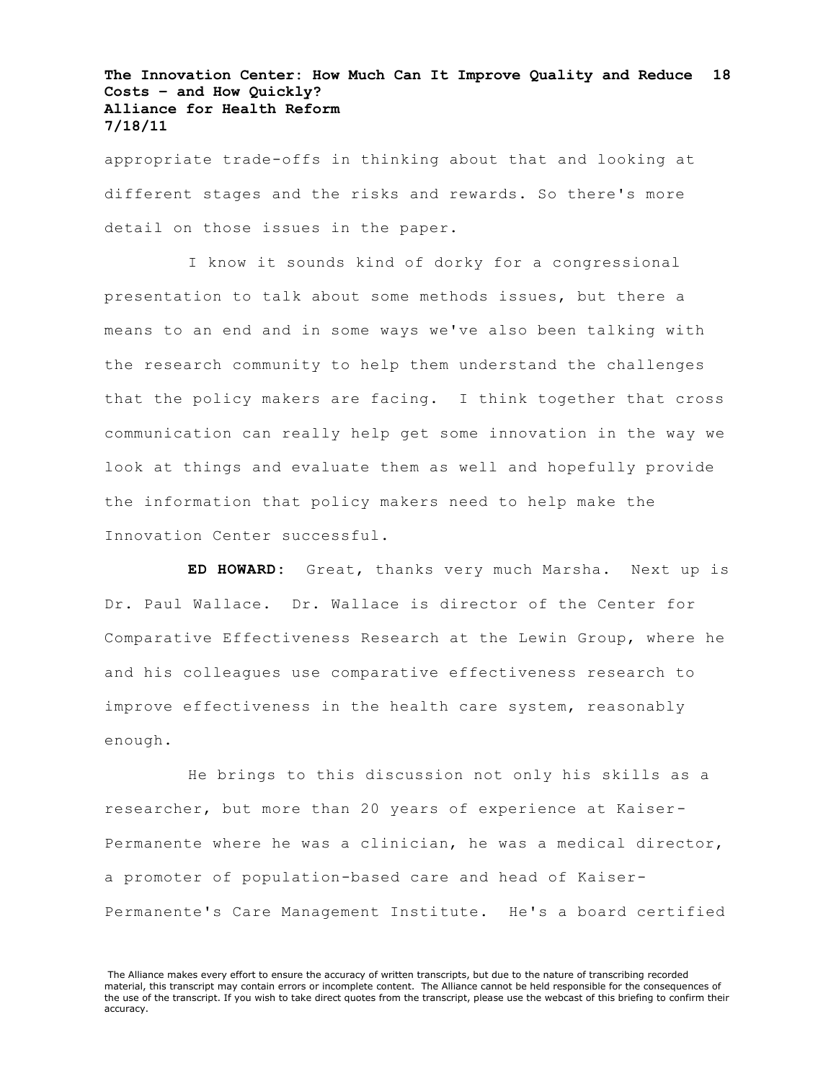appropriate trade-offs in thinking about that and looking at different stages and the risks and rewards. So there's more detail on those issues in the paper.

I know it sounds kind of dorky for a congressional presentation to talk about some methods issues, but there a means to an end and in some ways we've also been talking with the research community to help them understand the challenges that the policy makers are facing. I think together that cross communication can really help get some innovation in the way we look at things and evaluate them as well and hopefully provide the information that policy makers need to help make the Innovation Center successful.

**ED HOWARD:** Great, thanks very much Marsha. Next up is Dr. Paul Wallace. Dr. Wallace is director of the Center for Comparative Effectiveness Research at the Lewin Group, where he and his colleagues use comparative effectiveness research to improve effectiveness in the health care system, reasonably enough.

He brings to this discussion not only his skills as a researcher, but more than 20 years of experience at Kaiser-Permanente where he was a clinician, he was a medical director, a promoter of population-based care and head of Kaiser-Permanente's Care Management Institute. He's a board certified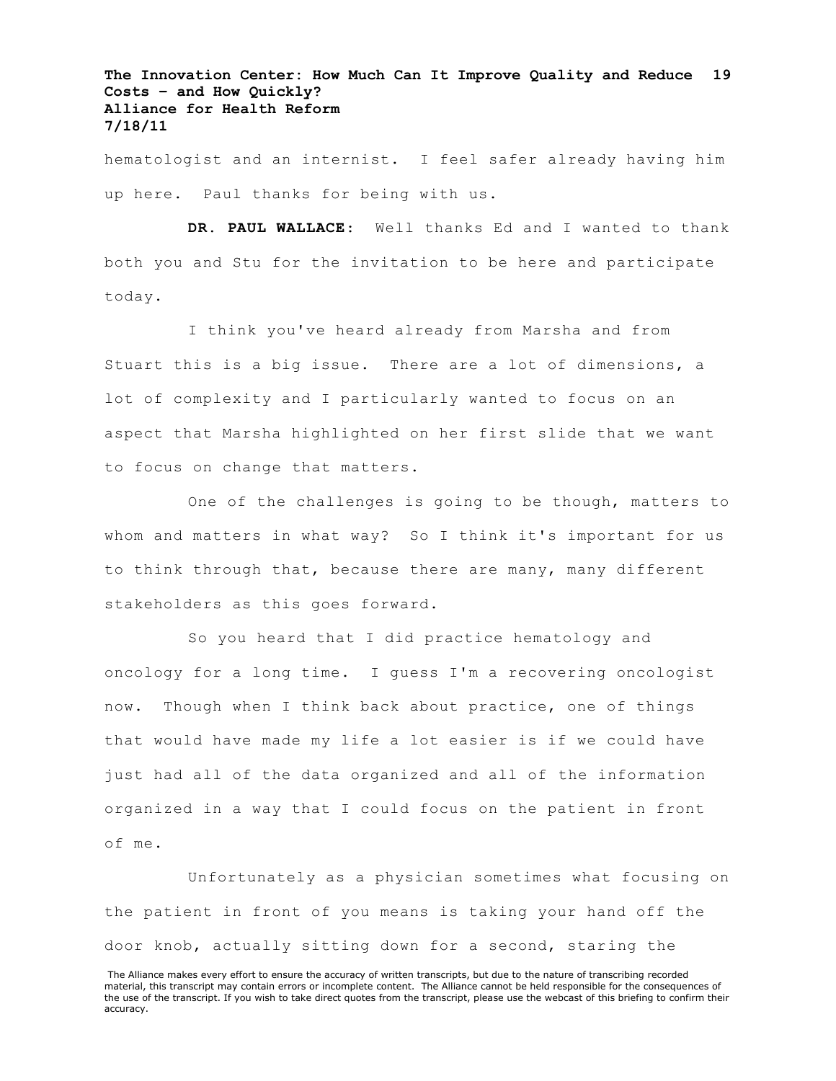hematologist and an internist. I feel safer already having him up here. Paul thanks for being with us.

**DR. PAUL WALLACE**: Well thanks Ed and I wanted to thank both you and Stu for the invitation to be here and participate today.

I think you've heard already from Marsha and from Stuart this is a big issue. There are a lot of dimensions, a lot of complexity and I particularly wanted to focus on an aspect that Marsha highlighted on her first slide that we want to focus on change that matters.

One of the challenges is going to be though, matters to whom and matters in what way? So I think it's important for us to think through that, because there are many, many different stakeholders as this goes forward.

So you heard that I did practice hematology and oncology for a long time. I guess I'm a recovering oncologist now. Though when I think back about practice, one of things that would have made my life a lot easier is if we could have just had all of the data organized and all of the information organized in a way that I could focus on the patient in front of me.

Unfortunately as a physician sometimes what focusing on the patient in front of you means is taking your hand off the door knob, actually sitting down for a second, staring the

The Alliance makes every effort to ensure the accuracy of written transcripts, but due to the nature of transcribing recorded material, this transcript may contain errors or incomplete content. The Alliance cannot be held responsible for the consequences of the use of the transcript. If you wish to take direct quotes from the transcript, please use the webcast of this briefing to confirm their accuracy.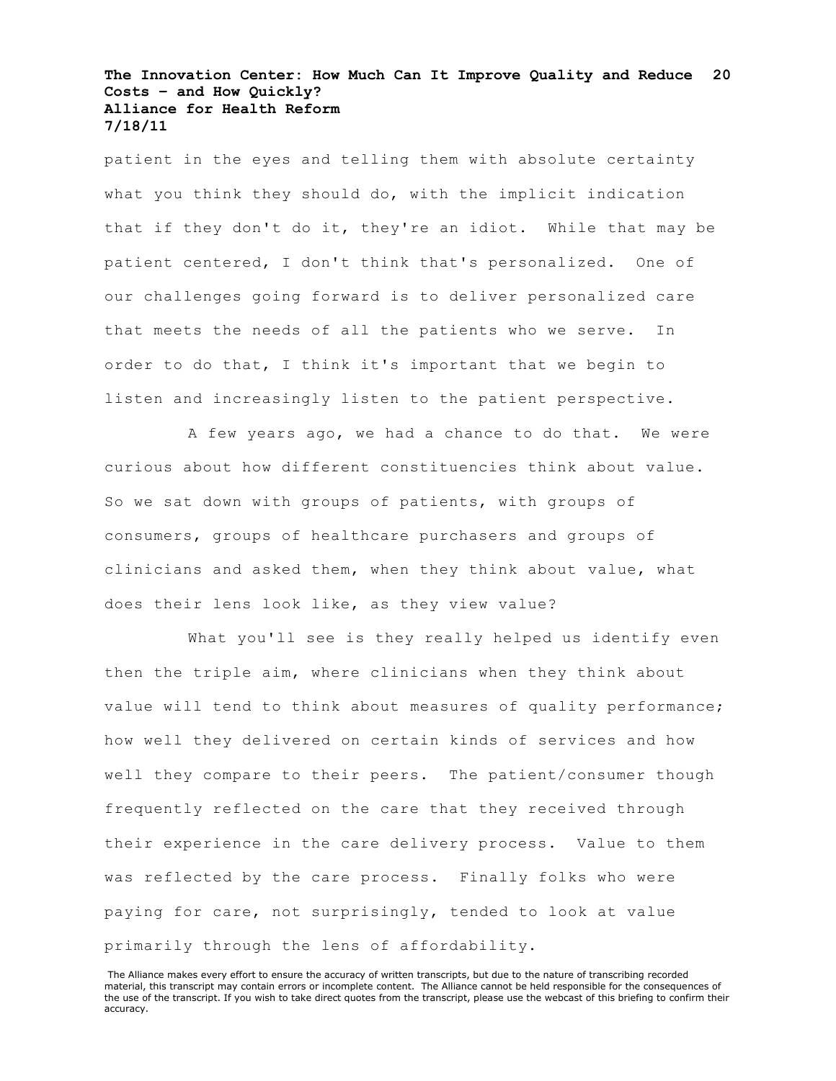patient in the eyes and telling them with absolute certainty what you think they should do, with the implicit indication that if they don't do it, they're an idiot. While that may be patient centered, I don't think that's personalized. One of our challenges going forward is to deliver personalized care that meets the needs of all the patients who we serve. In order to do that, I think it's important that we begin to listen and increasingly listen to the patient perspective.

A few years ago, we had a chance to do that. We were curious about how different constituencies think about value. So we sat down with groups of patients, with groups of consumers, groups of healthcare purchasers and groups of clinicians and asked them, when they think about value, what does their lens look like, as they view value?

What you'll see is they really helped us identify even then the triple aim, where clinicians when they think about value will tend to think about measures of quality performance; how well they delivered on certain kinds of services and how well they compare to their peers. The patient/consumer though frequently reflected on the care that they received through their experience in the care delivery process. Value to them was reflected by the care process. Finally folks who were paying for care, not surprisingly, tended to look at value primarily through the lens of affordability.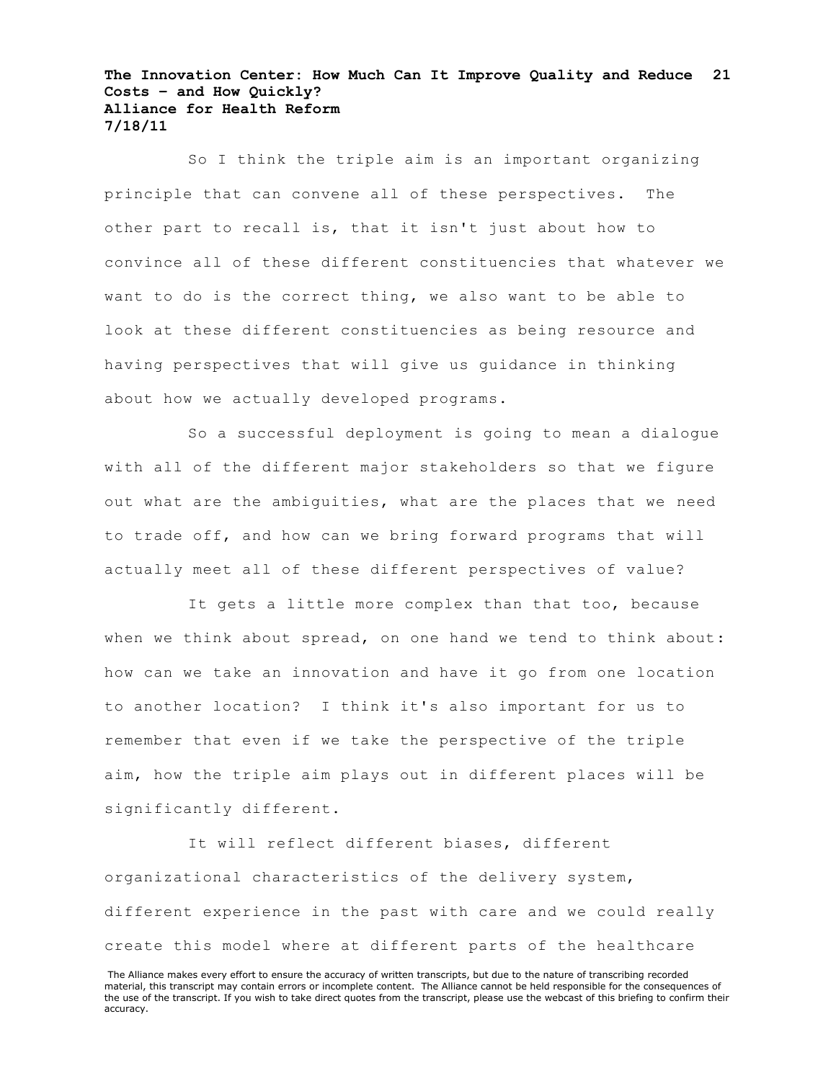So I think the triple aim is an important organizing principle that can convene all of these perspectives. The other part to recall is, that it isn't just about how to convince all of these different constituencies that whatever we want to do is the correct thing, we also want to be able to look at these different constituencies as being resource and having perspectives that will give us guidance in thinking about how we actually developed programs.

So a successful deployment is going to mean a dialogue with all of the different major stakeholders so that we figure out what are the ambiguities, what are the places that we need to trade off, and how can we bring forward programs that will actually meet all of these different perspectives of value?

It gets a little more complex than that too, because when we think about spread, on one hand we tend to think about: how can we take an innovation and have it go from one location to another location? I think it's also important for us to remember that even if we take the perspective of the triple aim, how the triple aim plays out in different places will be significantly different.

It will reflect different biases, different organizational characteristics of the delivery system, different experience in the past with care and we could really create this model where at different parts of the healthcare

The Alliance makes every effort to ensure the accuracy of written transcripts, but due to the nature of transcribing recorded material, this transcript may contain errors or incomplete content. The Alliance cannot be held responsible for the consequences of the use of the transcript. If you wish to take direct quotes from the transcript, please use the webcast of this briefing to confirm their accuracy.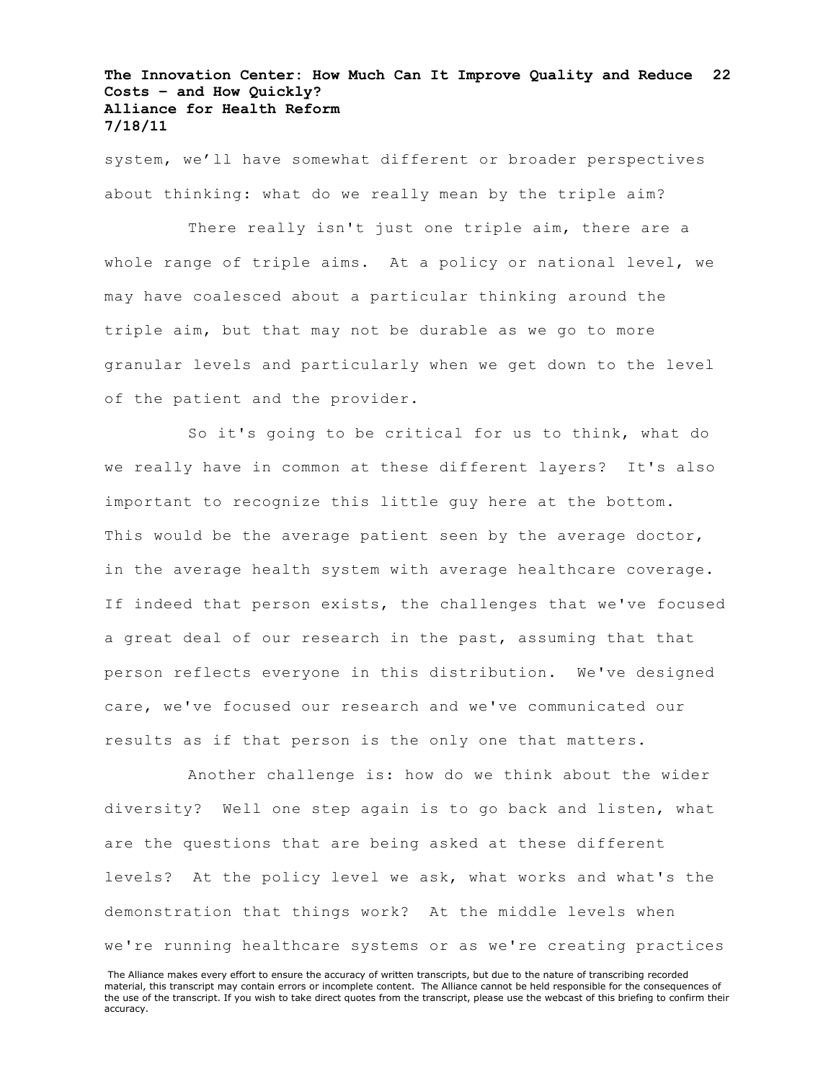system, we'll have somewhat different or broader perspectives about thinking: what do we really mean by the triple aim?

There really isn't just one triple aim, there are a whole range of triple aims. At a policy or national level, we may have coalesced about a particular thinking around the triple aim, but that may not be durable as we go to more granular levels and particularly when we get down to the level of the patient and the provider.

So it's going to be critical for us to think, what do we really have in common at these different layers? It's also important to recognize this little guy here at the bottom. This would be the average patient seen by the average doctor, in the average health system with average healthcare coverage. If indeed that person exists, the challenges that we've focused a great deal of our research in the past, assuming that that person reflects everyone in this distribution. We've designed care, we've focused our research and we've communicated our results as if that person is the only one that matters.

Another challenge is: how do we think about the wider diversity? Well one step again is to go back and listen, what are the questions that are being asked at these different levels? At the policy level we ask, what works and what's the demonstration that things work? At the middle levels when we're running healthcare systems or as we're creating practices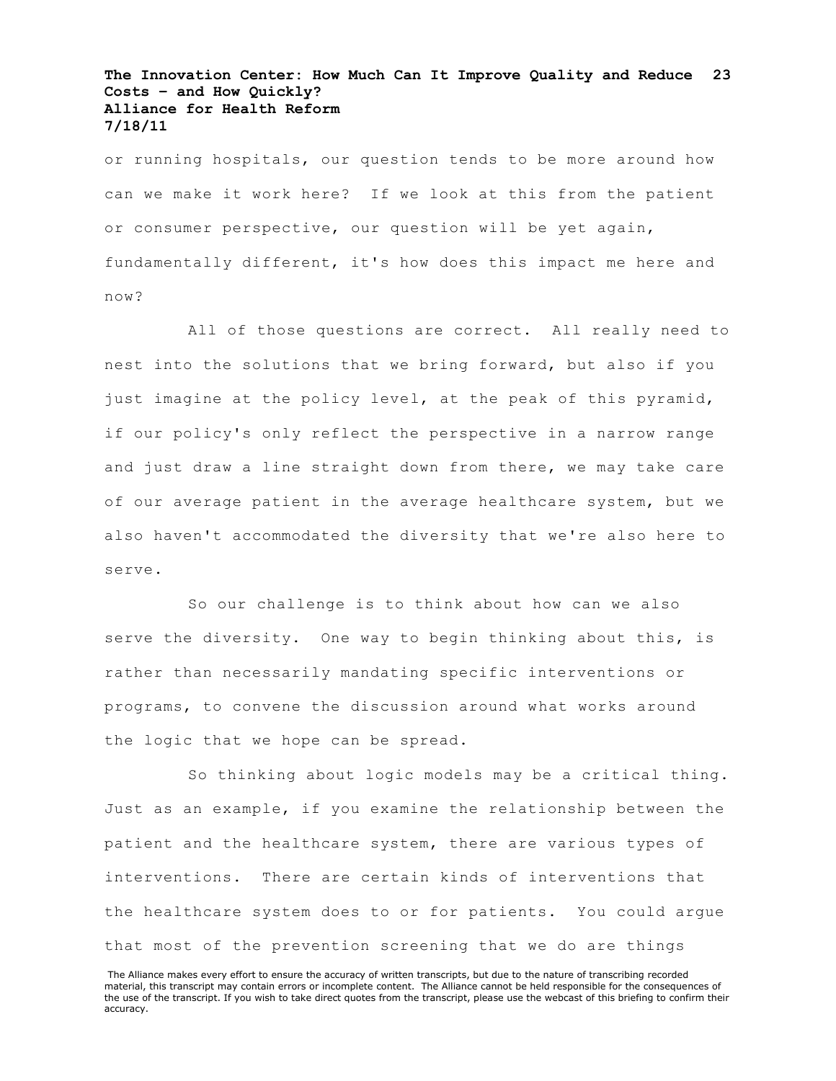or running hospitals, our question tends to be more around how can we make it work here? If we look at this from the patient or consumer perspective, our question will be yet again, fundamentally different, it's how does this impact me here and now?

All of those questions are correct. All really need to nest into the solutions that we bring forward, but also if you just imagine at the policy level, at the peak of this pyramid, if our policy's only reflect the perspective in a narrow range and just draw a line straight down from there, we may take care of our average patient in the average healthcare system, but we also haven't accommodated the diversity that we're also here to serve.

So our challenge is to think about how can we also serve the diversity. One way to begin thinking about this, is rather than necessarily mandating specific interventions or programs, to convene the discussion around what works around the logic that we hope can be spread.

So thinking about logic models may be a critical thing. Just as an example, if you examine the relationship between the patient and the healthcare system, there are various types of interventions. There are certain kinds of interventions that the healthcare system does to or for patients. You could argue that most of the prevention screening that we do are things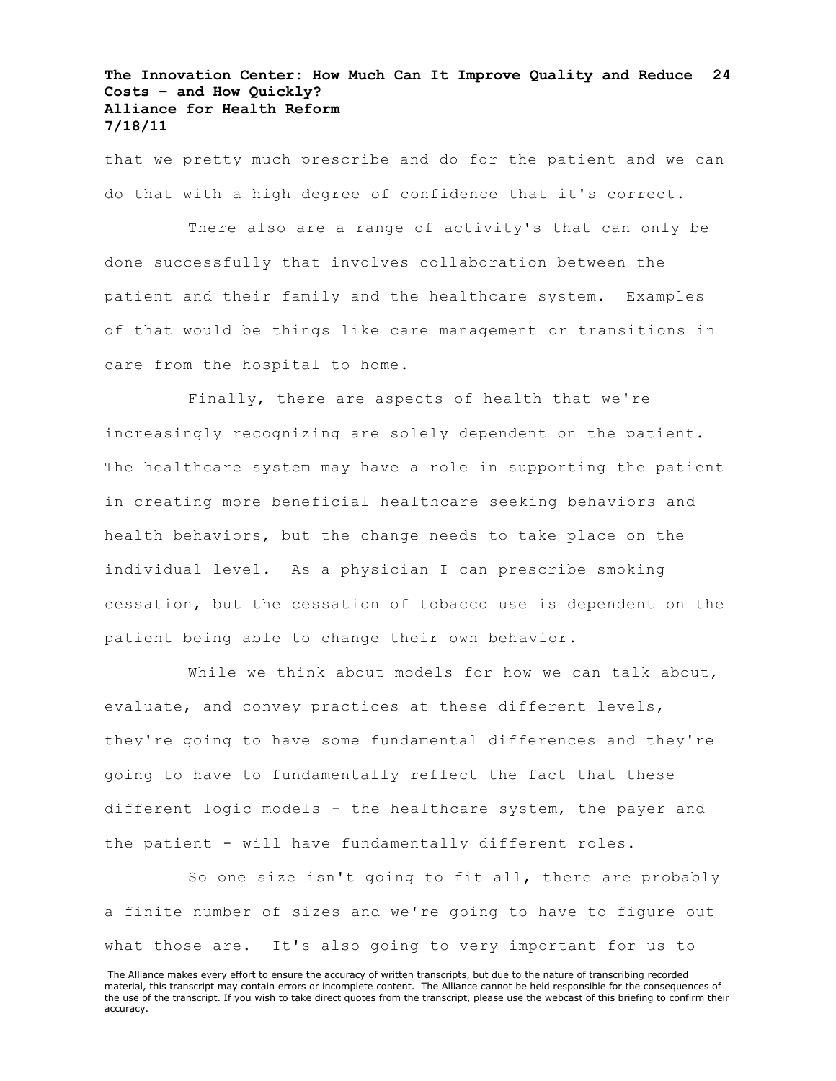that we pretty much prescribe and do for the patient and we can do that with a high degree of confidence that it's correct.

There also are a range of activity's that can only be done successfully that involves collaboration between the patient and their family and the healthcare system. Examples of that would be things like care management or transitions in care from the hospital to home.

Finally, there are aspects of health that we're increasingly recognizing are solely dependent on the patient. The healthcare system may have a role in supporting the patient in creating more beneficial healthcare seeking behaviors and health behaviors, but the change needs to take place on the individual level. As a physician I can prescribe smoking cessation, but the cessation of tobacco use is dependent on the patient being able to change their own behavior.

While we think about models for how we can talk about, evaluate, and convey practices at these different levels, they're going to have some fundamental differences and they're going to have to fundamentally reflect the fact that these different logic models - the healthcare system, the payer and the patient - will have fundamentally different roles.

So one size isn't going to fit all, there are probably a finite number of sizes and we're going to have to figure out what those are. It's also going to very important for us to

The Alliance makes every effort to ensure the accuracy of written transcripts, but due to the nature of transcribing recorded material, this transcript may contain errors or incomplete content. The Alliance cannot be held responsible for the consequences of the use of the transcript. If you wish to take direct quotes from the transcript, please use the webcast of this briefing to confirm their accuracy.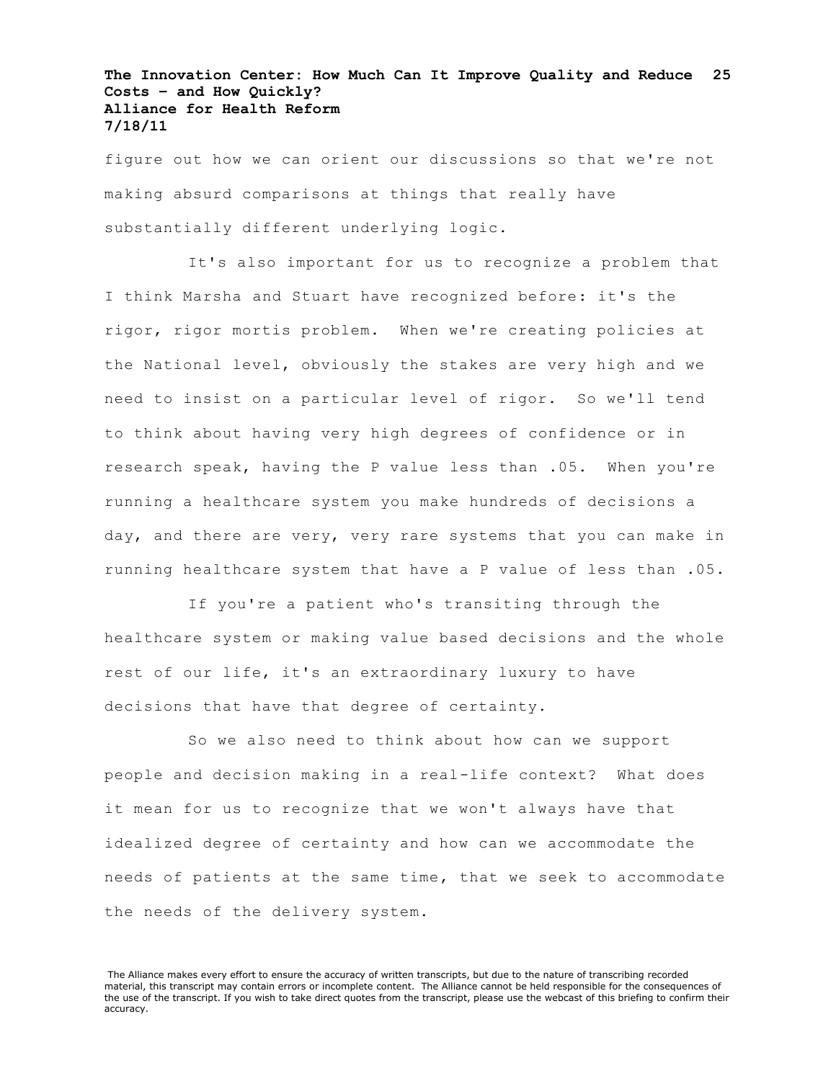figure out how we can orient our discussions so that we're not making absurd comparisons at things that really have substantially different underlying logic.

It's also important for us to recognize a problem that I think Marsha and Stuart have recognized before: it's the rigor, rigor mortis problem. When we're creating policies at the National level, obviously the stakes are very high and we need to insist on a particular level of rigor. So we'll tend to think about having very high degrees of confidence or in research speak, having the P value less than .05. When you're running a healthcare system you make hundreds of decisions a day, and there are very, very rare systems that you can make in running healthcare system that have a P value of less than .05.

If you're a patient who's transiting through the healthcare system or making value based decisions and the whole rest of our life, it's an extraordinary luxury to have decisions that have that degree of certainty.

So we also need to think about how can we support people and decision making in a real-life context? What does it mean for us to recognize that we won't always have that idealized degree of certainty and how can we accommodate the needs of patients at the same time, that we seek to accommodate the needs of the delivery system.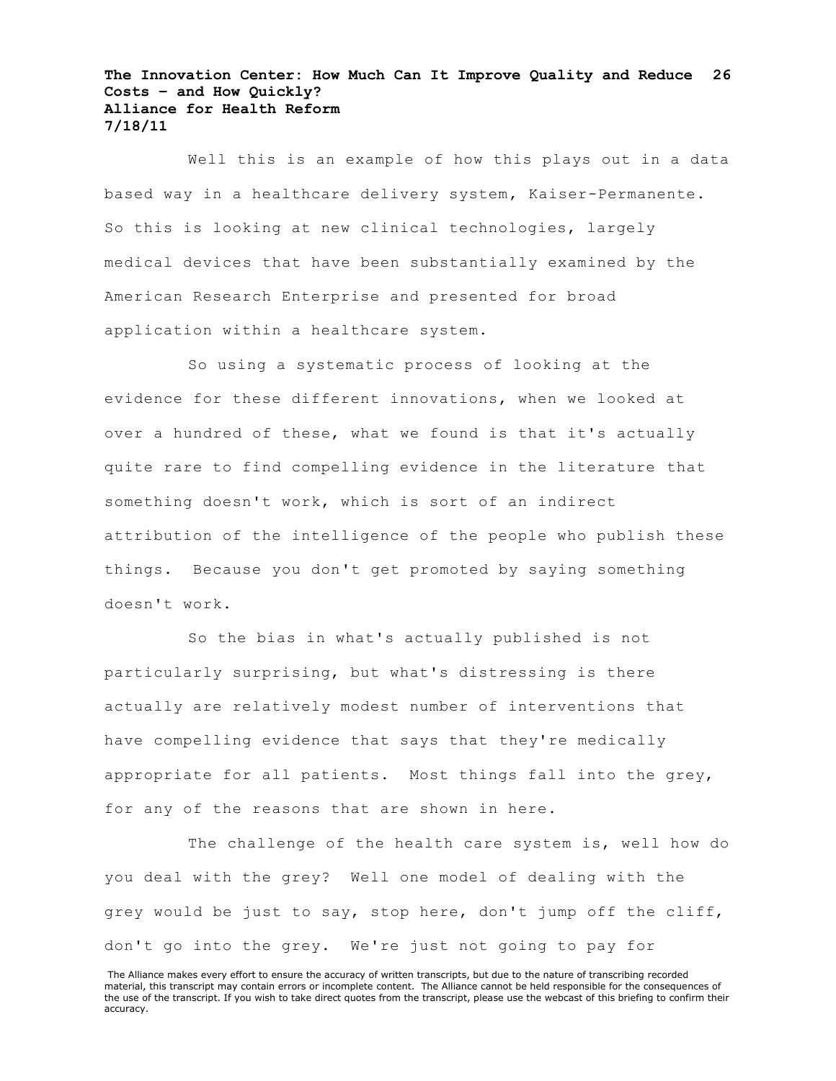Well this is an example of how this plays out in a data based way in a healthcare delivery system, Kaiser-Permanente. So this is looking at new clinical technologies, largely medical devices that have been substantially examined by the American Research Enterprise and presented for broad application within a healthcare system.

So using a systematic process of looking at the evidence for these different innovations, when we looked at over a hundred of these, what we found is that it's actually quite rare to find compelling evidence in the literature that something doesn't work, which is sort of an indirect attribution of the intelligence of the people who publish these things. Because you don't get promoted by saying something doesn't work.

So the bias in what's actually published is not particularly surprising, but what's distressing is there actually are relatively modest number of interventions that have compelling evidence that says that they're medically appropriate for all patients. Most things fall into the grey, for any of the reasons that are shown in here.

The challenge of the health care system is, well how do you deal with the grey? Well one model of dealing with the grey would be just to say, stop here, don't jump off the cliff, don't go into the grey. We're just not going to pay for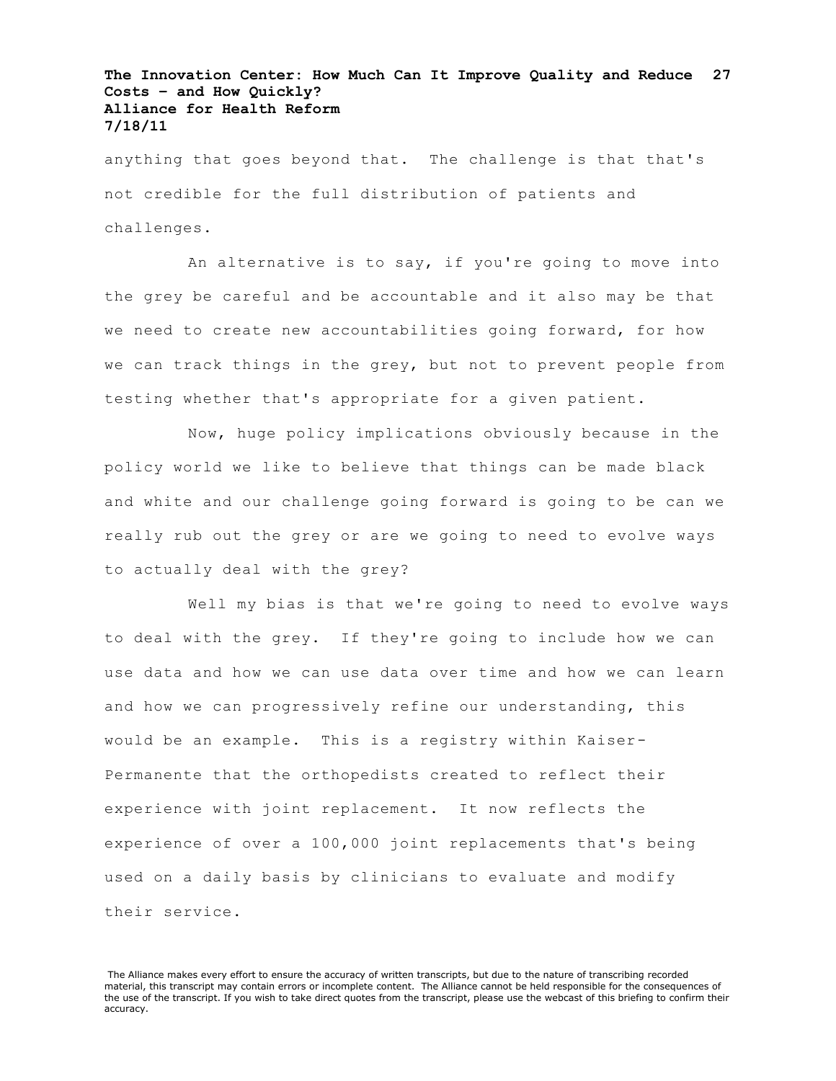anything that goes beyond that. The challenge is that that's not credible for the full distribution of patients and challenges.

An alternative is to say, if you're going to move into the grey be careful and be accountable and it also may be that we need to create new accountabilities going forward, for how we can track things in the grey, but not to prevent people from testing whether that's appropriate for a given patient.

Now, huge policy implications obviously because in the policy world we like to believe that things can be made black and white and our challenge going forward is going to be can we really rub out the grey or are we going to need to evolve ways to actually deal with the grey?

Well my bias is that we're going to need to evolve ways to deal with the grey. If they're going to include how we can use data and how we can use data over time and how we can learn and how we can progressively refine our understanding, this would be an example. This is a registry within Kaiser-Permanente that the orthopedists created to reflect their experience with joint replacement. It now reflects the experience of over a 100,000 joint replacements that's being used on a daily basis by clinicians to evaluate and modify their service.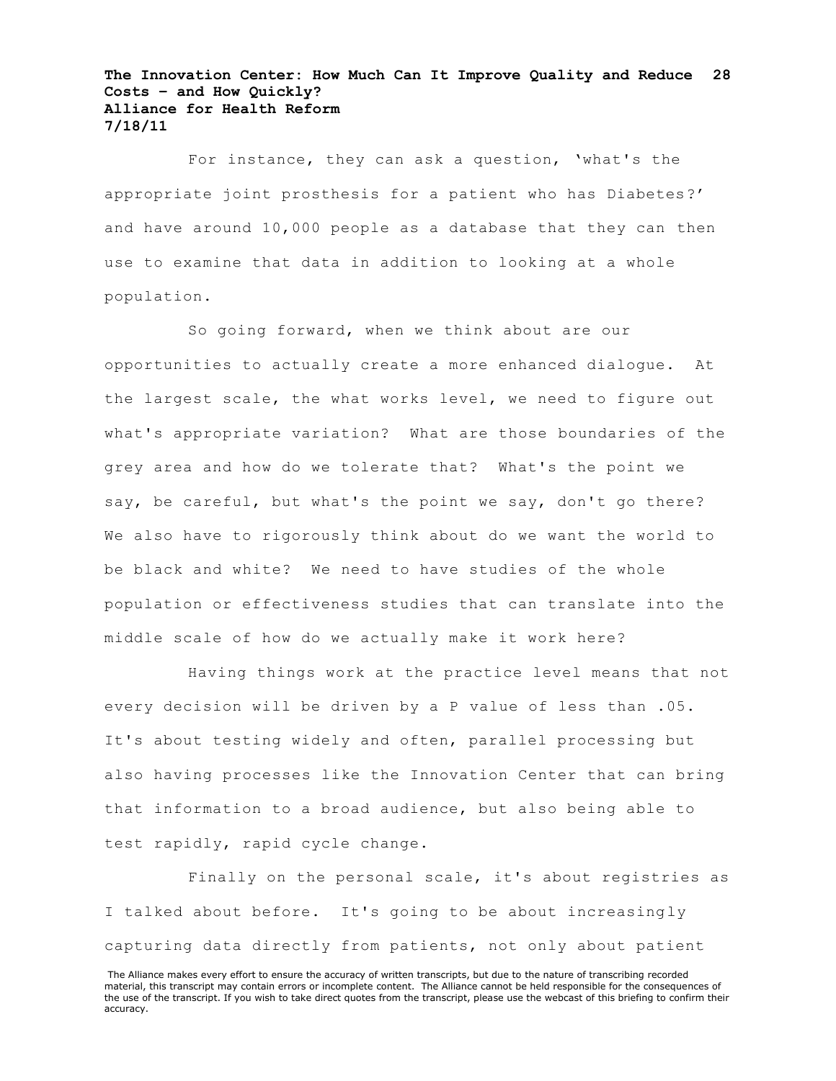For instance, they can ask a question, 'what's the appropriate joint prosthesis for a patient who has Diabetes?' and have around 10,000 people as a database that they can then use to examine that data in addition to looking at a whole population.

So going forward, when we think about are our opportunities to actually create a more enhanced dialogue. At the largest scale, the what works level, we need to figure out what's appropriate variation? What are those boundaries of the grey area and how do we tolerate that? What's the point we say, be careful, but what's the point we say, don't go there? We also have to rigorously think about do we want the world to be black and white? We need to have studies of the whole population or effectiveness studies that can translate into the middle scale of how do we actually make it work here?

Having things work at the practice level means that not every decision will be driven by a P value of less than .05. It's about testing widely and often, parallel processing but also having processes like the Innovation Center that can bring that information to a broad audience, but also being able to test rapidly, rapid cycle change.

Finally on the personal scale, it's about registries as I talked about before. It's going to be about increasingly capturing data directly from patients, not only about patient

The Alliance makes every effort to ensure the accuracy of written transcripts, but due to the nature of transcribing recorded material, this transcript may contain errors or incomplete content. The Alliance cannot be held responsible for the consequences of the use of the transcript. If you wish to take direct quotes from the transcript, please use the webcast of this briefing to confirm their accuracy.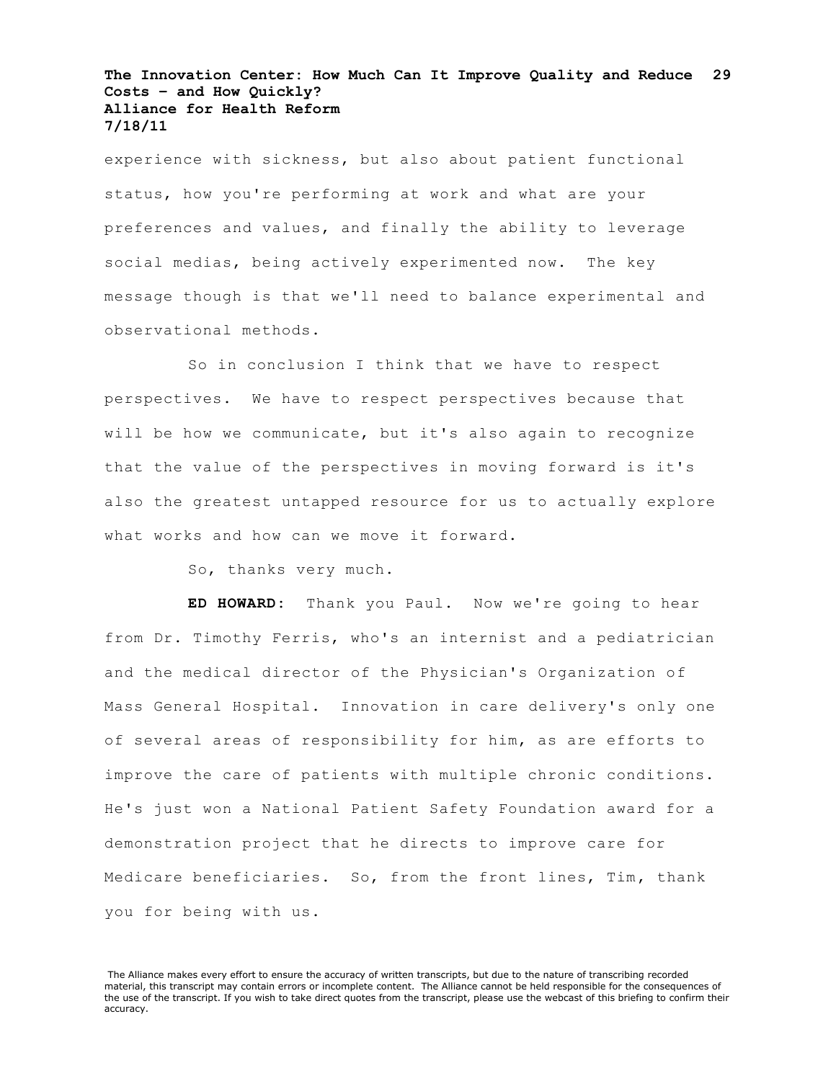experience with sickness, but also about patient functional status, how you're performing at work and what are your preferences and values, and finally the ability to leverage social medias, being actively experimented now. The key message though is that we'll need to balance experimental and observational methods.

So in conclusion I think that we have to respect perspectives. We have to respect perspectives because that will be how we communicate, but it's also again to recognize that the value of the perspectives in moving forward is it's also the greatest untapped resource for us to actually explore what works and how can we move it forward.

So, thanks very much.

**ED HOWARD:** Thank you Paul. Now we're going to hear from Dr. Timothy Ferris, who's an internist and a pediatrician and the medical director of the Physician's Organization of Mass General Hospital. Innovation in care delivery's only one of several areas of responsibility for him, as are efforts to improve the care of patients with multiple chronic conditions. He's just won a National Patient Safety Foundation award for a demonstration project that he directs to improve care for Medicare beneficiaries. So, from the front lines, Tim, thank you for being with us.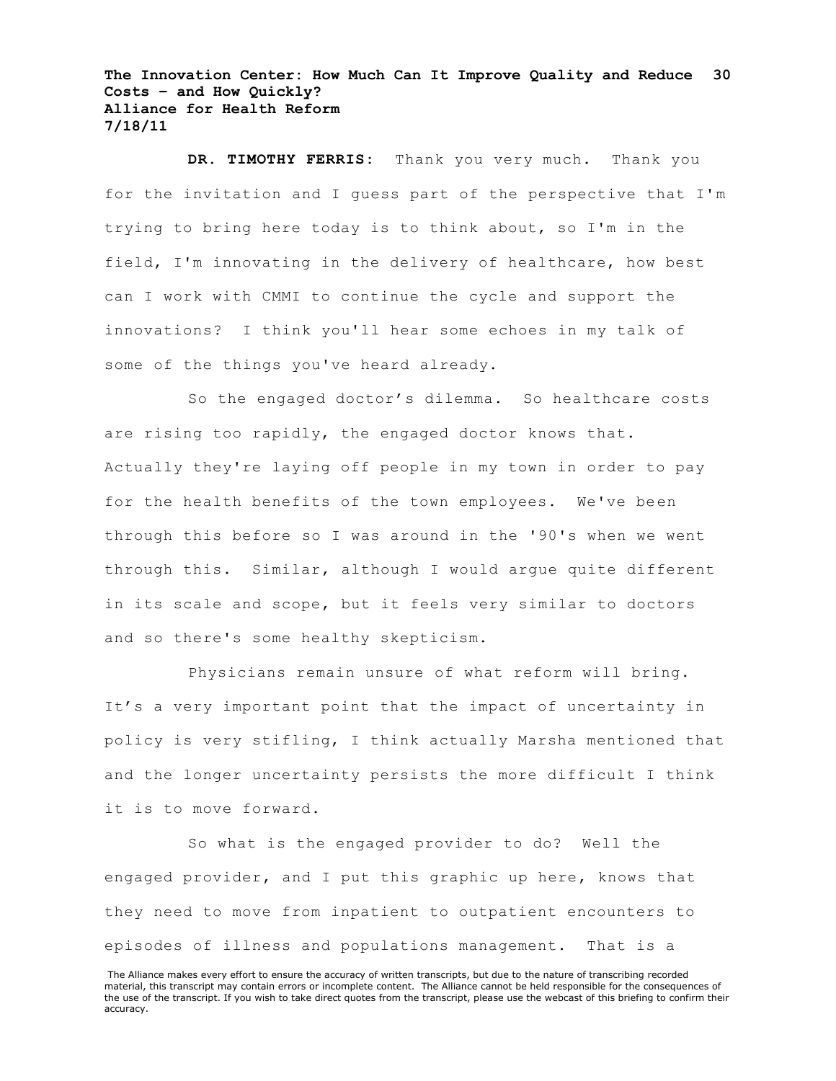**DR. TIMOTHY FERRIS:** Thank you very much. Thank you for the invitation and I guess part of the perspective that I'm trying to bring here today is to think about, so I'm in the field, I'm innovating in the delivery of healthcare, how best can I work with CMMI to continue the cycle and support the innovations? I think you'll hear some echoes in my talk of some of the things you've heard already.

So the engaged doctor's dilemma. So healthcare costs are rising too rapidly, the engaged doctor knows that. Actually they're laying off people in my town in order to pay for the health benefits of the town employees. We've been through this before so I was around in the '90's when we went through this. Similar, although I would argue quite different in its scale and scope, but it feels very similar to doctors and so there's some healthy skepticism.

Physicians remain unsure of what reform will bring. It's a very important point that the impact of uncertainty in policy is very stifling, I think actually Marsha mentioned that and the longer uncertainty persists the more difficult I think it is to move forward.

So what is the engaged provider to do? Well the engaged provider, and I put this graphic up here, knows that they need to move from inpatient to outpatient encounters to episodes of illness and populations management. That is a

The Alliance makes every effort to ensure the accuracy of written transcripts, but due to the nature of transcribing recorded material, this transcript may contain errors or incomplete content. The Alliance cannot be held responsible for the consequences of the use of the transcript. If you wish to take direct quotes from the transcript, please use the webcast of this briefing to confirm their accuracy.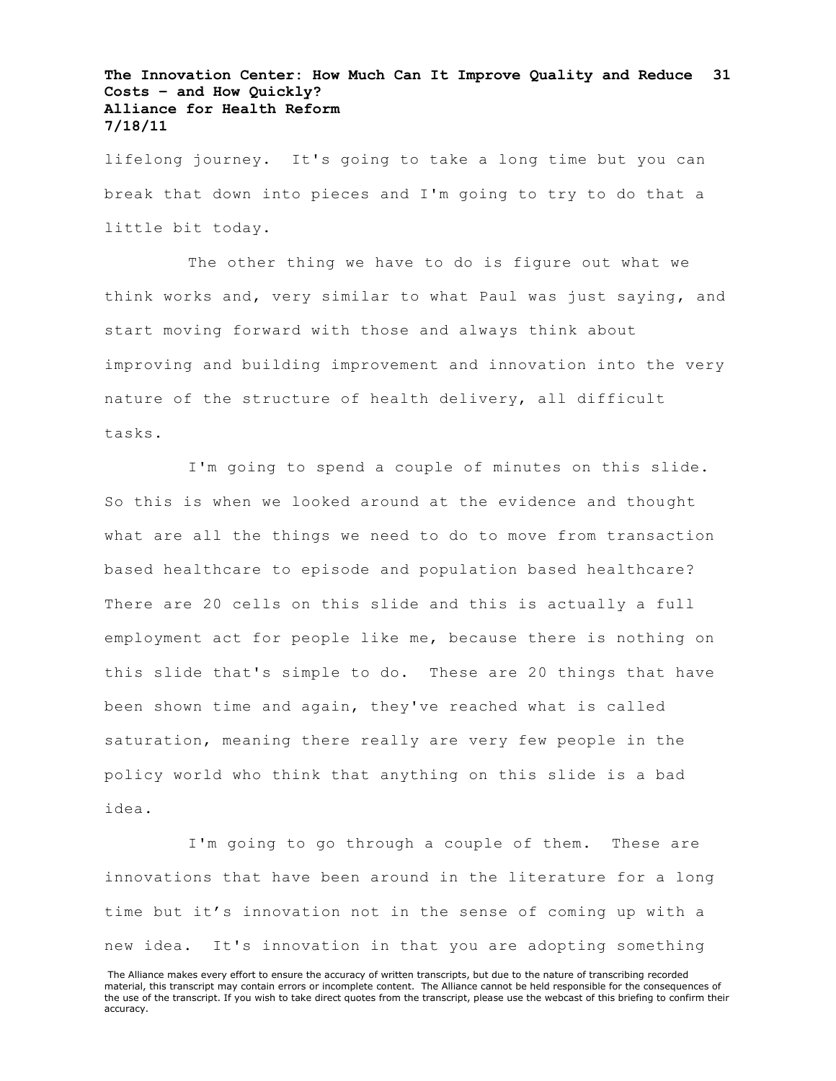lifelong journey. It's going to take a long time but you can break that down into pieces and I'm going to try to do that a little bit today.

The other thing we have to do is figure out what we think works and, very similar to what Paul was just saying, and start moving forward with those and always think about improving and building improvement and innovation into the very nature of the structure of health delivery, all difficult tasks.

I'm going to spend a couple of minutes on this slide. So this is when we looked around at the evidence and thought what are all the things we need to do to move from transaction based healthcare to episode and population based healthcare? There are 20 cells on this slide and this is actually a full employment act for people like me, because there is nothing on this slide that's simple to do. These are 20 things that have been shown time and again, they've reached what is called saturation, meaning there really are very few people in the policy world who think that anything on this slide is a bad idea.

I'm going to go through a couple of them. These are innovations that have been around in the literature for a long time but it's innovation not in the sense of coming up with a new idea. It's innovation in that you are adopting something

The Alliance makes every effort to ensure the accuracy of written transcripts, but due to the nature of transcribing recorded material, this transcript may contain errors or incomplete content. The Alliance cannot be held responsible for the consequences of the use of the transcript. If you wish to take direct quotes from the transcript, please use the webcast of this briefing to confirm their accuracy.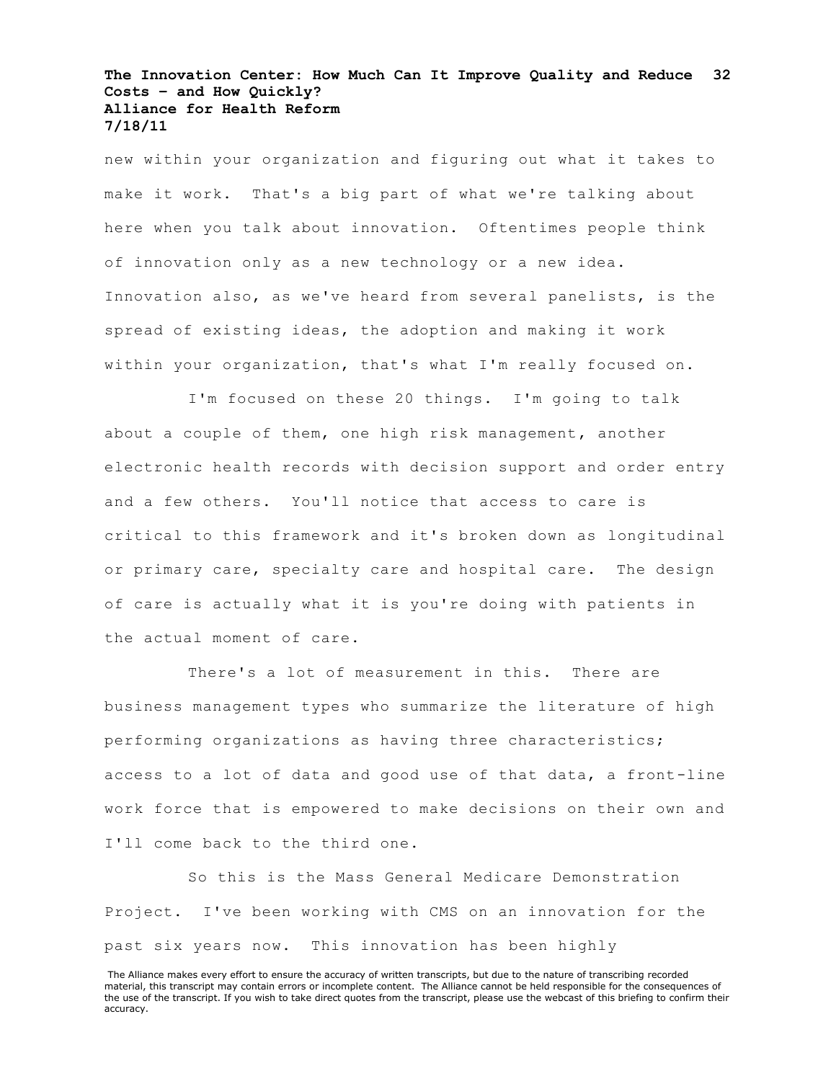new within your organization and figuring out what it takes to make it work. That's a big part of what we're talking about here when you talk about innovation. Oftentimes people think of innovation only as a new technology or a new idea. Innovation also, as we've heard from several panelists, is the spread of existing ideas, the adoption and making it work within your organization, that's what I'm really focused on.

I'm focused on these 20 things. I'm going to talk about a couple of them, one high risk management, another electronic health records with decision support and order entry and a few others. You'll notice that access to care is critical to this framework and it's broken down as longitudinal or primary care, specialty care and hospital care. The design of care is actually what it is you're doing with patients in the actual moment of care.

There's a lot of measurement in this. There are business management types who summarize the literature of high performing organizations as having three characteristics; access to a lot of data and good use of that data, a front-line work force that is empowered to make decisions on their own and I'll come back to the third one.

So this is the Mass General Medicare Demonstration Project. I've been working with CMS on an innovation for the past six years now. This innovation has been highly

The Alliance makes every effort to ensure the accuracy of written transcripts, but due to the nature of transcribing recorded material, this transcript may contain errors or incomplete content. The Alliance cannot be held responsible for the consequences of the use of the transcript. If you wish to take direct quotes from the transcript, please use the webcast of this briefing to confirm their accuracy.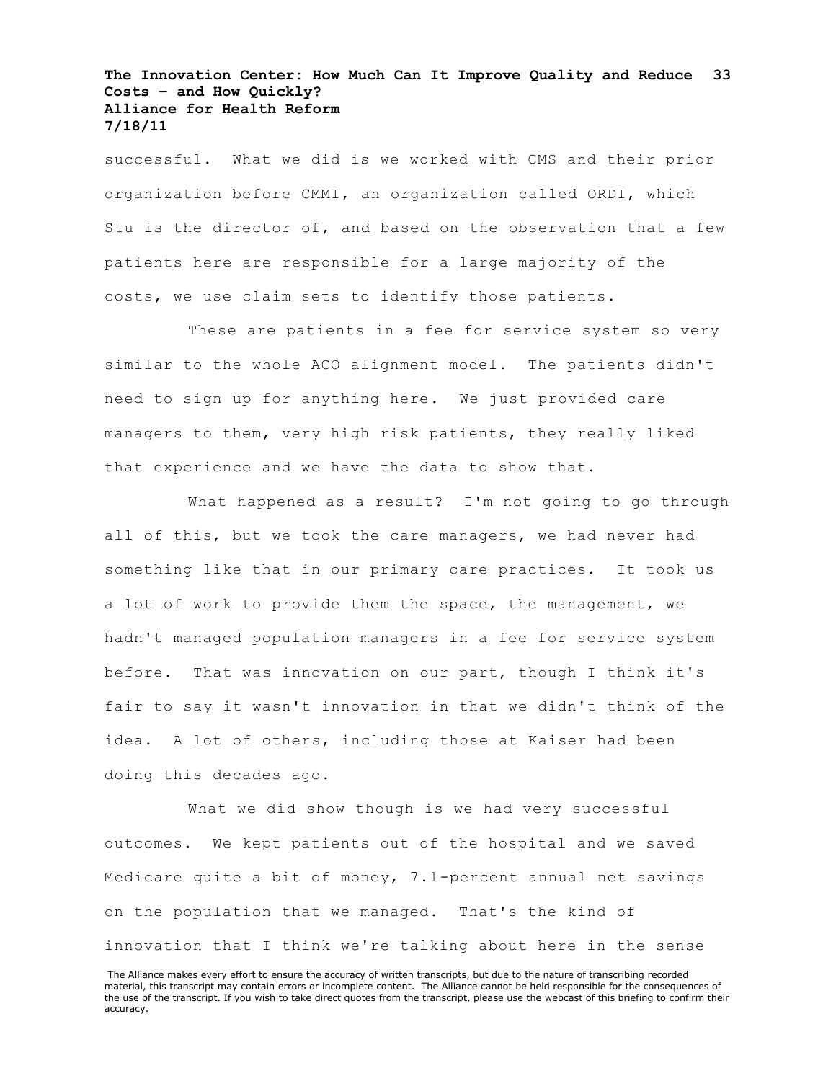successful. What we did is we worked with CMS and their prior organization before CMMI, an organization called ORDI, which Stu is the director of, and based on the observation that a few patients here are responsible for a large majority of the costs, we use claim sets to identify those patients.

These are patients in a fee for service system so very similar to the whole ACO alignment model. The patients didn't need to sign up for anything here. We just provided care managers to them, very high risk patients, they really liked that experience and we have the data to show that.

What happened as a result? I'm not going to go through all of this, but we took the care managers, we had never had something like that in our primary care practices. It took us a lot of work to provide them the space, the management, we hadn't managed population managers in a fee for service system before. That was innovation on our part, though I think it's fair to say it wasn't innovation in that we didn't think of the idea. A lot of others, including those at Kaiser had been doing this decades ago.

What we did show though is we had very successful outcomes. We kept patients out of the hospital and we saved Medicare quite a bit of money, 7.1-percent annual net savings on the population that we managed. That's the kind of innovation that I think we're talking about here in the sense

The Alliance makes every effort to ensure the accuracy of written transcripts, but due to the nature of transcribing recorded material, this transcript may contain errors or incomplete content. The Alliance cannot be held responsible for the consequences of the use of the transcript. If you wish to take direct quotes from the transcript, please use the webcast of this briefing to confirm their accuracy.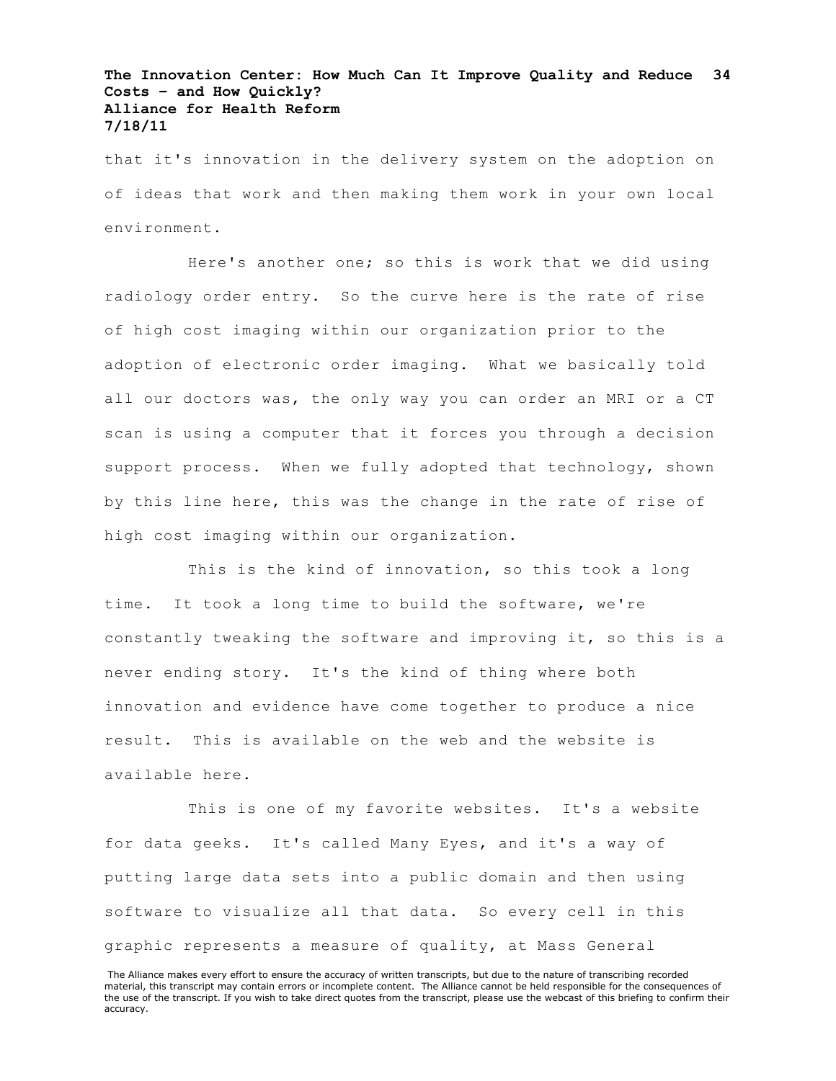that it's innovation in the delivery system on the adoption on of ideas that work and then making them work in your own local environment.

Here's another one; so this is work that we did using radiology order entry. So the curve here is the rate of rise of high cost imaging within our organization prior to the adoption of electronic order imaging. What we basically told all our doctors was, the only way you can order an MRI or a CT scan is using a computer that it forces you through a decision support process. When we fully adopted that technology, shown by this line here, this was the change in the rate of rise of high cost imaging within our organization.

This is the kind of innovation, so this took a long time. It took a long time to build the software, we're constantly tweaking the software and improving it, so this is a never ending story. It's the kind of thing where both innovation and evidence have come together to produce a nice result. This is available on the web and the website is available here.

This is one of my favorite websites. It's a website for data geeks. It's called Many Eyes, and it's a way of putting large data sets into a public domain and then using software to visualize all that data. So every cell in this graphic represents a measure of quality, at Mass General

The Alliance makes every effort to ensure the accuracy of written transcripts, but due to the nature of transcribing recorded material, this transcript may contain errors or incomplete content. The Alliance cannot be held responsible for the consequences of the use of the transcript. If you wish to take direct quotes from the transcript, please use the webcast of this briefing to confirm their accuracy.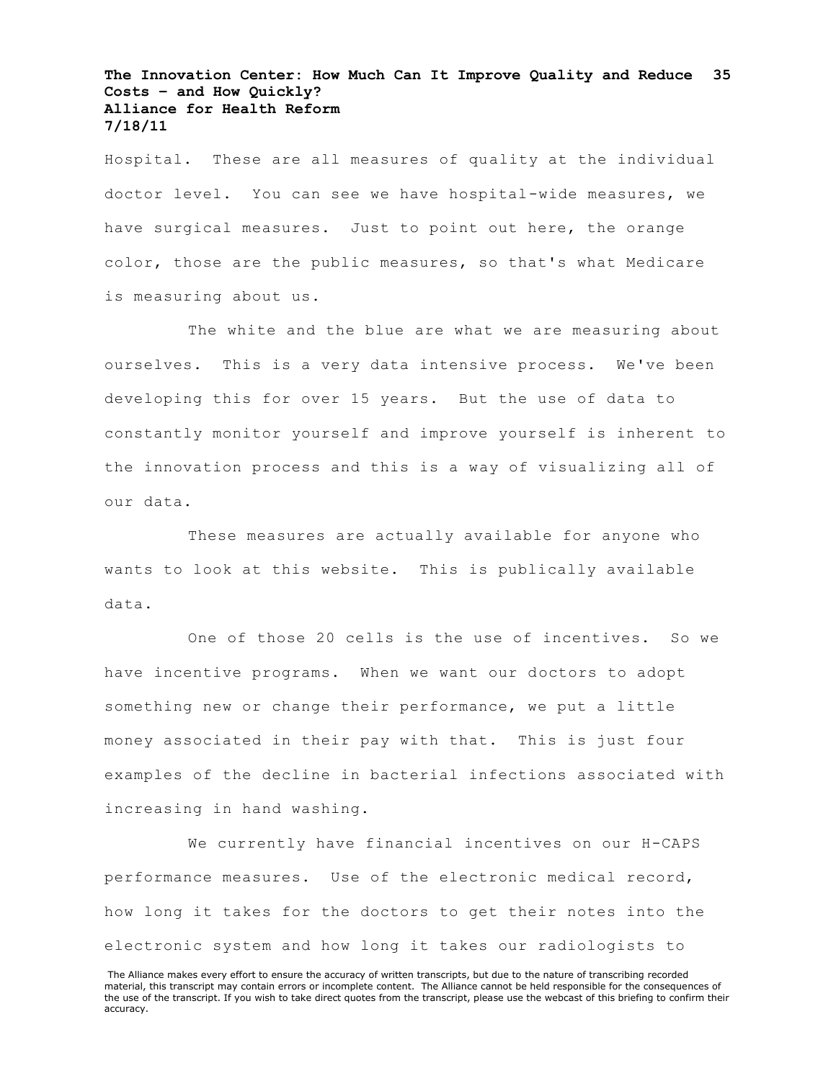Hospital. These are all measures of quality at the individual doctor level. You can see we have hospital-wide measures, we have surgical measures. Just to point out here, the orange color, those are the public measures, so that's what Medicare is measuring about us.

The white and the blue are what we are measuring about ourselves. This is a very data intensive process. We've been developing this for over 15 years. But the use of data to constantly monitor yourself and improve yourself is inherent to the innovation process and this is a way of visualizing all of our data.

These measures are actually available for anyone who wants to look at this website. This is publically available data.

One of those 20 cells is the use of incentives. So we have incentive programs. When we want our doctors to adopt something new or change their performance, we put a little money associated in their pay with that. This is just four examples of the decline in bacterial infections associated with increasing in hand washing.

We currently have financial incentives on our H-CAPS performance measures. Use of the electronic medical record, how long it takes for the doctors to get their notes into the electronic system and how long it takes our radiologists to

The Alliance makes every effort to ensure the accuracy of written transcripts, but due to the nature of transcribing recorded material, this transcript may contain errors or incomplete content. The Alliance cannot be held responsible for the consequences of the use of the transcript. If you wish to take direct quotes from the transcript, please use the webcast of this briefing to confirm their accuracy.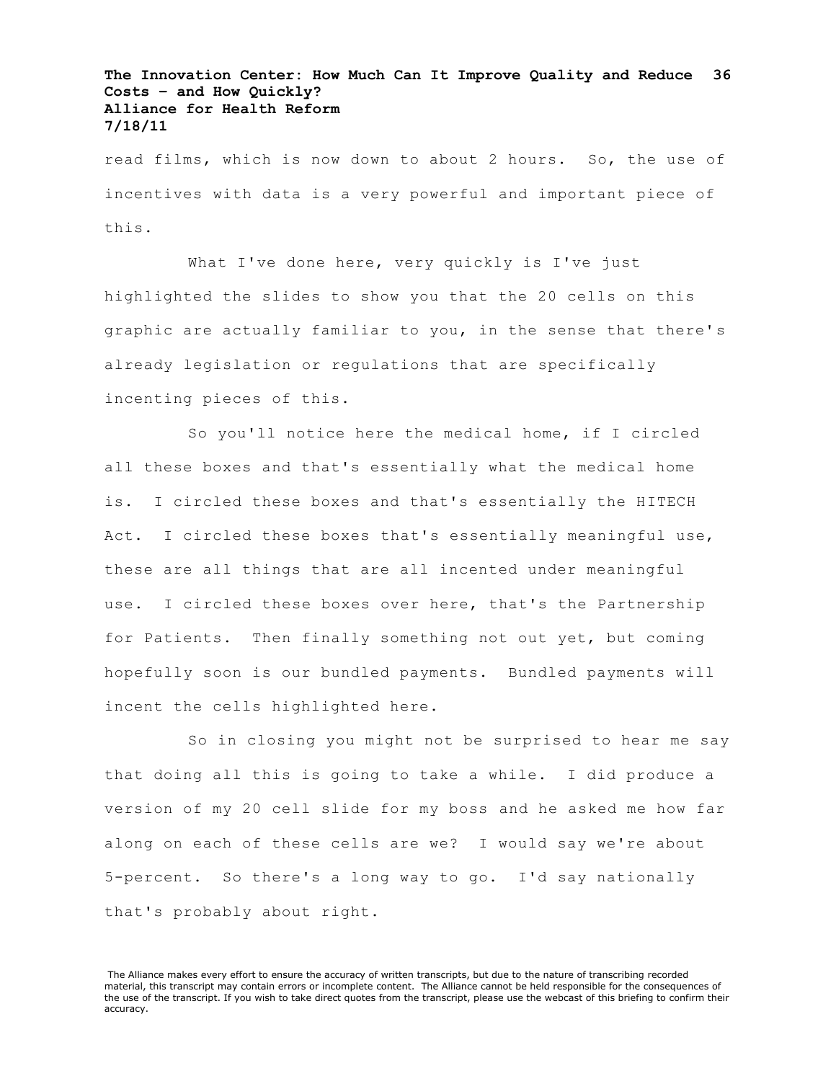read films, which is now down to about 2 hours. So, the use of incentives with data is a very powerful and important piece of this.

What I've done here, very quickly is I've just highlighted the slides to show you that the 20 cells on this graphic are actually familiar to you, in the sense that there's already legislation or regulations that are specifically incenting pieces of this.

So you'll notice here the medical home, if I circled all these boxes and that's essentially what the medical home is. I circled these boxes and that's essentially the HITECH Act. I circled these boxes that's essentially meaningful use, these are all things that are all incented under meaningful use. I circled these boxes over here, that's the Partnership for Patients. Then finally something not out yet, but coming hopefully soon is our bundled payments. Bundled payments will incent the cells highlighted here.

So in closing you might not be surprised to hear me say that doing all this is going to take a while. I did produce a version of my 20 cell slide for my boss and he asked me how far along on each of these cells are we? I would say we're about 5-percent. So there's a long way to go. I'd say nationally that's probably about right.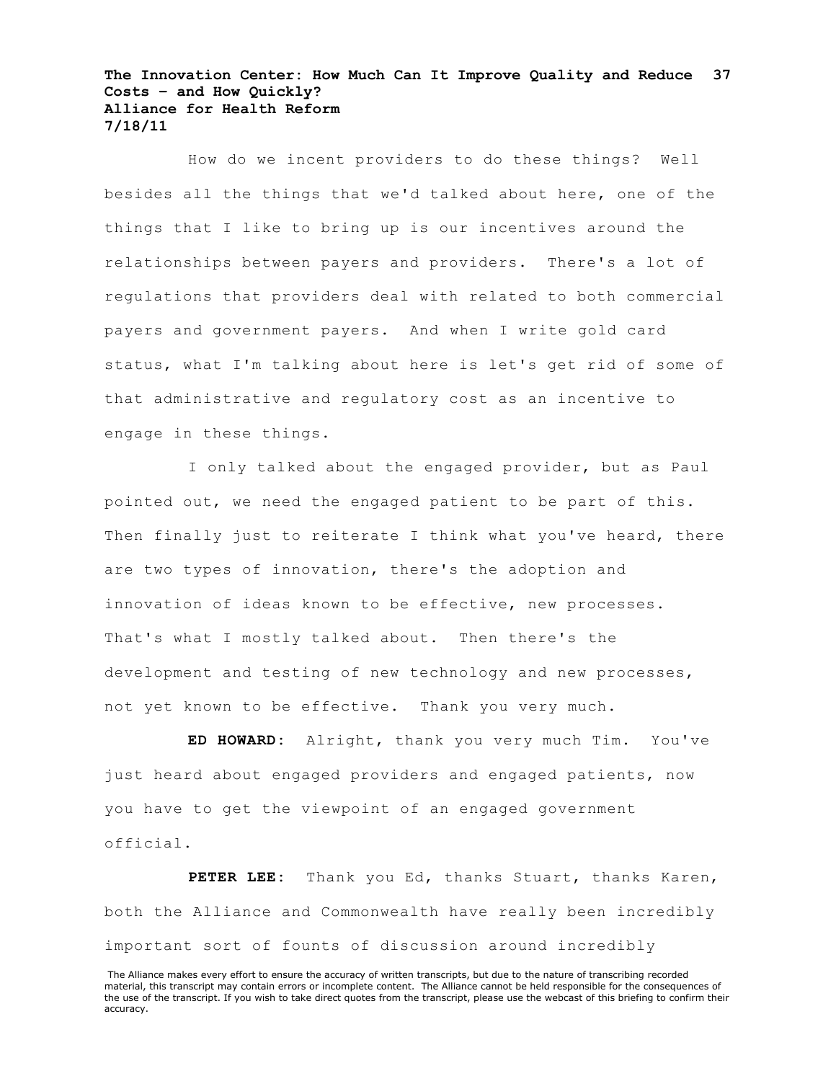How do we incent providers to do these things? Well besides all the things that we'd talked about here, one of the things that I like to bring up is our incentives around the relationships between payers and providers. There's a lot of regulations that providers deal with related to both commercial payers and government payers. And when I write gold card status, what I'm talking about here is let's get rid of some of that administrative and regulatory cost as an incentive to engage in these things.

I only talked about the engaged provider, but as Paul pointed out, we need the engaged patient to be part of this. Then finally just to reiterate I think what you've heard, there are two types of innovation, there's the adoption and innovation of ideas known to be effective, new processes. That's what I mostly talked about. Then there's the development and testing of new technology and new processes, not yet known to be effective. Thank you very much.

**ED HOWARD:** Alright, thank you very much Tim. You've just heard about engaged providers and engaged patients, now you have to get the viewpoint of an engaged government official.

**PETER LEE:** Thank you Ed, thanks Stuart, thanks Karen, both the Alliance and Commonwealth have really been incredibly important sort of founts of discussion around incredibly

The Alliance makes every effort to ensure the accuracy of written transcripts, but due to the nature of transcribing recorded material, this transcript may contain errors or incomplete content. The Alliance cannot be held responsible for the consequences of the use of the transcript. If you wish to take direct quotes from the transcript, please use the webcast of this briefing to confirm their accuracy.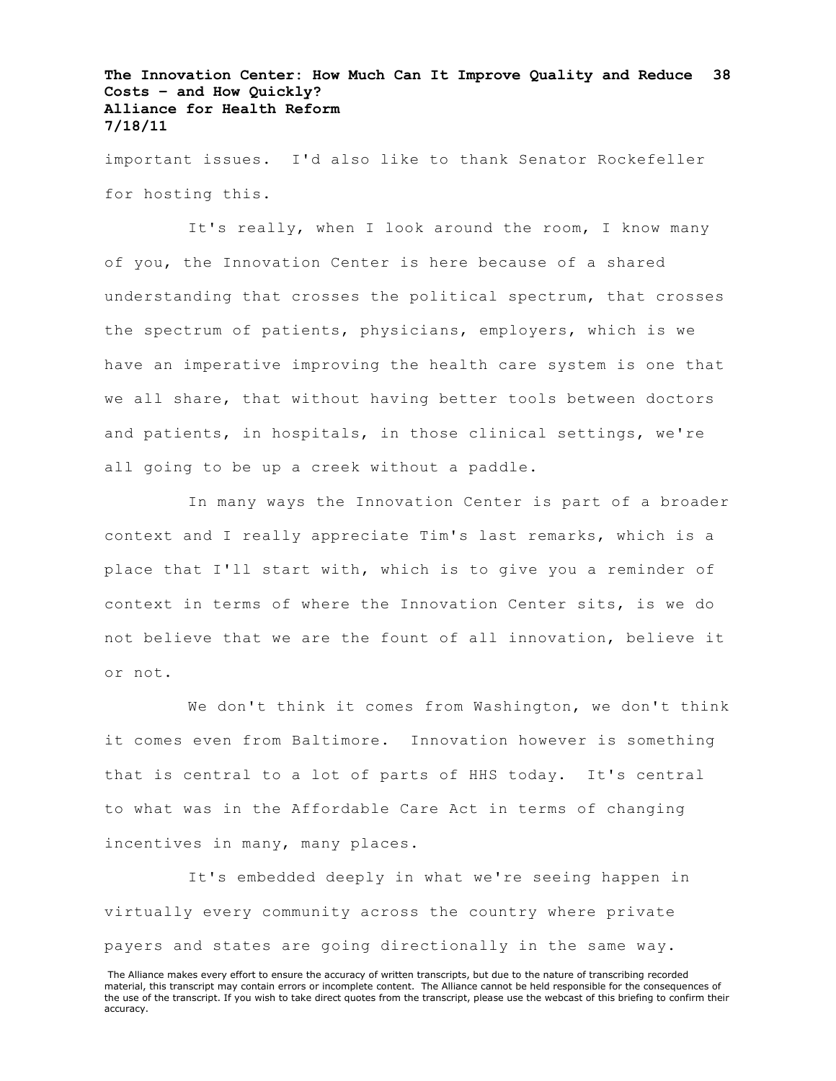important issues. I'd also like to thank Senator Rockefeller for hosting this.

It's really, when I look around the room, I know many of you, the Innovation Center is here because of a shared understanding that crosses the political spectrum, that crosses the spectrum of patients, physicians, employers, which is we have an imperative improving the health care system is one that we all share, that without having better tools between doctors and patients, in hospitals, in those clinical settings, we're all going to be up a creek without a paddle.

In many ways the Innovation Center is part of a broader context and I really appreciate Tim's last remarks, which is a place that I'll start with, which is to give you a reminder of context in terms of where the Innovation Center sits, is we do not believe that we are the fount of all innovation, believe it or not.

We don't think it comes from Washington, we don't think it comes even from Baltimore. Innovation however is something that is central to a lot of parts of HHS today. It's central to what was in the Affordable Care Act in terms of changing incentives in many, many places.

It's embedded deeply in what we're seeing happen in virtually every community across the country where private payers and states are going directionally in the same way.

The Alliance makes every effort to ensure the accuracy of written transcripts, but due to the nature of transcribing recorded material, this transcript may contain errors or incomplete content. The Alliance cannot be held responsible for the consequences of the use of the transcript. If you wish to take direct quotes from the transcript, please use the webcast of this briefing to confirm their accuracy.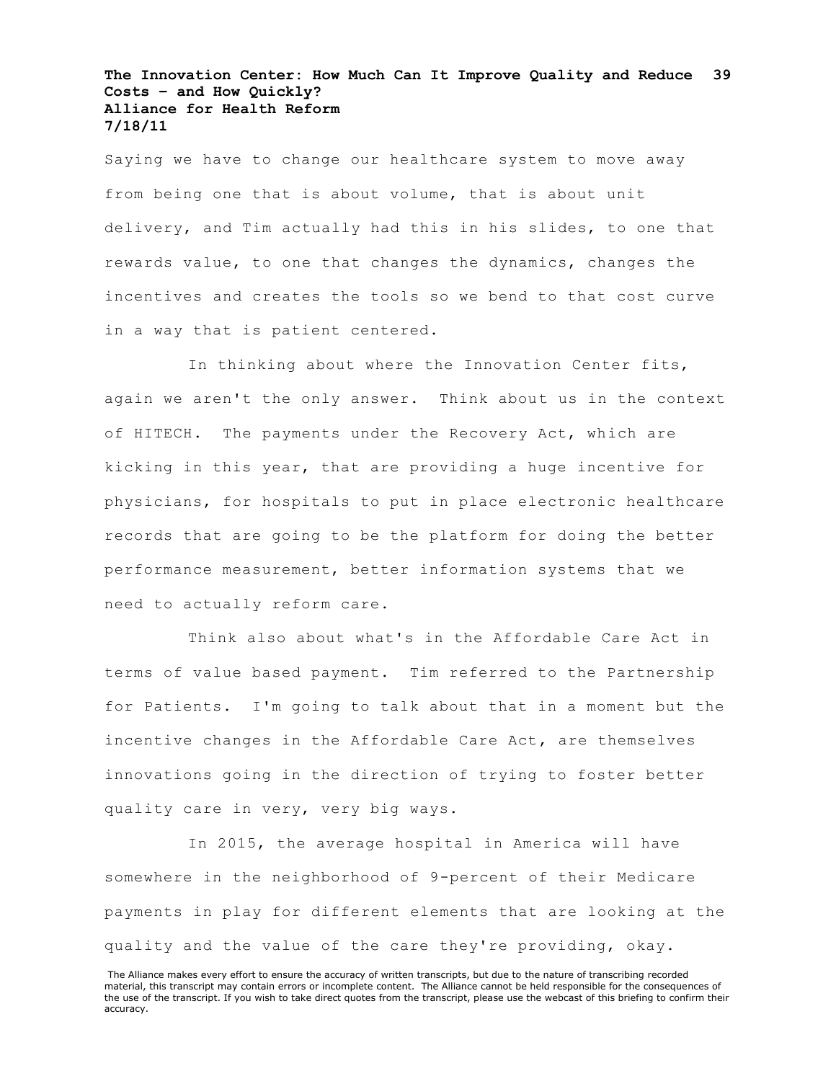Saying we have to change our healthcare system to move away from being one that is about volume, that is about unit delivery, and Tim actually had this in his slides, to one that rewards value, to one that changes the dynamics, changes the incentives and creates the tools so we bend to that cost curve in a way that is patient centered.

In thinking about where the Innovation Center fits, again we aren't the only answer. Think about us in the context of HITECH. The payments under the Recovery Act, which are kicking in this year, that are providing a huge incentive for physicians, for hospitals to put in place electronic healthcare records that are going to be the platform for doing the better performance measurement, better information systems that we need to actually reform care.

Think also about what's in the Affordable Care Act in terms of value based payment. Tim referred to the Partnership for Patients. I'm going to talk about that in a moment but the incentive changes in the Affordable Care Act, are themselves innovations going in the direction of trying to foster better quality care in very, very big ways.

In 2015, the average hospital in America will have somewhere in the neighborhood of 9-percent of their Medicare payments in play for different elements that are looking at the quality and the value of the care they're providing, okay.

The Alliance makes every effort to ensure the accuracy of written transcripts, but due to the nature of transcribing recorded material, this transcript may contain errors or incomplete content. The Alliance cannot be held responsible for the consequences of the use of the transcript. If you wish to take direct quotes from the transcript, please use the webcast of this briefing to confirm their accuracy.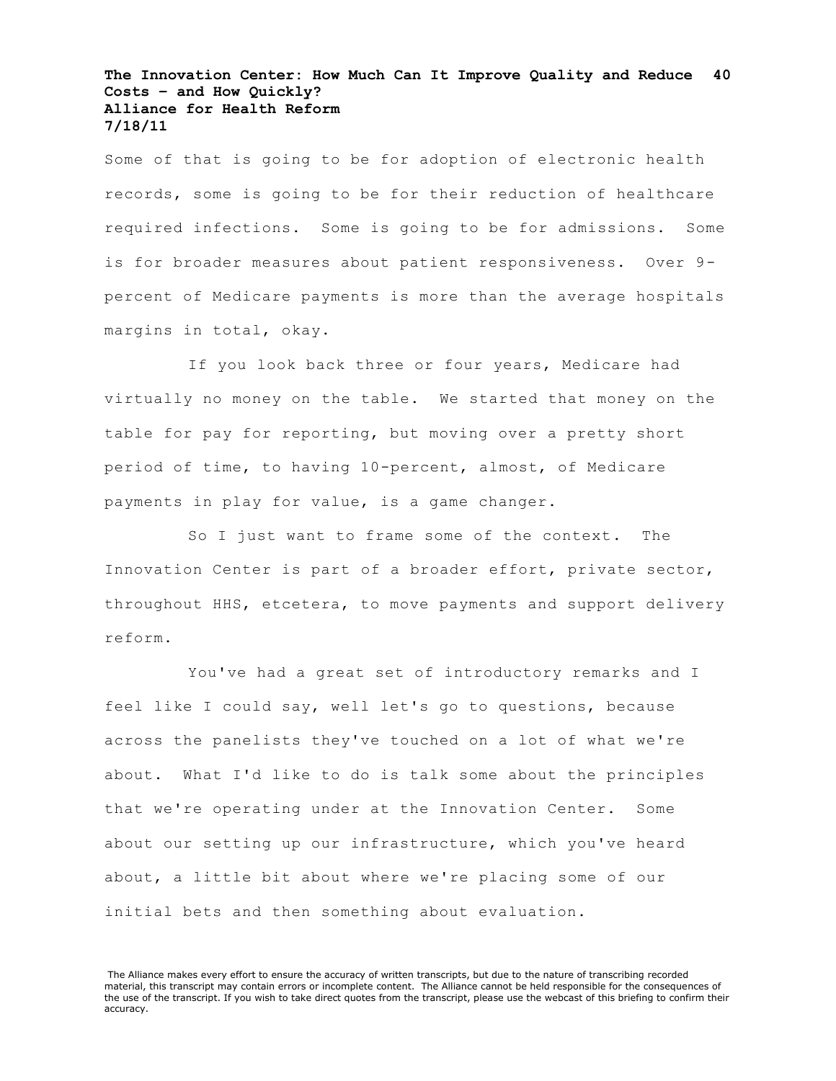Some of that is going to be for adoption of electronic health records, some is going to be for their reduction of healthcare required infections. Some is going to be for admissions. Some is for broader measures about patient responsiveness. Over 9 percent of Medicare payments is more than the average hospitals margins in total, okay.

If you look back three or four years, Medicare had virtually no money on the table. We started that money on the table for pay for reporting, but moving over a pretty short period of time, to having 10-percent, almost, of Medicare payments in play for value, is a game changer.

So I just want to frame some of the context. The Innovation Center is part of a broader effort, private sector, throughout HHS, etcetera, to move payments and support delivery reform.

You've had a great set of introductory remarks and I feel like I could say, well let's go to questions, because across the panelists they've touched on a lot of what we're about. What I'd like to do is talk some about the principles that we're operating under at the Innovation Center. Some about our setting up our infrastructure, which you've heard about, a little bit about where we're placing some of our initial bets and then something about evaluation.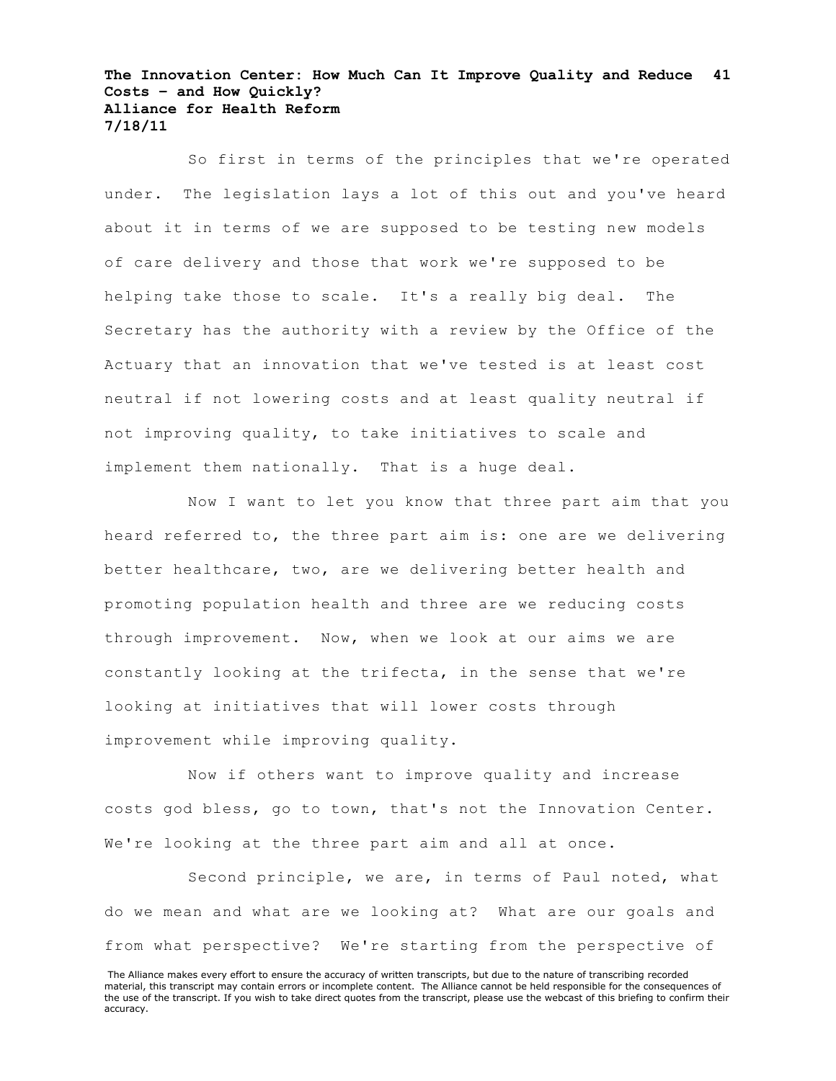So first in terms of the principles that we're operated under. The legislation lays a lot of this out and you've heard about it in terms of we are supposed to be testing new models of care delivery and those that work we're supposed to be helping take those to scale. It's a really big deal. The Secretary has the authority with a review by the Office of the Actuary that an innovation that we've tested is at least cost neutral if not lowering costs and at least quality neutral if not improving quality, to take initiatives to scale and implement them nationally. That is a huge deal.

Now I want to let you know that three part aim that you heard referred to, the three part aim is: one are we delivering better healthcare, two, are we delivering better health and promoting population health and three are we reducing costs through improvement. Now, when we look at our aims we are constantly looking at the trifecta, in the sense that we're looking at initiatives that will lower costs through improvement while improving quality.

Now if others want to improve quality and increase costs god bless, go to town, that's not the Innovation Center. We're looking at the three part aim and all at once.

Second principle, we are, in terms of Paul noted, what do we mean and what are we looking at? What are our goals and from what perspective? We're starting from the perspective of

The Alliance makes every effort to ensure the accuracy of written transcripts, but due to the nature of transcribing recorded material, this transcript may contain errors or incomplete content. The Alliance cannot be held responsible for the consequences of the use of the transcript. If you wish to take direct quotes from the transcript, please use the webcast of this briefing to confirm their accuracy.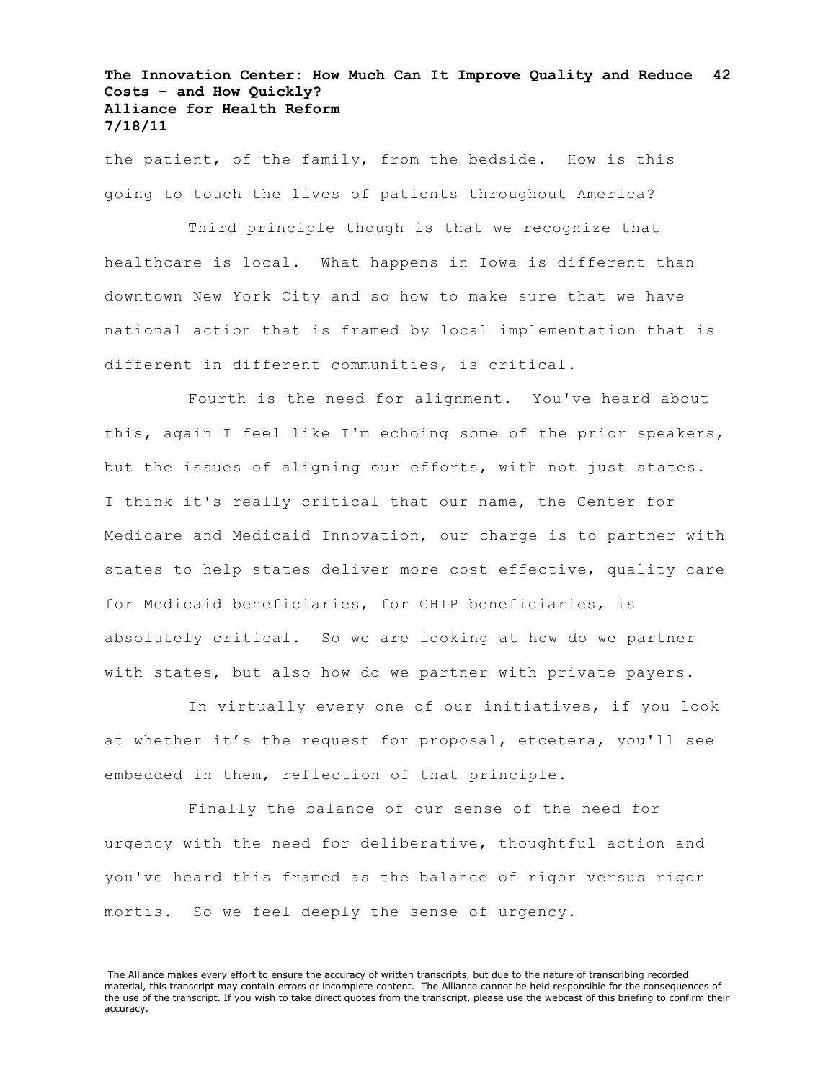the patient, of the family, from the bedside. How is this going to touch the lives of patients throughout America?

Third principle though is that we recognize that healthcare is local. What happens in Iowa is different than downtown New York City and so how to make sure that we have national action that is framed by local implementation that is different in different communities, is critical.

Fourth is the need for alignment. You've heard about this, again I feel like I'm echoing some of the prior speakers, but the issues of aligning our efforts, with not just states. I think it's really critical that our name, the Center for Medicare and Medicaid Innovation, our charge is to partner with states to help states deliver more cost effective, quality care for Medicaid beneficiaries, for CHIP beneficiaries, is absolutely critical. So we are looking at how do we partner with states, but also how do we partner with private payers.

In virtually every one of our initiatives, if you look at whether it's the request for proposal, etcetera, you'll see embedded in them, reflection of that principle.

Finally the balance of our sense of the need for urgency with the need for deliberative, thoughtful action and you've heard this framed as the balance of rigor versus rigor mortis. So we feel deeply the sense of urgency.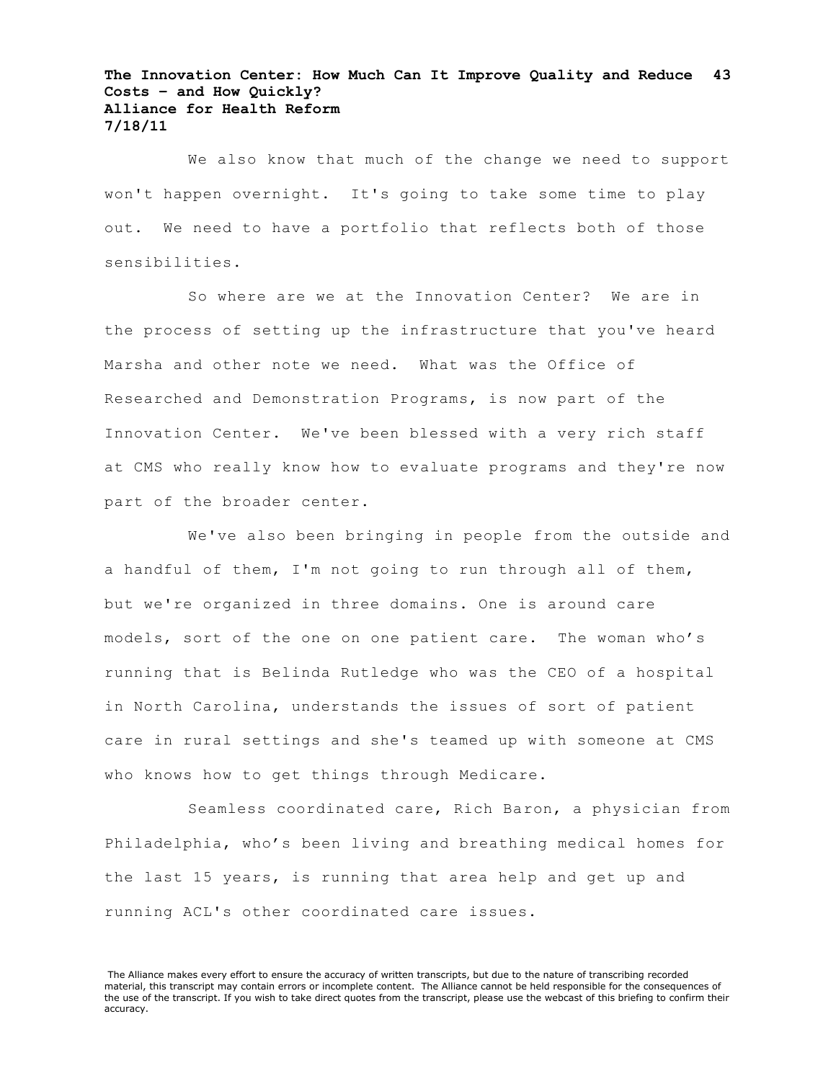We also know that much of the change we need to support won't happen overnight. It's going to take some time to play out. We need to have a portfolio that reflects both of those sensibilities.

So where are we at the Innovation Center? We are in the process of setting up the infrastructure that you've heard Marsha and other note we need. What was the Office of Researched and Demonstration Programs, is now part of the Innovation Center. We've been blessed with a very rich staff at CMS who really know how to evaluate programs and they're now part of the broader center.

We've also been bringing in people from the outside and a handful of them, I'm not going to run through all of them, but we're organized in three domains. One is around care models, sort of the one on one patient care. The woman who's running that is Belinda Rutledge who was the CEO of a hospital in North Carolina, understands the issues of sort of patient care in rural settings and she's teamed up with someone at CMS who knows how to get things through Medicare.

Seamless coordinated care, Rich Baron, a physician from Philadelphia, who's been living and breathing medical homes for the last 15 years, is running that area help and get up and running ACL's other coordinated care issues.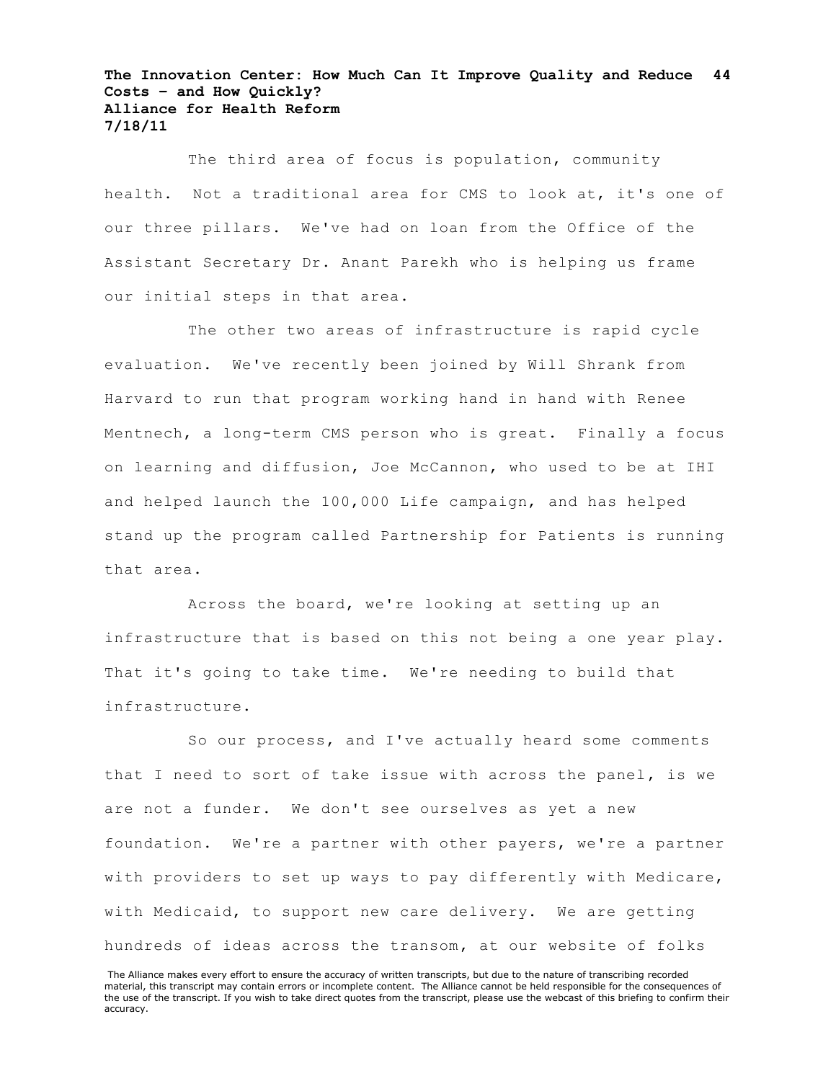The third area of focus is population, community health. Not a traditional area for CMS to look at, it's one of our three pillars. We've had on loan from the Office of the Assistant Secretary Dr. Anant Parekh who is helping us frame our initial steps in that area.

The other two areas of infrastructure is rapid cycle evaluation. We've recently been joined by Will Shrank from Harvard to run that program working hand in hand with Renee Mentnech, a long-term CMS person who is great. Finally a focus on learning and diffusion, Joe McCannon, who used to be at IHI and helped launch the 100,000 Life campaign, and has helped stand up the program called Partnership for Patients is running that area.

Across the board, we're looking at setting up an infrastructure that is based on this not being a one year play. That it's going to take time. We're needing to build that infrastructure.

So our process, and I've actually heard some comments that I need to sort of take issue with across the panel, is we are not a funder. We don't see ourselves as yet a new foundation. We're a partner with other payers, we're a partner with providers to set up ways to pay differently with Medicare, with Medicaid, to support new care delivery. We are getting hundreds of ideas across the transom, at our website of folks

The Alliance makes every effort to ensure the accuracy of written transcripts, but due to the nature of transcribing recorded material, this transcript may contain errors or incomplete content. The Alliance cannot be held responsible for the consequences of the use of the transcript. If you wish to take direct quotes from the transcript, please use the webcast of this briefing to confirm their accuracy.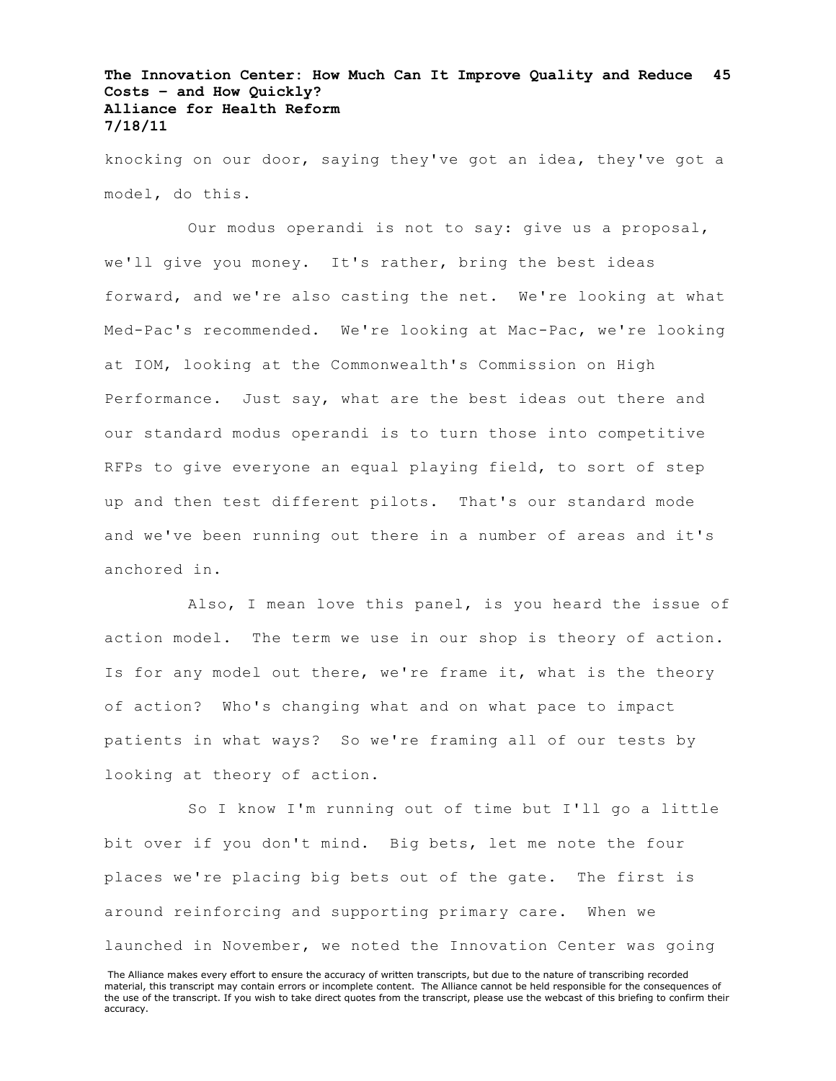knocking on our door, saying they've got an idea, they've got a model, do this.

Our modus operandi is not to say: give us a proposal, we'll give you money. It's rather, bring the best ideas forward, and we're also casting the net. We're looking at what Med-Pac's recommended. We're looking at Mac-Pac, we're looking at IOM, looking at the Commonwealth's Commission on High Performance. Just say, what are the best ideas out there and our standard modus operandi is to turn those into competitive RFPs to give everyone an equal playing field, to sort of step up and then test different pilots. That's our standard mode and we've been running out there in a number of areas and it's anchored in.

Also, I mean love this panel, is you heard the issue of action model. The term we use in our shop is theory of action. Is for any model out there, we're frame it, what is the theory of action? Who's changing what and on what pace to impact patients in what ways? So we're framing all of our tests by looking at theory of action.

So I know I'm running out of time but I'll go a little bit over if you don't mind. Big bets, let me note the four places we're placing big bets out of the gate. The first is around reinforcing and supporting primary care. When we launched in November, we noted the Innovation Center was going

The Alliance makes every effort to ensure the accuracy of written transcripts, but due to the nature of transcribing recorded material, this transcript may contain errors or incomplete content. The Alliance cannot be held responsible for the consequences of the use of the transcript. If you wish to take direct quotes from the transcript, please use the webcast of this briefing to confirm their accuracy.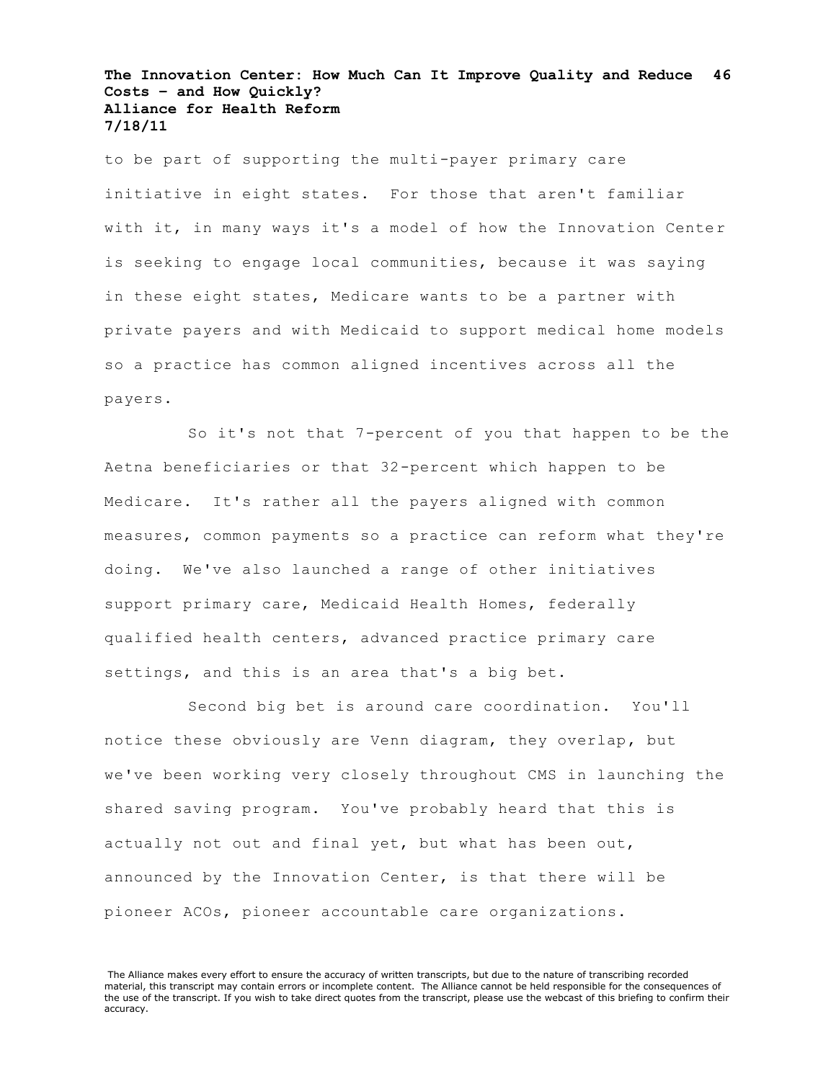to be part of supporting the multi-payer primary care initiative in eight states. For those that aren't familiar with it, in many ways it's a model of how the Innovation Center is seeking to engage local communities, because it was saying in these eight states, Medicare wants to be a partner with private payers and with Medicaid to support medical home models so a practice has common aligned incentives across all the payers.

So it's not that 7-percent of you that happen to be the Aetna beneficiaries or that 32-percent which happen to be Medicare. It's rather all the payers aligned with common measures, common payments so a practice can reform what they're doing. We've also launched a range of other initiatives support primary care, Medicaid Health Homes, federally qualified health centers, advanced practice primary care settings, and this is an area that's a big bet.

Second big bet is around care coordination. You'll notice these obviously are Venn diagram, they overlap, but we've been working very closely throughout CMS in launching the shared saving program. You've probably heard that this is actually not out and final yet, but what has been out, announced by the Innovation Center, is that there will be pioneer ACOs, pioneer accountable care organizations.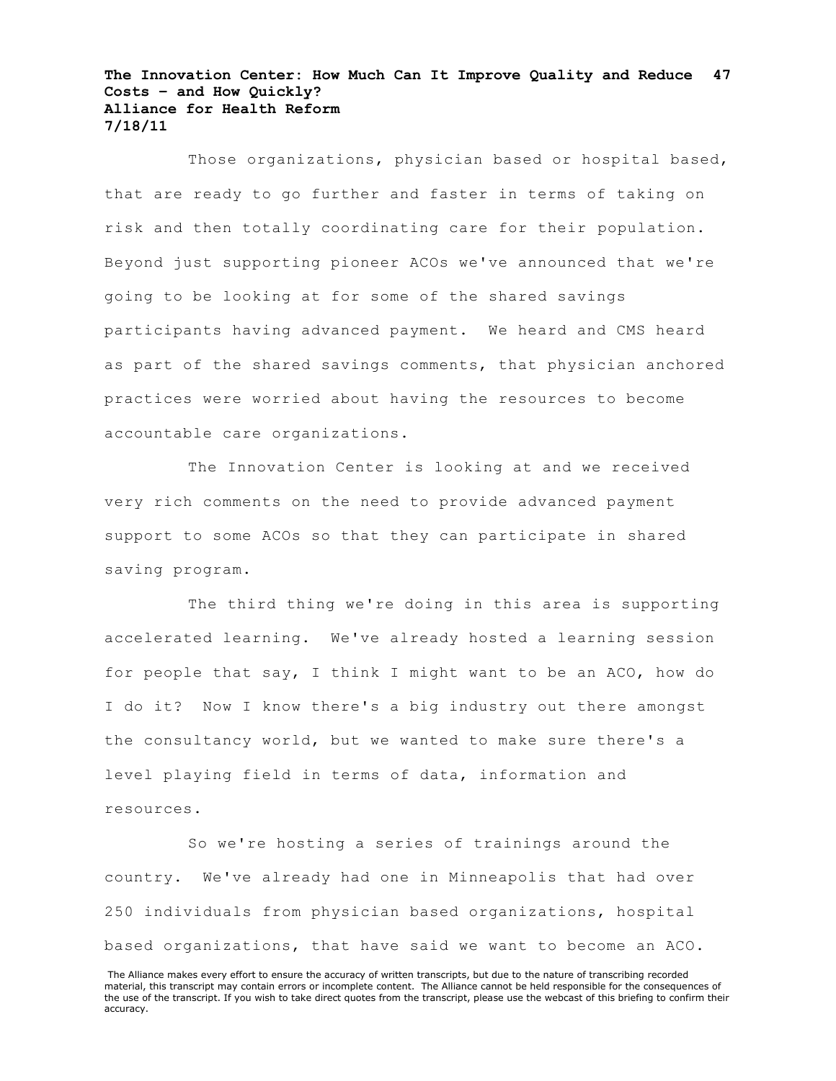Those organizations, physician based or hospital based, that are ready to go further and faster in terms of taking on risk and then totally coordinating care for their population. Beyond just supporting pioneer ACOs we've announced that we're going to be looking at for some of the shared savings participants having advanced payment. We heard and CMS heard as part of the shared savings comments, that physician anchored practices were worried about having the resources to become accountable care organizations.

The Innovation Center is looking at and we received very rich comments on the need to provide advanced payment support to some ACOs so that they can participate in shared saving program.

The third thing we're doing in this area is supporting accelerated learning. We've already hosted a learning session for people that say, I think I might want to be an ACO, how do I do it? Now I know there's a big industry out there amongst the consultancy world, but we wanted to make sure there's a level playing field in terms of data, information and resources.

So we're hosting a series of trainings around the country. We've already had one in Minneapolis that had over 250 individuals from physician based organizations, hospital based organizations, that have said we want to become an ACO.

The Alliance makes every effort to ensure the accuracy of written transcripts, but due to the nature of transcribing recorded material, this transcript may contain errors or incomplete content. The Alliance cannot be held responsible for the consequences of the use of the transcript. If you wish to take direct quotes from the transcript, please use the webcast of this briefing to confirm their accuracy.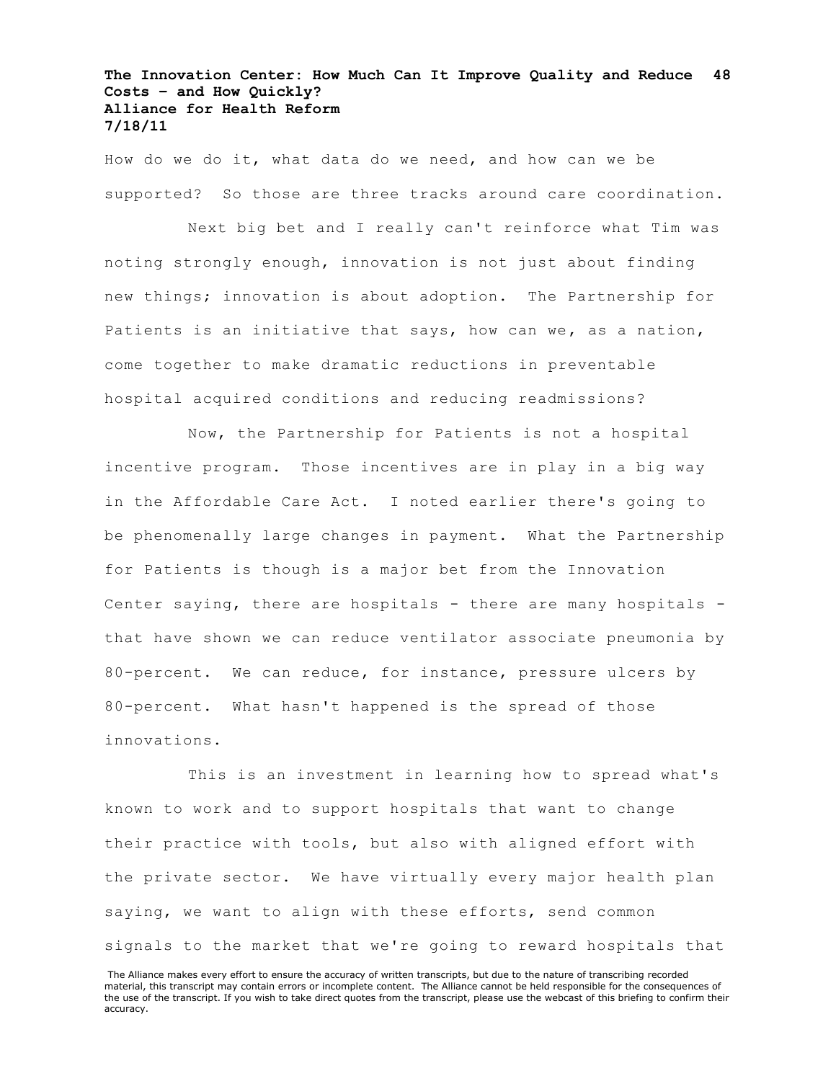How do we do it, what data do we need, and how can we be supported? So those are three tracks around care coordination.

Next big bet and I really can't reinforce what Tim was noting strongly enough, innovation is not just about finding new things; innovation is about adoption. The Partnership for Patients is an initiative that says, how can we, as a nation, come together to make dramatic reductions in preventable hospital acquired conditions and reducing readmissions?

Now, the Partnership for Patients is not a hospital incentive program. Those incentives are in play in a big way in the Affordable Care Act. I noted earlier there's going to be phenomenally large changes in payment. What the Partnership for Patients is though is a major bet from the Innovation Center saying, there are hospitals - there are many hospitals that have shown we can reduce ventilator associate pneumonia by 80-percent. We can reduce, for instance, pressure ulcers by 80-percent. What hasn't happened is the spread of those innovations.

This is an investment in learning how to spread what's known to work and to support hospitals that want to change their practice with tools, but also with aligned effort with the private sector. We have virtually every major health plan saying, we want to align with these efforts, send common signals to the market that we're going to reward hospitals that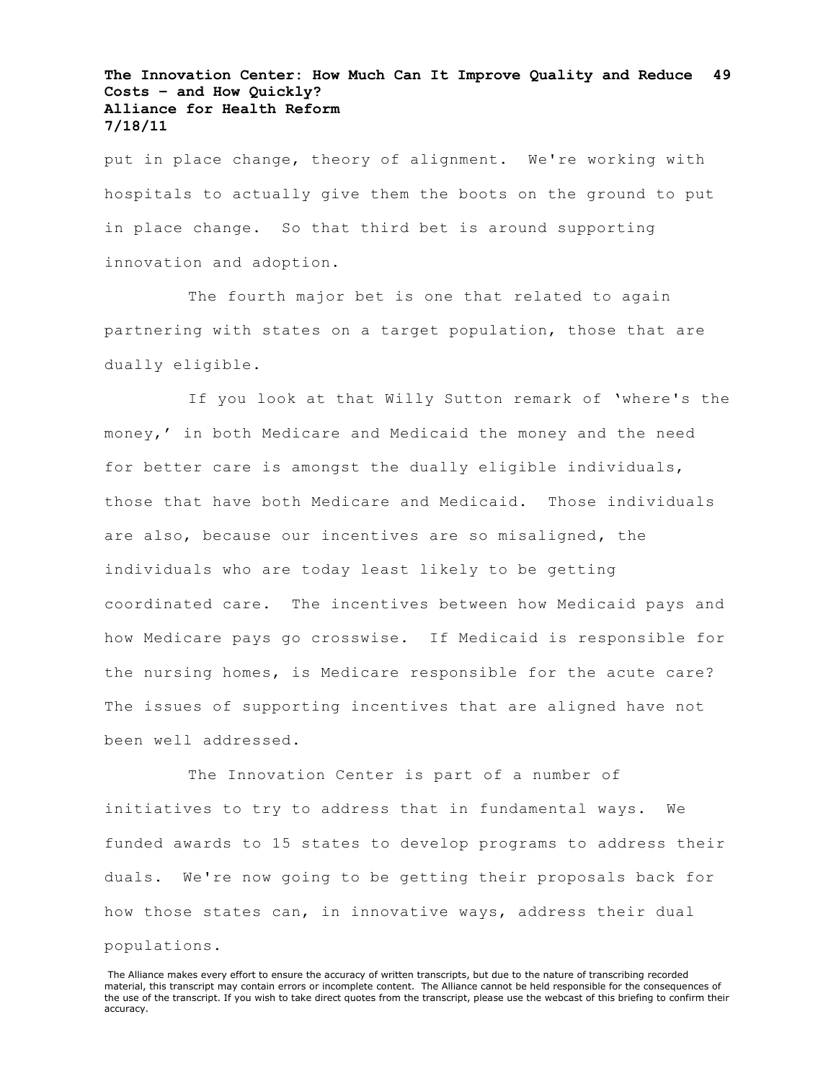put in place change, theory of alignment. We're working with hospitals to actually give them the boots on the ground to put in place change. So that third bet is around supporting innovation and adoption.

The fourth major bet is one that related to again partnering with states on a target population, those that are dually eligible.

If you look at that Willy Sutton remark of 'where's the money,' in both Medicare and Medicaid the money and the need for better care is amongst the dually eligible individuals, those that have both Medicare and Medicaid. Those individuals are also, because our incentives are so misaligned, the individuals who are today least likely to be getting coordinated care. The incentives between how Medicaid pays and how Medicare pays go crosswise. If Medicaid is responsible for the nursing homes, is Medicare responsible for the acute care? The issues of supporting incentives that are aligned have not been well addressed.

The Innovation Center is part of a number of initiatives to try to address that in fundamental ways. We funded awards to 15 states to develop programs to address their duals. We're now going to be getting their proposals back for how those states can, in innovative ways, address their dual populations.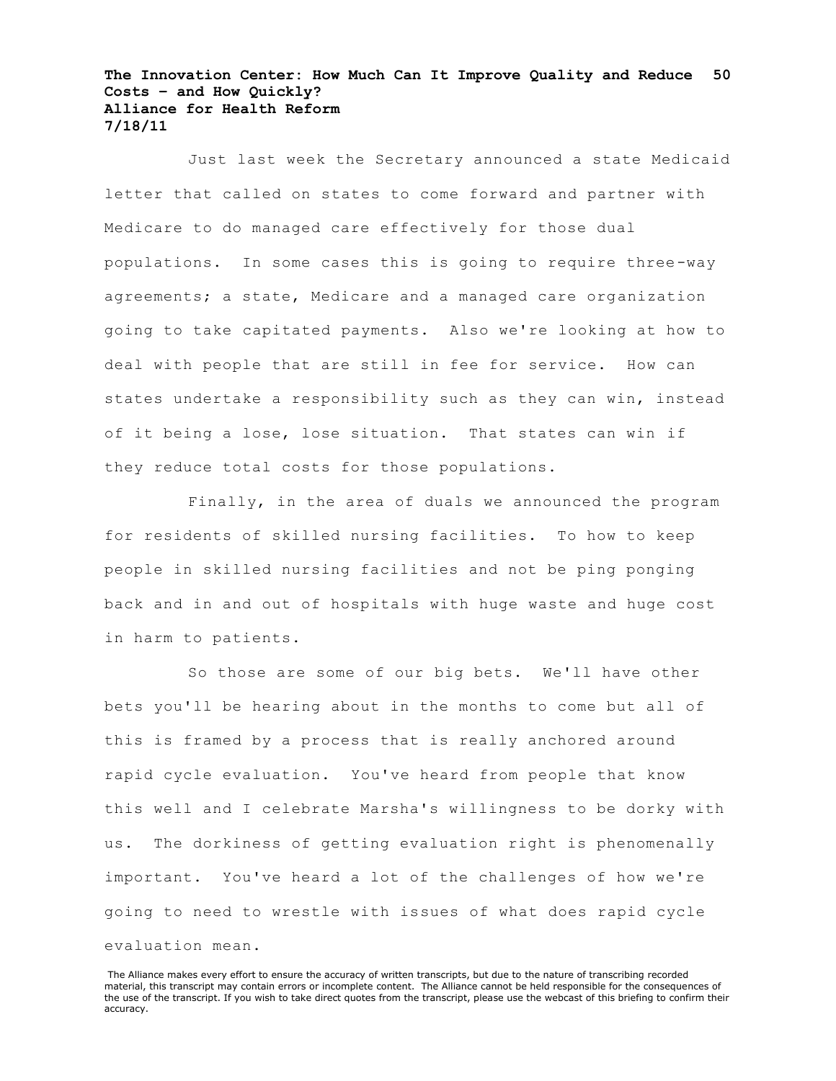Just last week the Secretary announced a state Medicaid letter that called on states to come forward and partner with Medicare to do managed care effectively for those dual populations. In some cases this is going to require three-way agreements; a state, Medicare and a managed care organization going to take capitated payments. Also we're looking at how to deal with people that are still in fee for service. How can states undertake a responsibility such as they can win, instead of it being a lose, lose situation. That states can win if they reduce total costs for those populations.

Finally, in the area of duals we announced the program for residents of skilled nursing facilities. To how to keep people in skilled nursing facilities and not be ping ponging back and in and out of hospitals with huge waste and huge cost in harm to patients.

So those are some of our big bets. We'll have other bets you'll be hearing about in the months to come but all of this is framed by a process that is really anchored around rapid cycle evaluation. You've heard from people that know this well and I celebrate Marsha's willingness to be dorky with us. The dorkiness of getting evaluation right is phenomenally important. You've heard a lot of the challenges of how we're going to need to wrestle with issues of what does rapid cycle evaluation mean.

The Alliance makes every effort to ensure the accuracy of written transcripts, but due to the nature of transcribing recorded material, this transcript may contain errors or incomplete content. The Alliance cannot be held responsible for the consequences of the use of the transcript. If you wish to take direct quotes from the transcript, please use the webcast of this briefing to confirm their accuracy.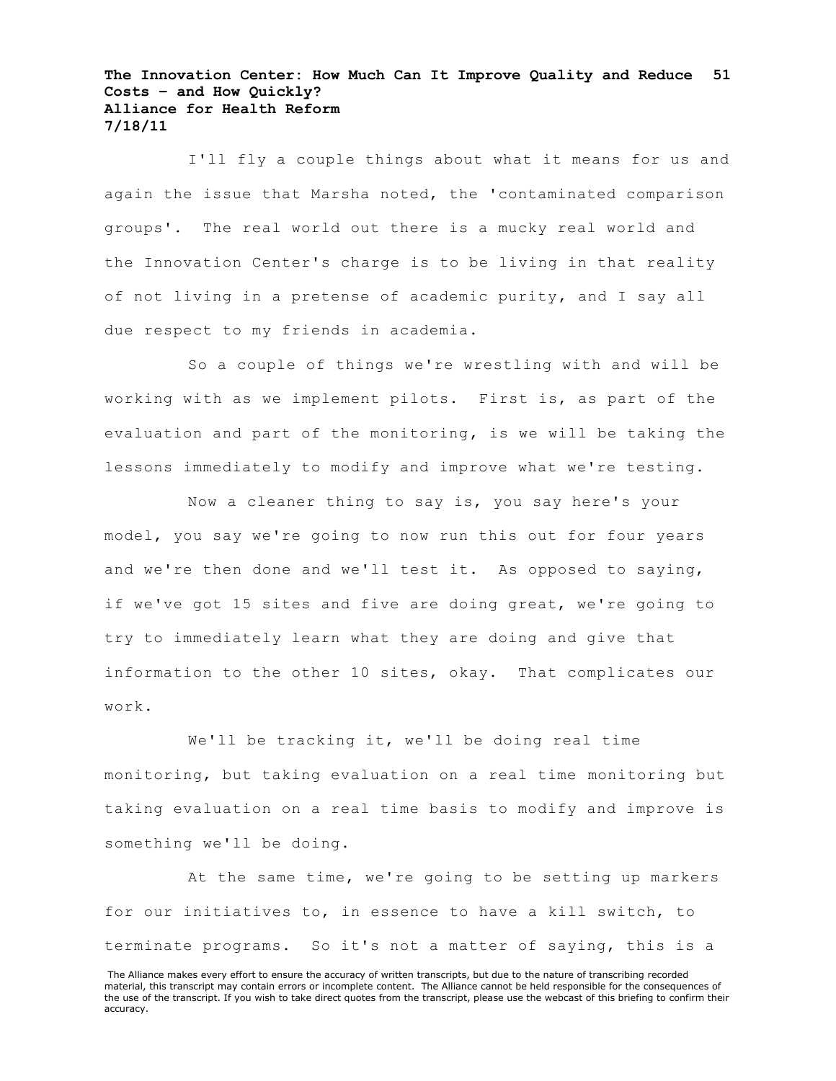I'll fly a couple things about what it means for us and again the issue that Marsha noted, the 'contaminated comparison groups'. The real world out there is a mucky real world and the Innovation Center's charge is to be living in that reality of not living in a pretense of academic purity, and I say all due respect to my friends in academia.

So a couple of things we're wrestling with and will be working with as we implement pilots. First is, as part of the evaluation and part of the monitoring, is we will be taking the lessons immediately to modify and improve what we're testing.

Now a cleaner thing to say is, you say here's your model, you say we're going to now run this out for four years and we're then done and we'll test it. As opposed to saying, if we've got 15 sites and five are doing great, we're going to try to immediately learn what they are doing and give that information to the other 10 sites, okay. That complicates our work.

We'll be tracking it, we'll be doing real time monitoring, but taking evaluation on a real time monitoring but taking evaluation on a real time basis to modify and improve is something we'll be doing.

At the same time, we're going to be setting up markers for our initiatives to, in essence to have a kill switch, to terminate programs. So it's not a matter of saying, this is a

The Alliance makes every effort to ensure the accuracy of written transcripts, but due to the nature of transcribing recorded material, this transcript may contain errors or incomplete content. The Alliance cannot be held responsible for the consequences of the use of the transcript. If you wish to take direct quotes from the transcript, please use the webcast of this briefing to confirm their accuracy.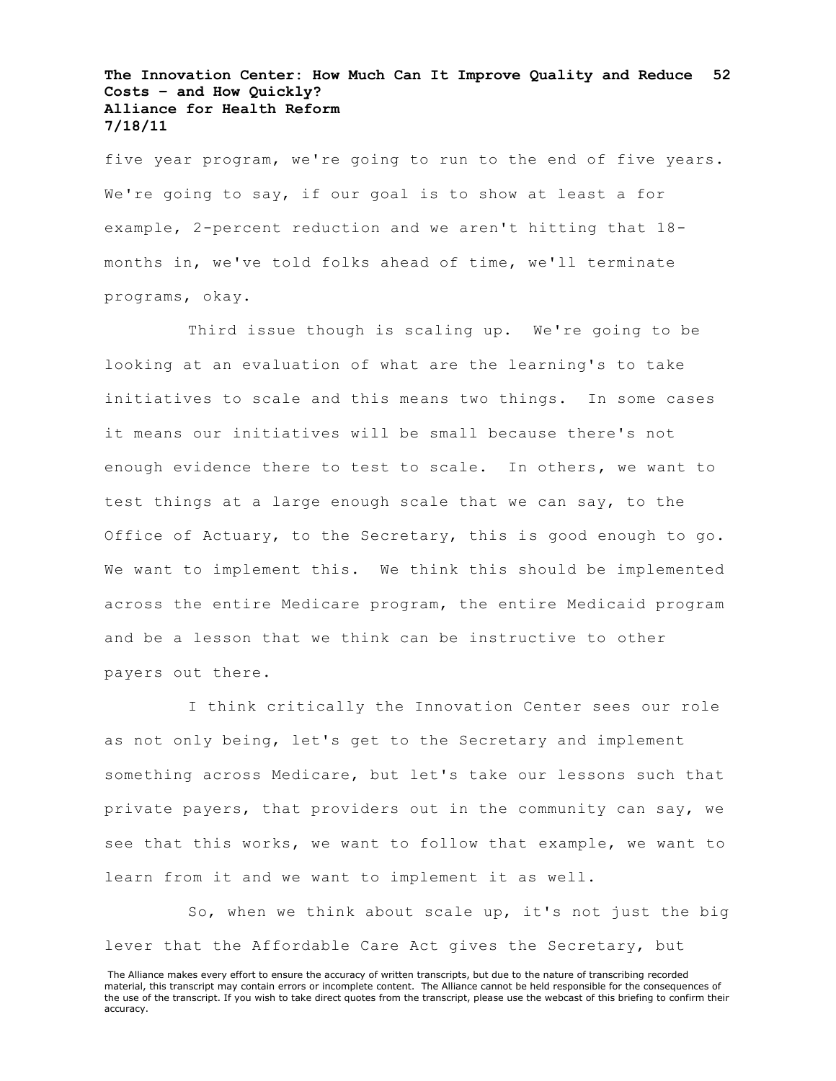five year program, we're going to run to the end of five years. We're going to say, if our goal is to show at least a for example, 2-percent reduction and we aren't hitting that 18 months in, we've told folks ahead of time, we'll terminate programs, okay.

Third issue though is scaling up. We're going to be looking at an evaluation of what are the learning's to take initiatives to scale and this means two things. In some cases it means our initiatives will be small because there's not enough evidence there to test to scale. In others, we want to test things at a large enough scale that we can say, to the Office of Actuary, to the Secretary, this is good enough to go. We want to implement this. We think this should be implemented across the entire Medicare program, the entire Medicaid program and be a lesson that we think can be instructive to other payers out there.

I think critically the Innovation Center sees our role as not only being, let's get to the Secretary and implement something across Medicare, but let's take our lessons such that private payers, that providers out in the community can say, we see that this works, we want to follow that example, we want to learn from it and we want to implement it as well.

So, when we think about scale up, it's not just the big lever that the Affordable Care Act gives the Secretary, but

The Alliance makes every effort to ensure the accuracy of written transcripts, but due to the nature of transcribing recorded material, this transcript may contain errors or incomplete content. The Alliance cannot be held responsible for the consequences of the use of the transcript. If you wish to take direct quotes from the transcript, please use the webcast of this briefing to confirm their accuracy.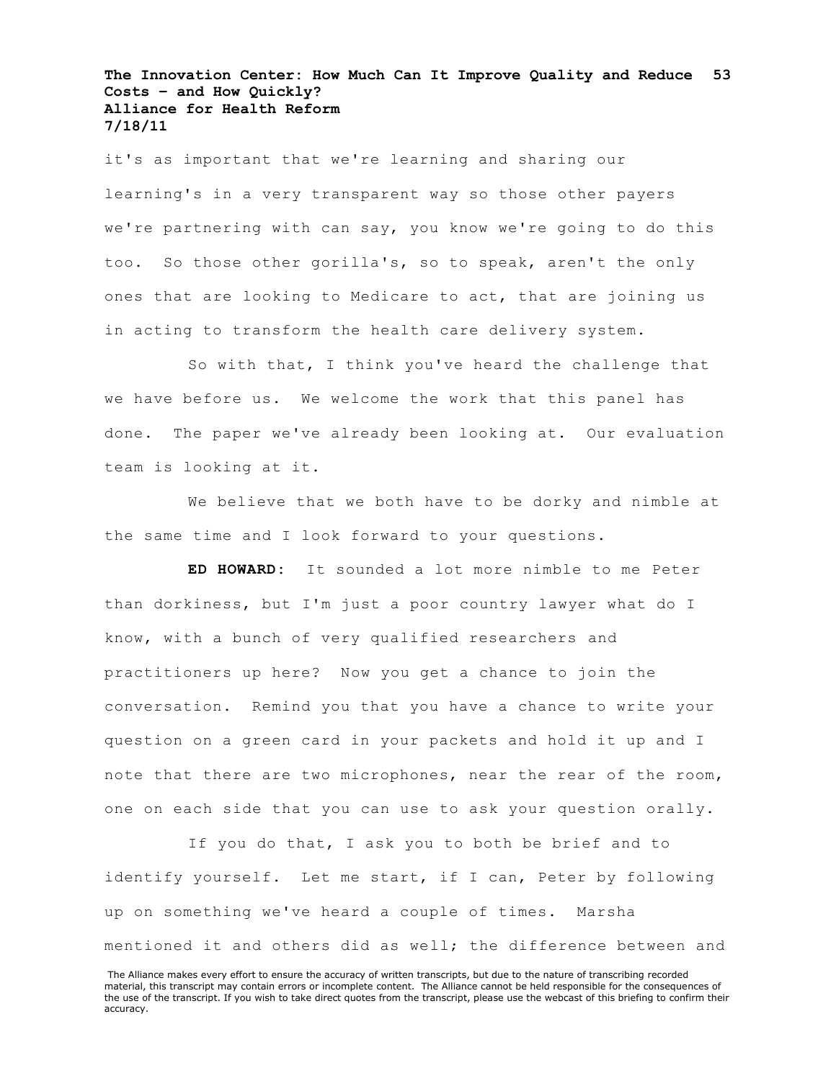it's as important that we're learning and sharing our learning's in a very transparent way so those other payers we're partnering with can say, you know we're going to do this too. So those other gorilla's, so to speak, aren't the only ones that are looking to Medicare to act, that are joining us in acting to transform the health care delivery system.

So with that, I think you've heard the challenge that we have before us. We welcome the work that this panel has done. The paper we've already been looking at. Our evaluation team is looking at it.

We believe that we both have to be dorky and nimble at the same time and I look forward to your questions.

**ED HOWARD:** It sounded a lot more nimble to me Peter than dorkiness, but I'm just a poor country lawyer what do I know, with a bunch of very qualified researchers and practitioners up here? Now you get a chance to join the conversation. Remind you that you have a chance to write your question on a green card in your packets and hold it up and I note that there are two microphones, near the rear of the room, one on each side that you can use to ask your question orally.

If you do that, I ask you to both be brief and to identify yourself. Let me start, if I can, Peter by following up on something we've heard a couple of times. Marsha mentioned it and others did as well; the difference between and

The Alliance makes every effort to ensure the accuracy of written transcripts, but due to the nature of transcribing recorded material, this transcript may contain errors or incomplete content. The Alliance cannot be held responsible for the consequences of the use of the transcript. If you wish to take direct quotes from the transcript, please use the webcast of this briefing to confirm their accuracy.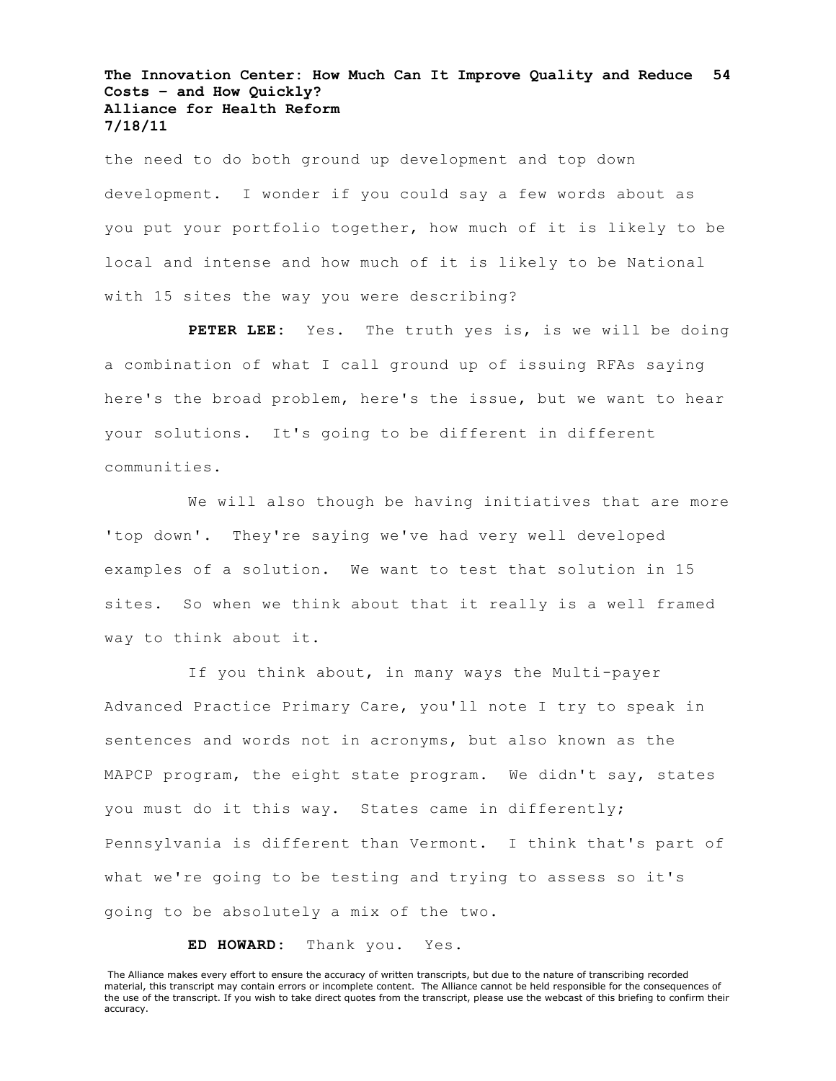the need to do both ground up development and top down development. I wonder if you could say a few words about as you put your portfolio together, how much of it is likely to be local and intense and how much of it is likely to be National with 15 sites the way you were describing?

**PETER LEE:** Yes. The truth yes is, is we will be doing a combination of what I call ground up of issuing RFAs saying here's the broad problem, here's the issue, but we want to hear your solutions. It's going to be different in different communities.

We will also though be having initiatives that are more 'top down'. They're saying we've had very well developed examples of a solution. We want to test that solution in 15 sites. So when we think about that it really is a well framed way to think about it.

If you think about, in many ways the Multi-payer Advanced Practice Primary Care, you'll note I try to speak in sentences and words not in acronyms, but also known as the MAPCP program, the eight state program. We didn't say, states you must do it this way. States came in differently; Pennsylvania is different than Vermont. I think that's part of what we're going to be testing and trying to assess so it's going to be absolutely a mix of the two.

**ED HOWARD:** Thank you. Yes.

The Alliance makes every effort to ensure the accuracy of written transcripts, but due to the nature of transcribing recorded material, this transcript may contain errors or incomplete content. The Alliance cannot be held responsible for the consequences of the use of the transcript. If you wish to take direct quotes from the transcript, please use the webcast of this briefing to confirm their accuracy.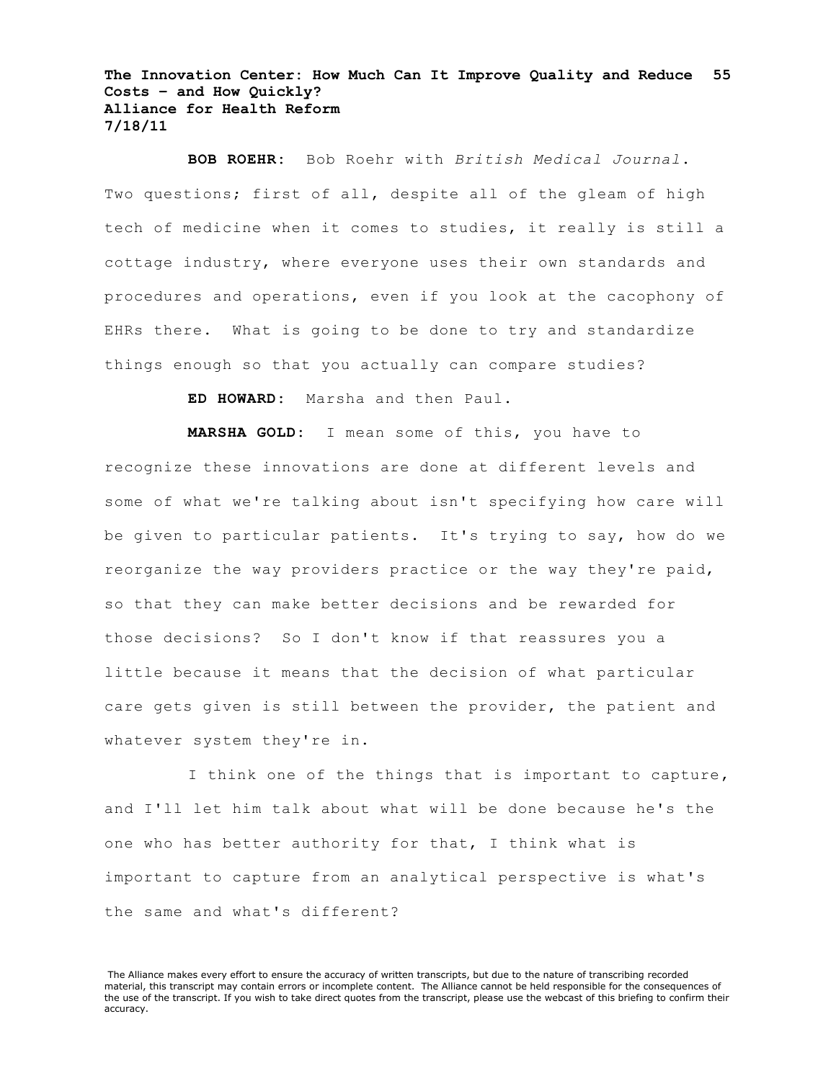**BOB ROEHR:** Bob Roehr with *British Medical Journal*. Two questions; first of all, despite all of the gleam of high tech of medicine when it comes to studies, it really is still a cottage industry, where everyone uses their own standards and procedures and operations, even if you look at the cacophony of EHRs there. What is going to be done to try and standardize things enough so that you actually can compare studies?

**ED HOWARD:** Marsha and then Paul.

**MARSHA GOLD:** I mean some of this, you have to recognize these innovations are done at different levels and some of what we're talking about isn't specifying how care will be given to particular patients. It's trying to say, how do we reorganize the way providers practice or the way they're paid, so that they can make better decisions and be rewarded for those decisions? So I don't know if that reassures you a little because it means that the decision of what particular care gets given is still between the provider, the patient and whatever system they're in.

I think one of the things that is important to capture, and I'll let him talk about what will be done because he's the one who has better authority for that, I think what is important to capture from an analytical perspective is what's the same and what's different?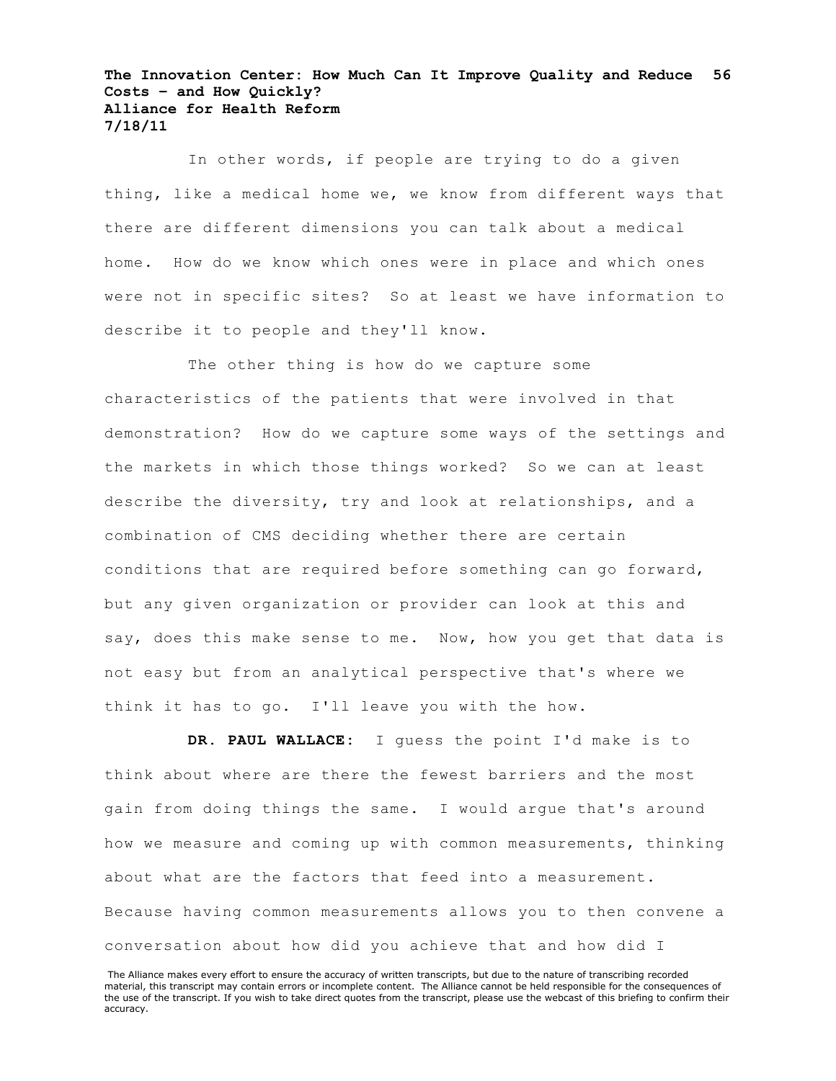In other words, if people are trying to do a given thing, like a medical home we, we know from different ways that there are different dimensions you can talk about a medical home. How do we know which ones were in place and which ones were not in specific sites? So at least we have information to describe it to people and they'll know.

The other thing is how do we capture some characteristics of the patients that were involved in that demonstration? How do we capture some ways of the settings and the markets in which those things worked? So we can at least describe the diversity, try and look at relationships, and a combination of CMS deciding whether there are certain conditions that are required before something can go forward, but any given organization or provider can look at this and say, does this make sense to me. Now, how you get that data is not easy but from an analytical perspective that's where we think it has to go. I'll leave you with the how.

**DR. PAUL WALLACE:** I guess the point I'd make is to think about where are there the fewest barriers and the most gain from doing things the same. I would argue that's around how we measure and coming up with common measurements, thinking about what are the factors that feed into a measurement. Because having common measurements allows you to then convene a conversation about how did you achieve that and how did I

The Alliance makes every effort to ensure the accuracy of written transcripts, but due to the nature of transcribing recorded material, this transcript may contain errors or incomplete content. The Alliance cannot be held responsible for the consequences of the use of the transcript. If you wish to take direct quotes from the transcript, please use the webcast of this briefing to confirm their accuracy.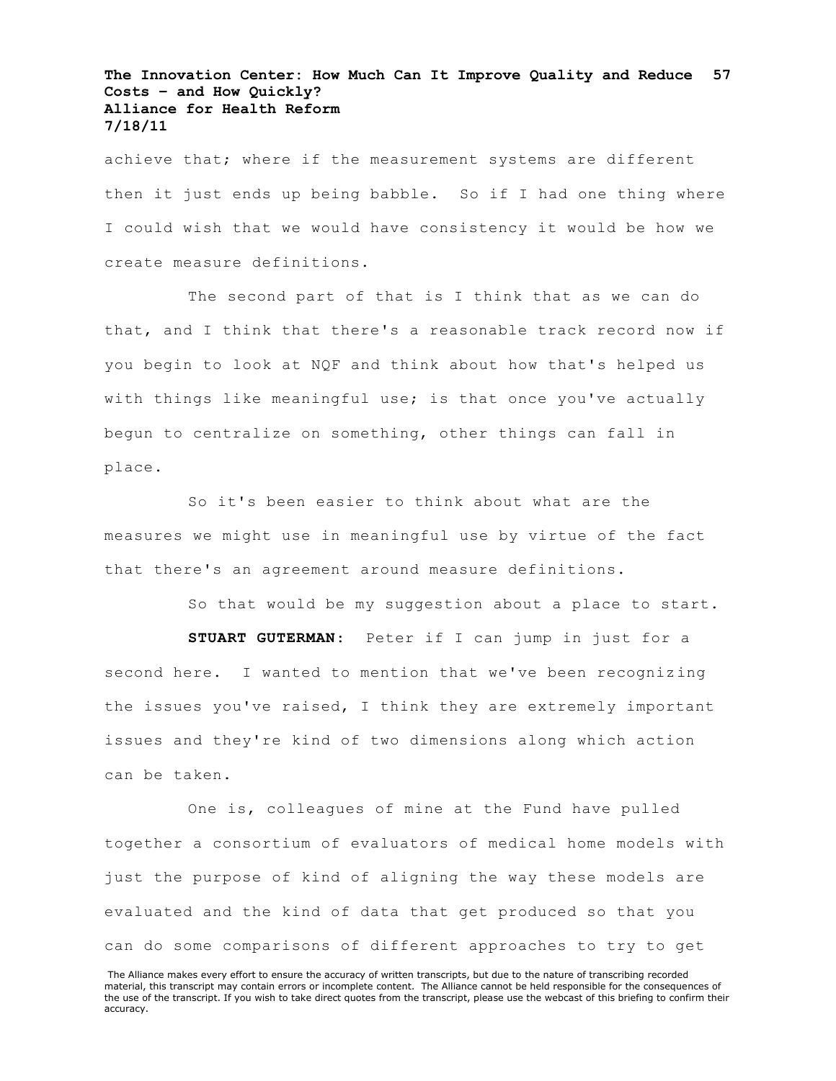achieve that; where if the measurement systems are different then it just ends up being babble. So if I had one thing where I could wish that we would have consistency it would be how we create measure definitions.

The second part of that is I think that as we can do that, and I think that there's a reasonable track record now if you begin to look at NQF and think about how that's helped us with things like meaningful use; is that once you've actually begun to centralize on something, other things can fall in place.

So it's been easier to think about what are the measures we might use in meaningful use by virtue of the fact that there's an agreement around measure definitions.

So that would be my suggestion about a place to start.

**STUART GUTERMAN**: Peter if I can jump in just for a second here. I wanted to mention that we've been recognizing the issues you've raised, I think they are extremely important issues and they're kind of two dimensions along which action can be taken.

One is, colleagues of mine at the Fund have pulled together a consortium of evaluators of medical home models with just the purpose of kind of aligning the way these models are evaluated and the kind of data that get produced so that you can do some comparisons of different approaches to try to get

The Alliance makes every effort to ensure the accuracy of written transcripts, but due to the nature of transcribing recorded material, this transcript may contain errors or incomplete content. The Alliance cannot be held responsible for the consequences of the use of the transcript. If you wish to take direct quotes from the transcript, please use the webcast of this briefing to confirm their accuracy.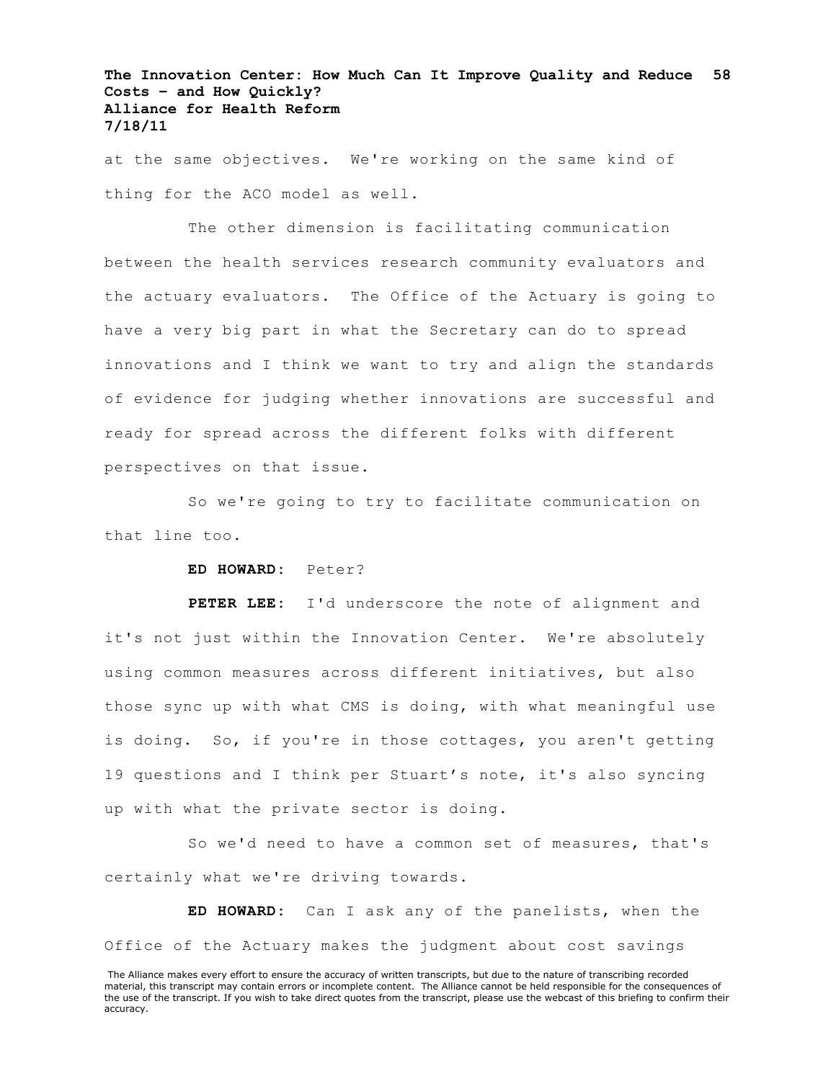at the same objectives. We're working on the same kind of thing for the ACO model as well.

The other dimension is facilitating communication between the health services research community evaluators and the actuary evaluators. The Office of the Actuary is going to have a very big part in what the Secretary can do to spread innovations and I think we want to try and align the standards of evidence for judging whether innovations are successful and ready for spread across the different folks with different perspectives on that issue.

So we're going to try to facilitate communication on that line too.

# **ED HOWARD:** Peter?

**PETER LEE:** I'd underscore the note of alignment and it's not just within the Innovation Center. We're absolutely using common measures across different initiatives, but also those sync up with what CMS is doing, with what meaningful use is doing. So, if you're in those cottages, you aren't getting 19 questions and I think per Stuart's note, it's also syncing up with what the private sector is doing.

So we'd need to have a common set of measures, that's certainly what we're driving towards.

**ED HOWARD:** Can I ask any of the panelists, when the Office of the Actuary makes the judgment about cost savings

The Alliance makes every effort to ensure the accuracy of written transcripts, but due to the nature of transcribing recorded material, this transcript may contain errors or incomplete content. The Alliance cannot be held responsible for the consequences of the use of the transcript. If you wish to take direct quotes from the transcript, please use the webcast of this briefing to confirm their accuracy.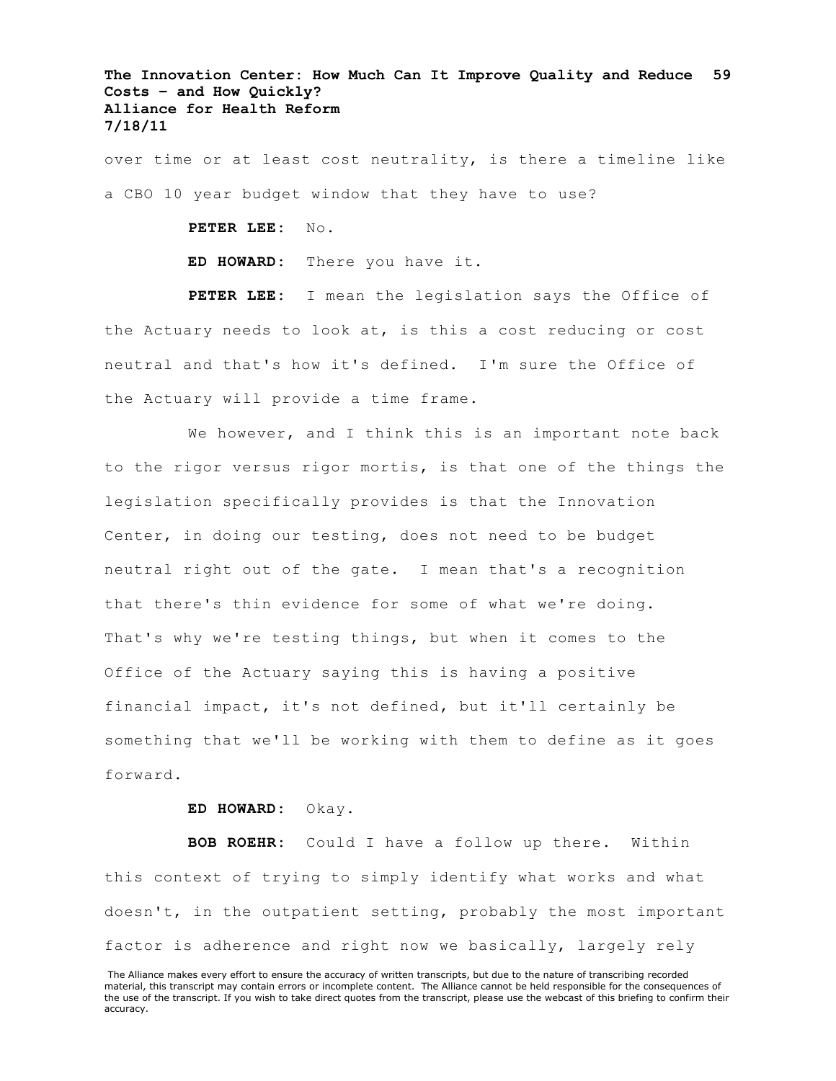over time or at least cost neutrality, is there a timeline like a CBO 10 year budget window that they have to use?

> **PETER LEE:** No. **ED HOWARD:** There you have it.

**PETER LEE:** I mean the legislation says the Office of the Actuary needs to look at, is this a cost reducing or cost neutral and that's how it's defined. I'm sure the Office of the Actuary will provide a time frame.

We however, and I think this is an important note back to the rigor versus rigor mortis, is that one of the things the legislation specifically provides is that the Innovation Center, in doing our testing, does not need to be budget neutral right out of the gate. I mean that's a recognition that there's thin evidence for some of what we're doing. That's why we're testing things, but when it comes to the Office of the Actuary saying this is having a positive financial impact, it's not defined, but it'll certainly be something that we'll be working with them to define as it goes forward.

# **ED HOWARD:** Okay.

**BOB ROEHR:** Could I have a follow up there. Within this context of trying to simply identify what works and what doesn't, in the outpatient setting, probably the most important factor is adherence and right now we basically, largely rely

The Alliance makes every effort to ensure the accuracy of written transcripts, but due to the nature of transcribing recorded material, this transcript may contain errors or incomplete content. The Alliance cannot be held responsible for the consequences of the use of the transcript. If you wish to take direct quotes from the transcript, please use the webcast of this briefing to confirm their accuracy.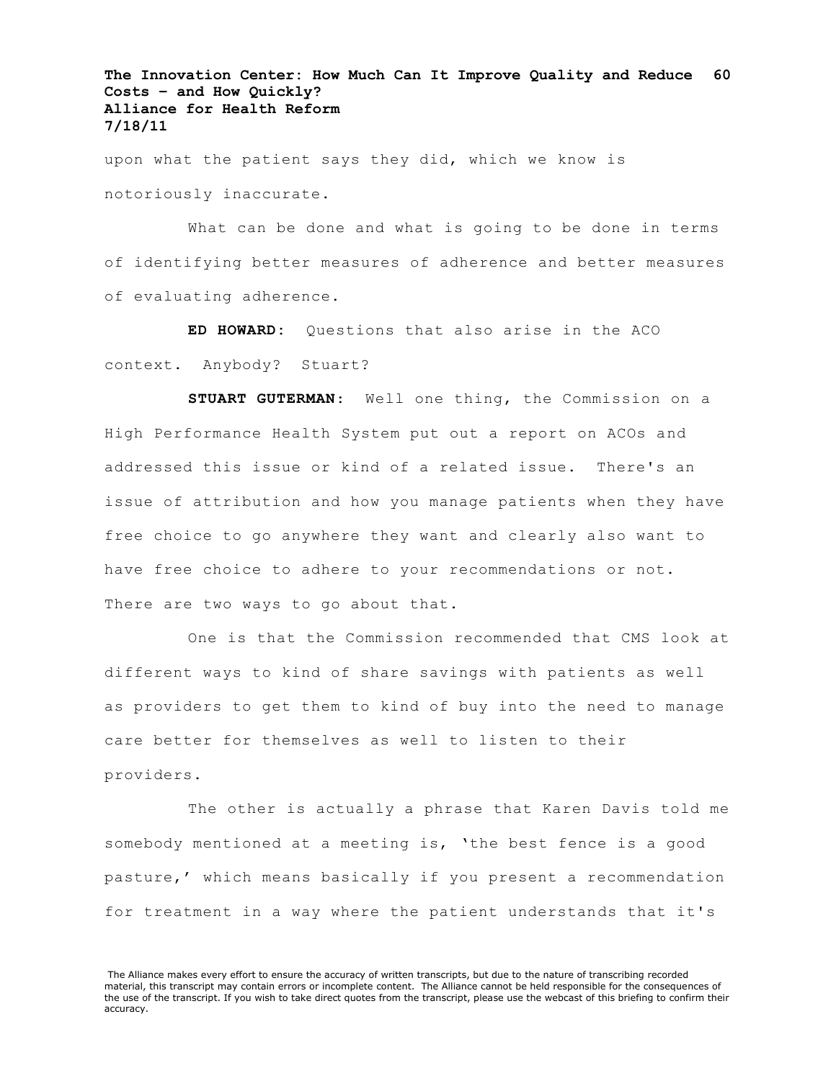upon what the patient says they did, which we know is notoriously inaccurate.

What can be done and what is going to be done in terms of identifying better measures of adherence and better measures of evaluating adherence.

**ED HOWARD:** Questions that also arise in the ACO context. Anybody? Stuart?

**STUART GUTERMAN**: Well one thing, the Commission on a High Performance Health System put out a report on ACOs and addressed this issue or kind of a related issue. There's an issue of attribution and how you manage patients when they have free choice to go anywhere they want and clearly also want to have free choice to adhere to your recommendations or not. There are two ways to go about that.

One is that the Commission recommended that CMS look at different ways to kind of share savings with patients as well as providers to get them to kind of buy into the need to manage care better for themselves as well to listen to their providers.

The other is actually a phrase that Karen Davis told me somebody mentioned at a meeting is, 'the best fence is a good pasture,' which means basically if you present a recommendation for treatment in a way where the patient understands that it's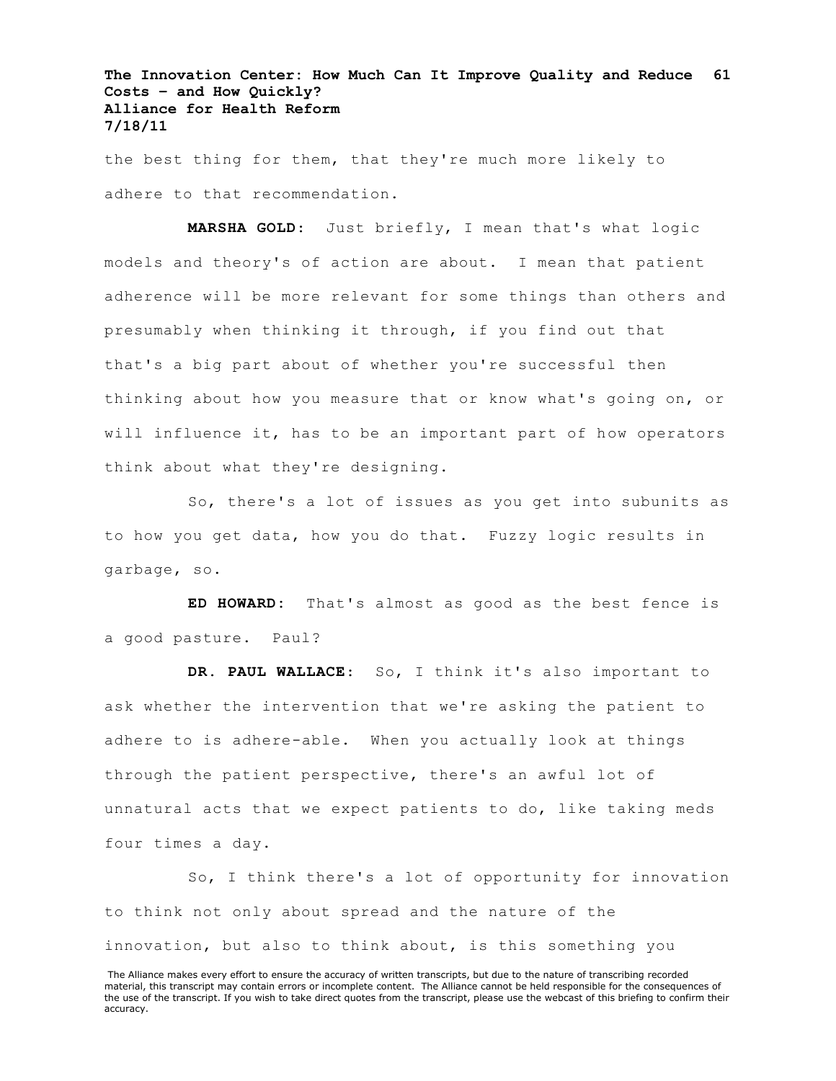the best thing for them, that they're much more likely to adhere to that recommendation.

**MARSHA GOLD**: Just briefly, I mean that's what logic models and theory's of action are about. I mean that patient adherence will be more relevant for some things than others and presumably when thinking it through, if you find out that that's a big part about of whether you're successful then thinking about how you measure that or know what's going on, or will influence it, has to be an important part of how operators think about what they're designing.

So, there's a lot of issues as you get into subunits as to how you get data, how you do that. Fuzzy logic results in garbage, so.

**ED HOWARD:** That's almost as good as the best fence is a good pasture. Paul?

**DR. PAUL WALLACE**: So, I think it's also important to ask whether the intervention that we're asking the patient to adhere to is adhere-able. When you actually look at things through the patient perspective, there's an awful lot of unnatural acts that we expect patients to do, like taking meds four times a day.

So, I think there's a lot of opportunity for innovation to think not only about spread and the nature of the innovation, but also to think about, is this something you

The Alliance makes every effort to ensure the accuracy of written transcripts, but due to the nature of transcribing recorded material, this transcript may contain errors or incomplete content. The Alliance cannot be held responsible for the consequences of the use of the transcript. If you wish to take direct quotes from the transcript, please use the webcast of this briefing to confirm their accuracy.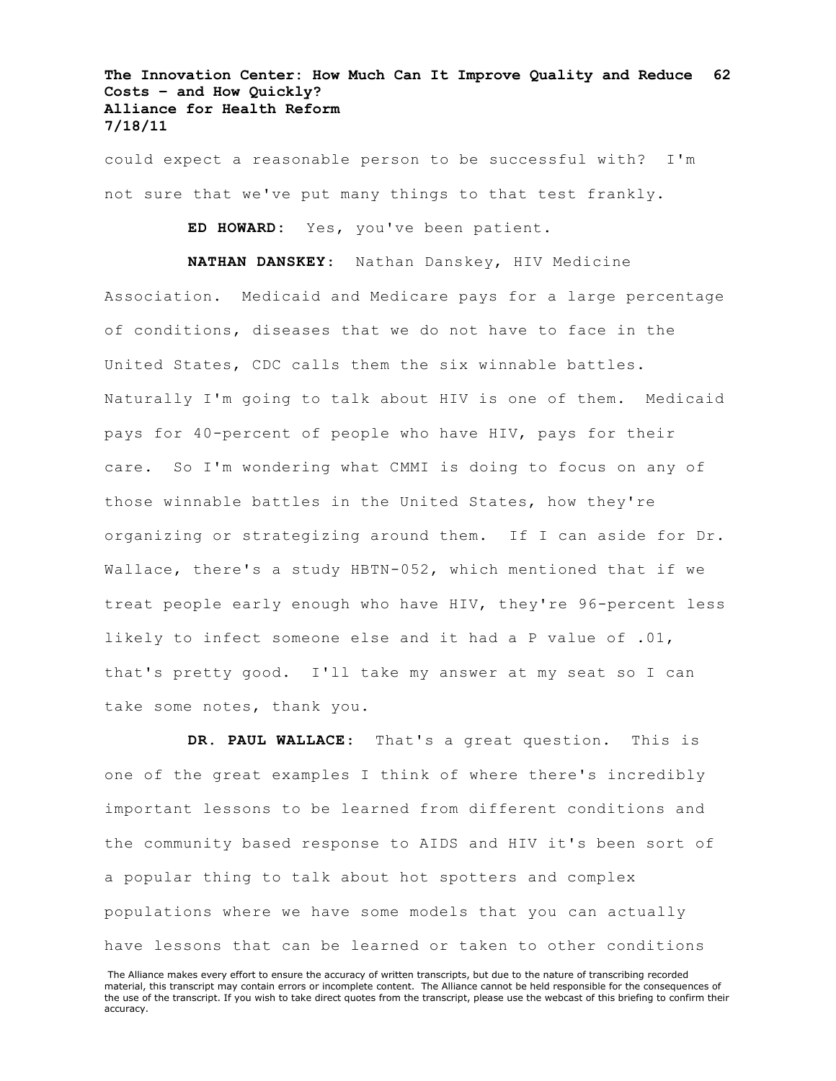could expect a reasonable person to be successful with? I'm not sure that we've put many things to that test frankly.

**ED HOWARD:** Yes, you've been patient.

**NATHAN DANSKEY**: Nathan Danskey, HIV Medicine Association. Medicaid and Medicare pays for a large percentage of conditions, diseases that we do not have to face in the United States, CDC calls them the six winnable battles. Naturally I'm going to talk about HIV is one of them. Medicaid pays for 40-percent of people who have HIV, pays for their care. So I'm wondering what CMMI is doing to focus on any of those winnable battles in the United States, how they're organizing or strategizing around them. If I can aside for Dr. Wallace, there's a study HBTN-052, which mentioned that if we treat people early enough who have HIV, they're 96-percent less likely to infect someone else and it had a P value of .01, that's pretty good. I'll take my answer at my seat so I can take some notes, thank you.

**DR. PAUL WALLACE**: That's a great question. This is one of the great examples I think of where there's incredibly important lessons to be learned from different conditions and the community based response to AIDS and HIV it's been sort of a popular thing to talk about hot spotters and complex populations where we have some models that you can actually have lessons that can be learned or taken to other conditions

The Alliance makes every effort to ensure the accuracy of written transcripts, but due to the nature of transcribing recorded material, this transcript may contain errors or incomplete content. The Alliance cannot be held responsible for the consequences of the use of the transcript. If you wish to take direct quotes from the transcript, please use the webcast of this briefing to confirm their accuracy.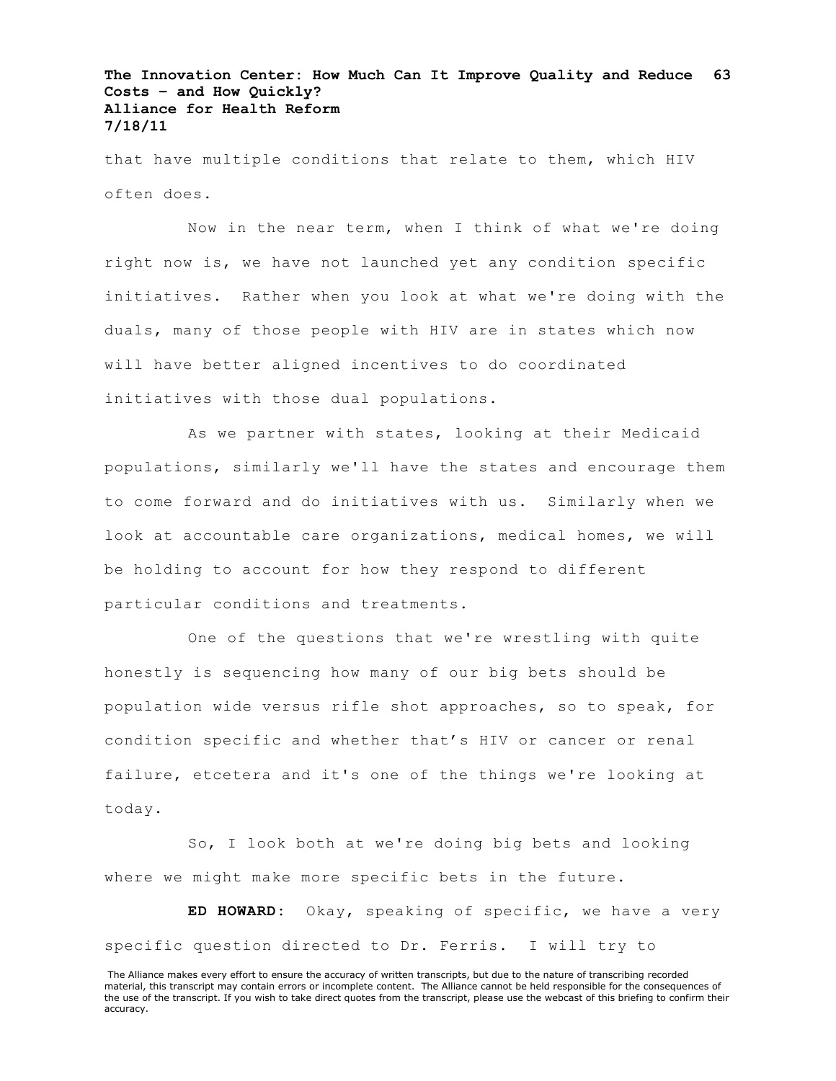that have multiple conditions that relate to them, which HIV often does.

Now in the near term, when I think of what we're doing right now is, we have not launched yet any condition specific initiatives. Rather when you look at what we're doing with the duals, many of those people with HIV are in states which now will have better aligned incentives to do coordinated initiatives with those dual populations.

As we partner with states, looking at their Medicaid populations, similarly we'll have the states and encourage them to come forward and do initiatives with us. Similarly when we look at accountable care organizations, medical homes, we will be holding to account for how they respond to different particular conditions and treatments.

One of the questions that we're wrestling with quite honestly is sequencing how many of our big bets should be population wide versus rifle shot approaches, so to speak, for condition specific and whether that's HIV or cancer or renal failure, etcetera and it's one of the things we're looking at today.

So, I look both at we're doing big bets and looking where we might make more specific bets in the future.

**ED HOWARD:** Okay, speaking of specific, we have a very specific question directed to Dr. Ferris. I will try to

The Alliance makes every effort to ensure the accuracy of written transcripts, but due to the nature of transcribing recorded material, this transcript may contain errors or incomplete content. The Alliance cannot be held responsible for the consequences of the use of the transcript. If you wish to take direct quotes from the transcript, please use the webcast of this briefing to confirm their accuracy.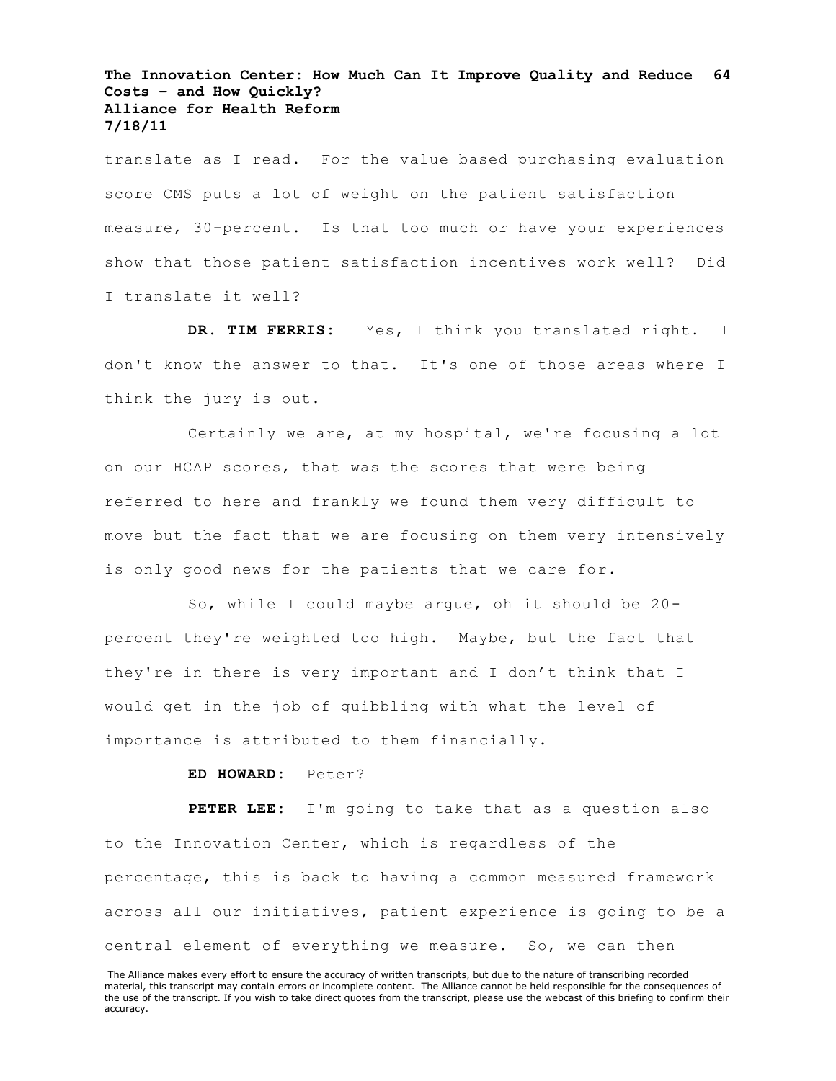translate as I read. For the value based purchasing evaluation score CMS puts a lot of weight on the patient satisfaction measure, 30-percent. Is that too much or have your experiences show that those patient satisfaction incentives work well? Did I translate it well?

**DR. TIM FERRIS:** Yes, I think you translated right. I don't know the answer to that. It's one of those areas where I think the jury is out.

Certainly we are, at my hospital, we're focusing a lot on our HCAP scores, that was the scores that were being referred to here and frankly we found them very difficult to move but the fact that we are focusing on them very intensively is only good news for the patients that we care for.

So, while I could maybe argue, oh it should be 20 percent they're weighted too high. Maybe, but the fact that they're in there is very important and I don't think that I would get in the job of quibbling with what the level of importance is attributed to them financially.

# **ED HOWARD:** Peter?

**PETER LEE:** I'm going to take that as a question also to the Innovation Center, which is regardless of the percentage, this is back to having a common measured framework across all our initiatives, patient experience is going to be a central element of everything we measure. So, we can then

The Alliance makes every effort to ensure the accuracy of written transcripts, but due to the nature of transcribing recorded material, this transcript may contain errors or incomplete content. The Alliance cannot be held responsible for the consequences of the use of the transcript. If you wish to take direct quotes from the transcript, please use the webcast of this briefing to confirm their accuracy.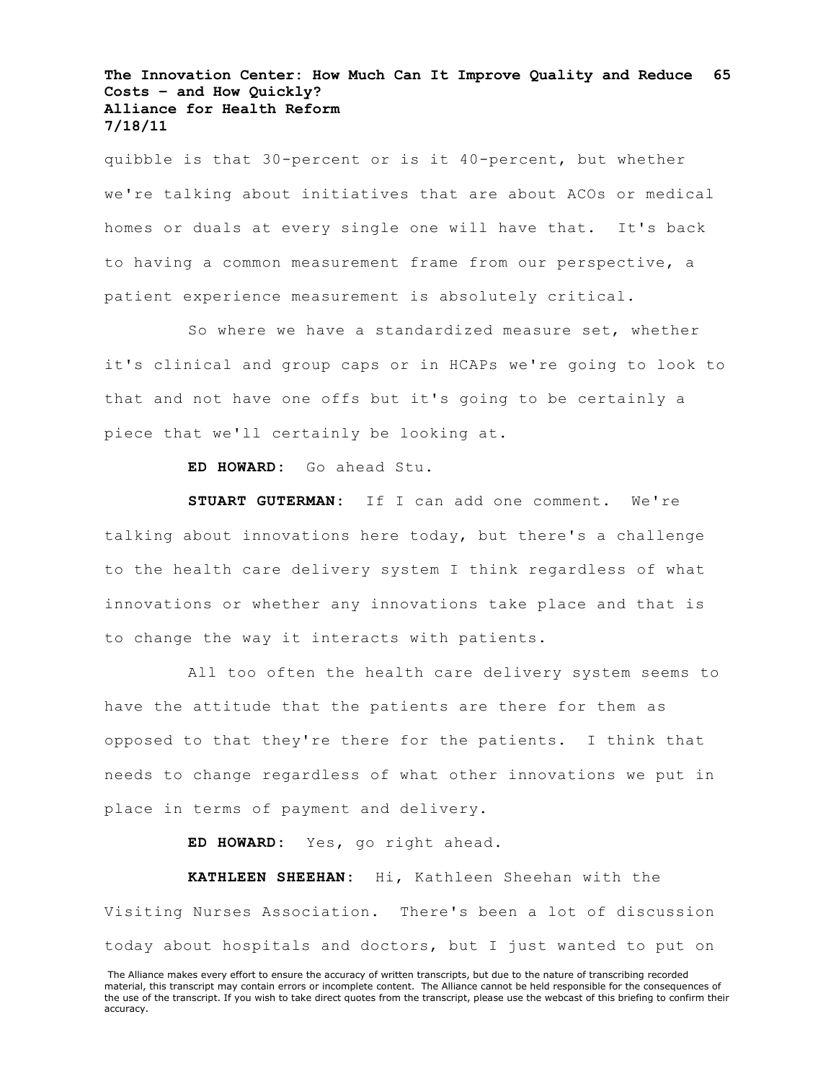quibble is that 30-percent or is it 40-percent, but whether we're talking about initiatives that are about ACOs or medical homes or duals at every single one will have that. It's back to having a common measurement frame from our perspective, a patient experience measurement is absolutely critical.

So where we have a standardized measure set, whether it's clinical and group caps or in HCAPs we're going to look to that and not have one offs but it's going to be certainly a piece that we'll certainly be looking at.

**ED HOWARD:** Go ahead Stu.

**STUART GUTERMAN:** If I can add one comment. We're talking about innovations here today, but there's a challenge to the health care delivery system I think regardless of what innovations or whether any innovations take place and that is to change the way it interacts with patients.

All too often the health care delivery system seems to have the attitude that the patients are there for them as opposed to that they're there for the patients. I think that needs to change regardless of what other innovations we put in place in terms of payment and delivery.

**ED HOWARD:** Yes, go right ahead.

**KATHLEEN SHEEHAN:** Hi, Kathleen Sheehan with the Visiting Nurses Association. There's been a lot of discussion today about hospitals and doctors, but I just wanted to put on

The Alliance makes every effort to ensure the accuracy of written transcripts, but due to the nature of transcribing recorded material, this transcript may contain errors or incomplete content. The Alliance cannot be held responsible for the consequences of the use of the transcript. If you wish to take direct quotes from the transcript, please use the webcast of this briefing to confirm their accuracy.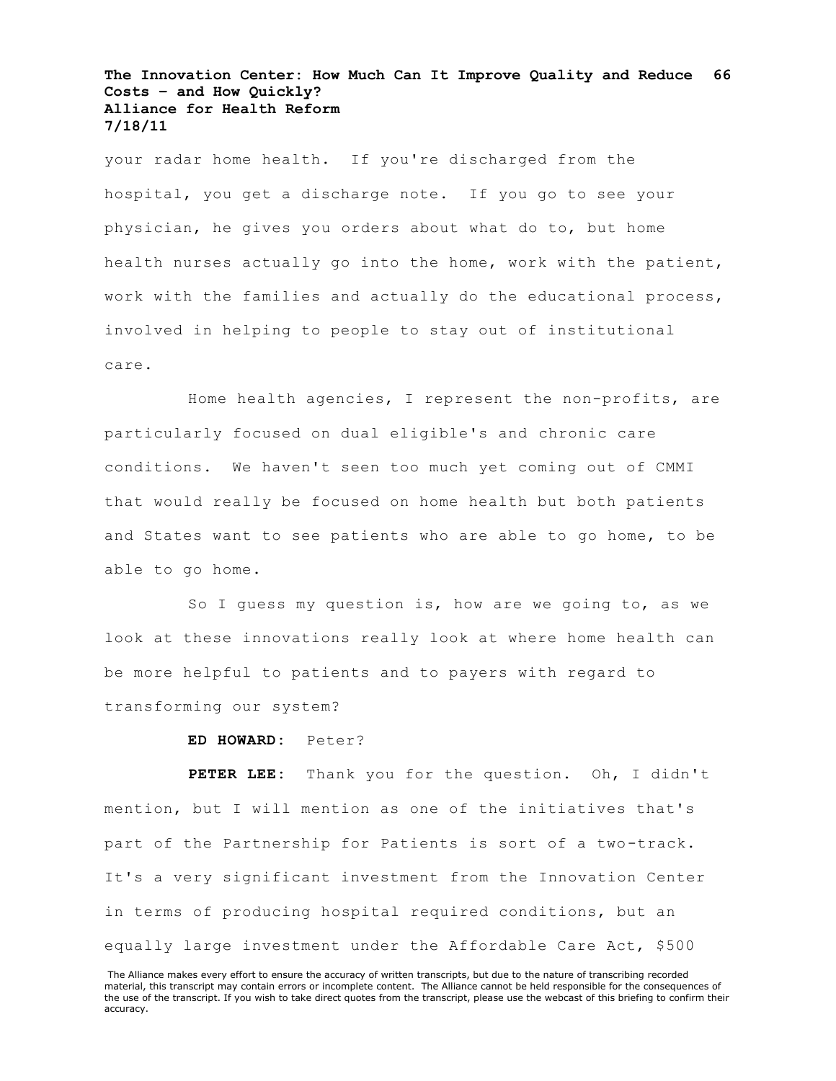your radar home health. If you're discharged from the hospital, you get a discharge note. If you go to see your physician, he gives you orders about what do to, but home health nurses actually go into the home, work with the patient, work with the families and actually do the educational process, involved in helping to people to stay out of institutional care.

Home health agencies, I represent the non-profits, are particularly focused on dual eligible's and chronic care conditions. We haven't seen too much yet coming out of CMMI that would really be focused on home health but both patients and States want to see patients who are able to go home, to be able to go home.

So I guess my question is, how are we going to, as we look at these innovations really look at where home health can be more helpful to patients and to payers with regard to transforming our system?

**ED HOWARD:** Peter?

**PETER LEE:** Thank you for the question. Oh, I didn't mention, but I will mention as one of the initiatives that's part of the Partnership for Patients is sort of a two-track. It's a very significant investment from the Innovation Center in terms of producing hospital required conditions, but an equally large investment under the Affordable Care Act, \$500

The Alliance makes every effort to ensure the accuracy of written transcripts, but due to the nature of transcribing recorded material, this transcript may contain errors or incomplete content. The Alliance cannot be held responsible for the consequences of the use of the transcript. If you wish to take direct quotes from the transcript, please use the webcast of this briefing to confirm their accuracy.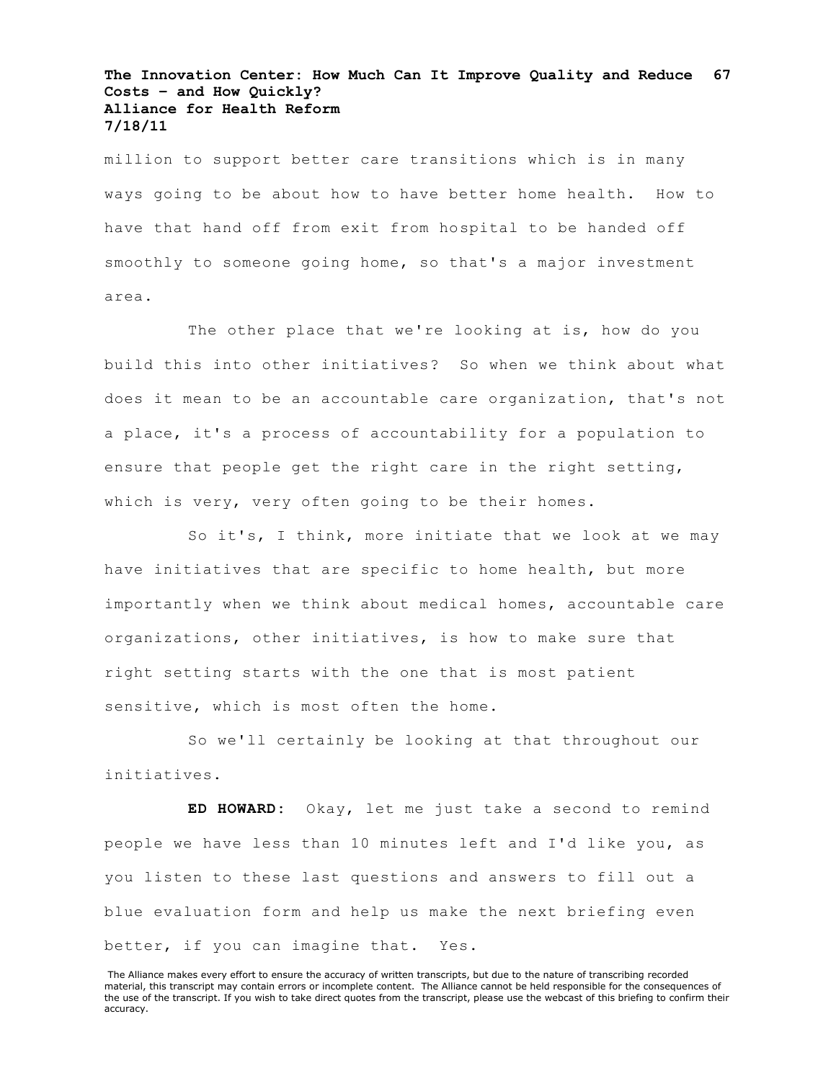million to support better care transitions which is in many ways going to be about how to have better home health. How to have that hand off from exit from hospital to be handed off smoothly to someone going home, so that's a major investment area.

The other place that we're looking at is, how do you build this into other initiatives? So when we think about what does it mean to be an accountable care organization, that's not a place, it's a process of accountability for a population to ensure that people get the right care in the right setting, which is very, very often going to be their homes.

So it's, I think, more initiate that we look at we may have initiatives that are specific to home health, but more importantly when we think about medical homes, accountable care organizations, other initiatives, is how to make sure that right setting starts with the one that is most patient sensitive, which is most often the home.

So we'll certainly be looking at that throughout our initiatives.

**ED HOWARD:** Okay, let me just take a second to remind people we have less than 10 minutes left and I'd like you, as you listen to these last questions and answers to fill out a blue evaluation form and help us make the next briefing even better, if you can imagine that. Yes.

The Alliance makes every effort to ensure the accuracy of written transcripts, but due to the nature of transcribing recorded material, this transcript may contain errors or incomplete content. The Alliance cannot be held responsible for the consequences of the use of the transcript. If you wish to take direct quotes from the transcript, please use the webcast of this briefing to confirm their accuracy.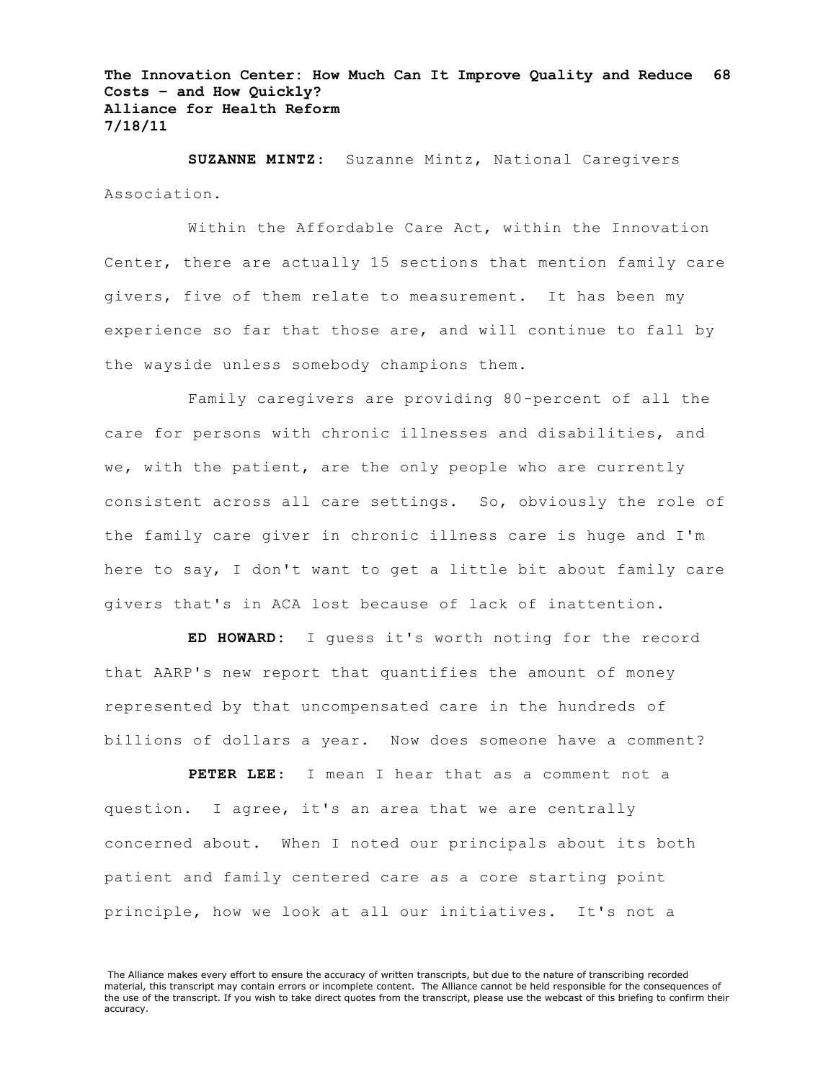**SUZANNE MINTZ**: Suzanne Mintz, National Caregivers Association.

Within the Affordable Care Act, within the Innovation Center, there are actually 15 sections that mention family care givers, five of them relate to measurement. It has been my experience so far that those are, and will continue to fall by the wayside unless somebody champions them.

Family caregivers are providing 80-percent of all the care for persons with chronic illnesses and disabilities, and we, with the patient, are the only people who are currently consistent across all care settings. So, obviously the role of the family care giver in chronic illness care is huge and I'm here to say, I don't want to get a little bit about family care givers that's in ACA lost because of lack of inattention.

**ED HOWARD:** I guess it's worth noting for the record that AARP's new report that quantifies the amount of money represented by that uncompensated care in the hundreds of billions of dollars a year. Now does someone have a comment?

**PETER LEE**: I mean I hear that as a comment not a question. I agree, it's an area that we are centrally concerned about. When I noted our principals about its both patient and family centered care as a core starting point principle, how we look at all our initiatives. It's not a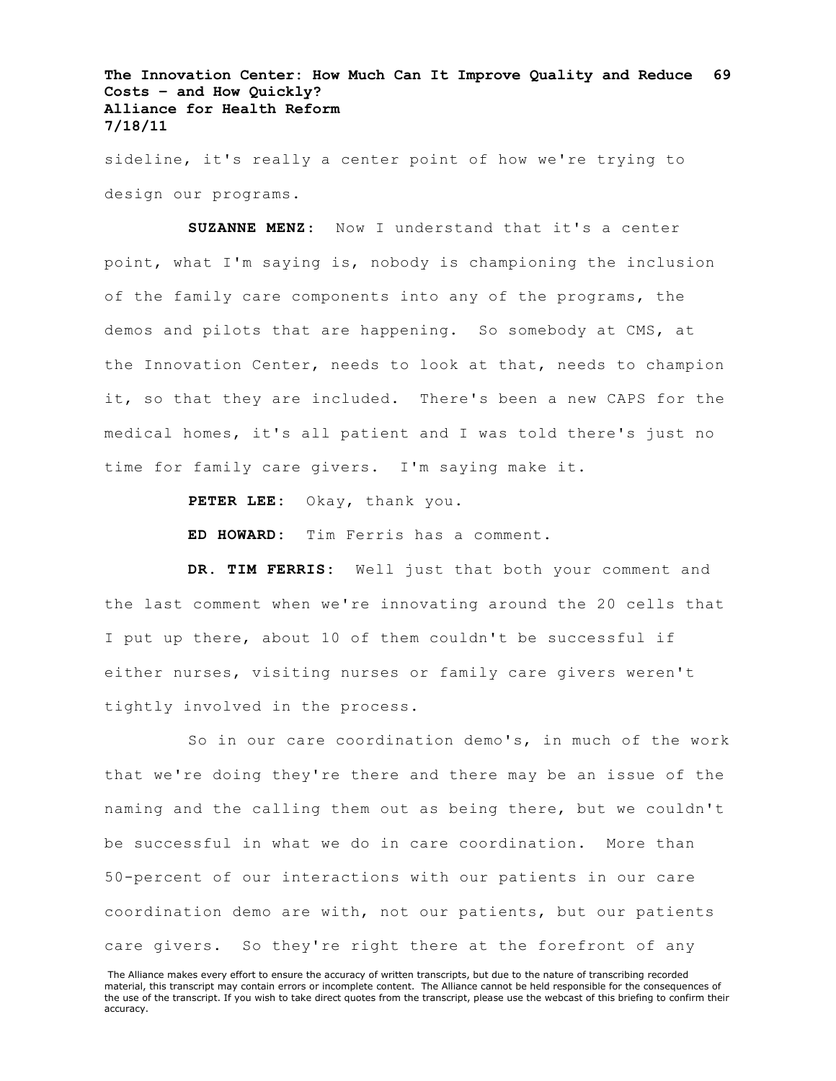sideline, it's really a center point of how we're trying to design our programs.

**SUZANNE MENZ**: Now I understand that it's a center point, what I'm saying is, nobody is championing the inclusion of the family care components into any of the programs, the demos and pilots that are happening. So somebody at CMS, at the Innovation Center, needs to look at that, needs to champion it, so that they are included. There's been a new CAPS for the medical homes, it's all patient and I was told there's just no time for family care givers. I'm saying make it.

PETER LEE: Okay, thank you.

**ED HOWARD:** Tim Ferris has a comment.

**DR. TIM FERRIS:** Well just that both your comment and the last comment when we're innovating around the 20 cells that I put up there, about 10 of them couldn't be successful if either nurses, visiting nurses or family care givers weren't tightly involved in the process.

So in our care coordination demo's, in much of the work that we're doing they're there and there may be an issue of the naming and the calling them out as being there, but we couldn't be successful in what we do in care coordination. More than 50-percent of our interactions with our patients in our care coordination demo are with, not our patients, but our patients care givers. So they're right there at the forefront of any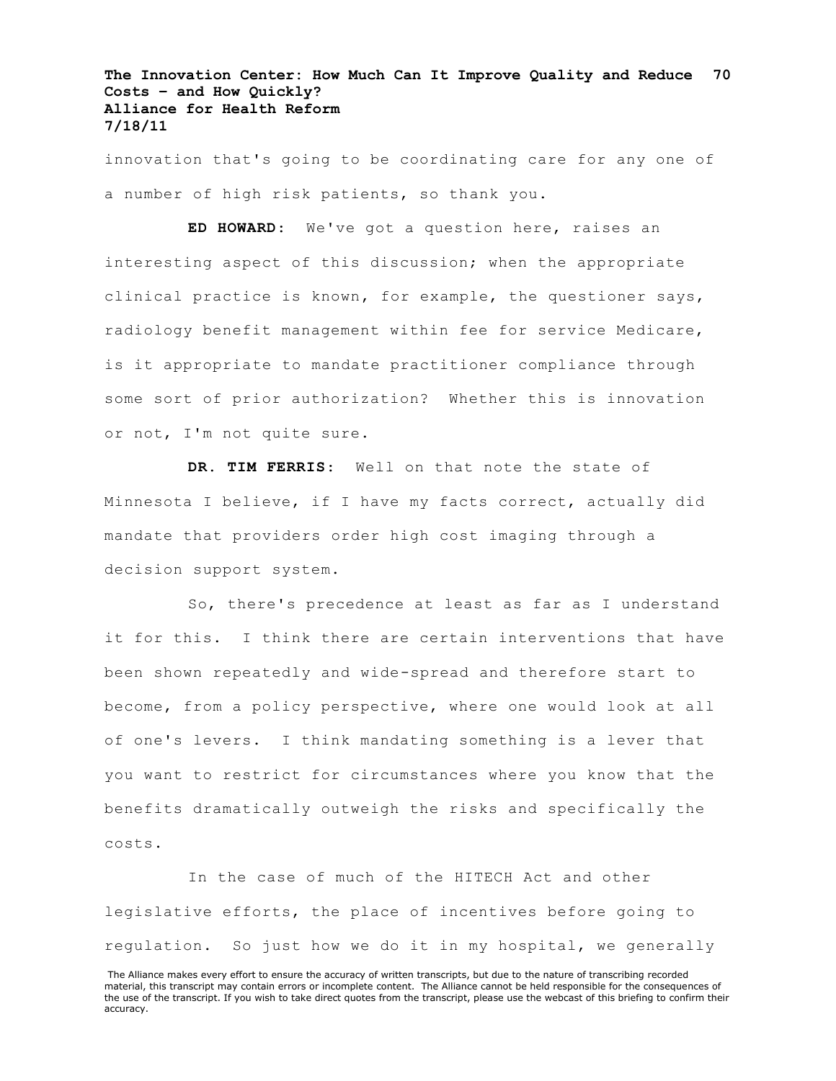innovation that's going to be coordinating care for any one of a number of high risk patients, so thank you.

**ED HOWARD**: We've got a question here, raises an interesting aspect of this discussion; when the appropriate clinical practice is known, for example, the questioner says, radiology benefit management within fee for service Medicare, is it appropriate to mandate practitioner compliance through some sort of prior authorization? Whether this is innovation or not, I'm not quite sure.

**DR. TIM FERRIS**: Well on that note the state of Minnesota I believe, if I have my facts correct, actually did mandate that providers order high cost imaging through a decision support system.

So, there's precedence at least as far as I understand it for this. I think there are certain interventions that have been shown repeatedly and wide-spread and therefore start to become, from a policy perspective, where one would look at all of one's levers. I think mandating something is a lever that you want to restrict for circumstances where you know that the benefits dramatically outweigh the risks and specifically the costs.

In the case of much of the HITECH Act and other legislative efforts, the place of incentives before going to regulation. So just how we do it in my hospital, we generally

The Alliance makes every effort to ensure the accuracy of written transcripts, but due to the nature of transcribing recorded material, this transcript may contain errors or incomplete content. The Alliance cannot be held responsible for the consequences of the use of the transcript. If you wish to take direct quotes from the transcript, please use the webcast of this briefing to confirm their accuracy.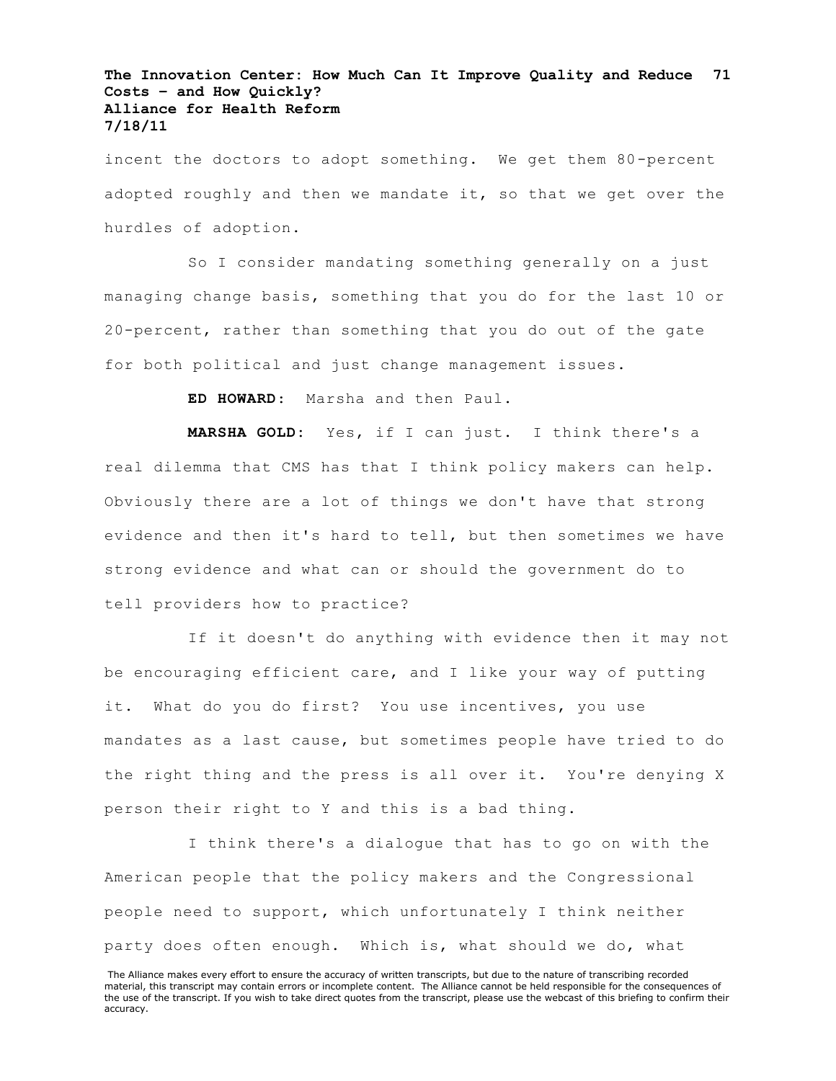incent the doctors to adopt something. We get them 80-percent adopted roughly and then we mandate it, so that we get over the hurdles of adoption.

So I consider mandating something generally on a just managing change basis, something that you do for the last 10 or 20-percent, rather than something that you do out of the gate for both political and just change management issues.

**ED HOWARD**: Marsha and then Paul.

**MARSHA GOLD:** Yes, if I can just. I think there's a real dilemma that CMS has that I think policy makers can help. Obviously there are a lot of things we don't have that strong evidence and then it's hard to tell, but then sometimes we have strong evidence and what can or should the government do to tell providers how to practice?

If it doesn't do anything with evidence then it may not be encouraging efficient care, and I like your way of putting it. What do you do first? You use incentives, you use mandates as a last cause, but sometimes people have tried to do the right thing and the press is all over it. You're denying X person their right to Y and this is a bad thing.

I think there's a dialogue that has to go on with the American people that the policy makers and the Congressional people need to support, which unfortunately I think neither party does often enough. Which is, what should we do, what

The Alliance makes every effort to ensure the accuracy of written transcripts, but due to the nature of transcribing recorded material, this transcript may contain errors or incomplete content. The Alliance cannot be held responsible for the consequences of the use of the transcript. If you wish to take direct quotes from the transcript, please use the webcast of this briefing to confirm their accuracy.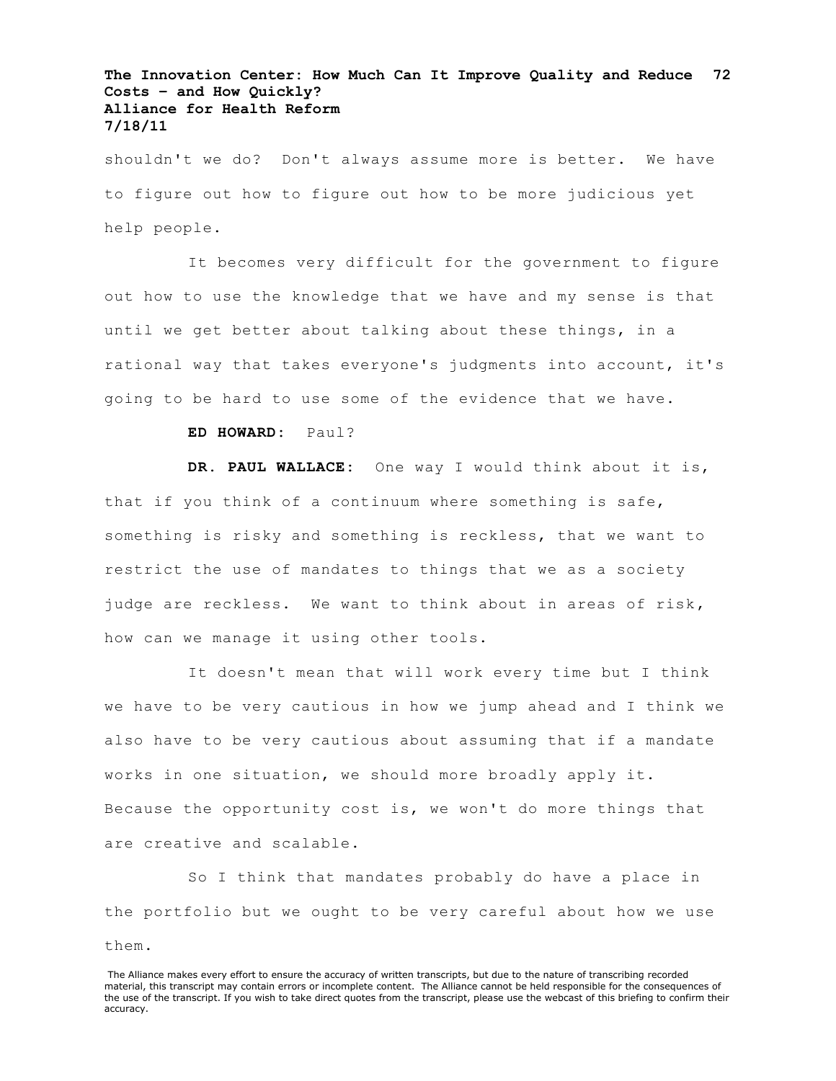shouldn't we do? Don't always assume more is better. We have to figure out how to figure out how to be more judicious yet help people.

It becomes very difficult for the government to figure out how to use the knowledge that we have and my sense is that until we get better about talking about these things, in a rational way that takes everyone's judgments into account, it's going to be hard to use some of the evidence that we have.

# **ED HOWARD:** Paul?

**DR. PAUL WALLACE:** One way I would think about it is, that if you think of a continuum where something is safe, something is risky and something is reckless, that we want to restrict the use of mandates to things that we as a society judge are reckless. We want to think about in areas of risk, how can we manage it using other tools.

It doesn't mean that will work every time but I think we have to be very cautious in how we jump ahead and I think we also have to be very cautious about assuming that if a mandate works in one situation, we should more broadly apply it. Because the opportunity cost is, we won't do more things that are creative and scalable.

So I think that mandates probably do have a place in the portfolio but we ought to be very careful about how we use them.

The Alliance makes every effort to ensure the accuracy of written transcripts, but due to the nature of transcribing recorded material, this transcript may contain errors or incomplete content. The Alliance cannot be held responsible for the consequences of the use of the transcript. If you wish to take direct quotes from the transcript, please use the webcast of this briefing to confirm their accuracy.